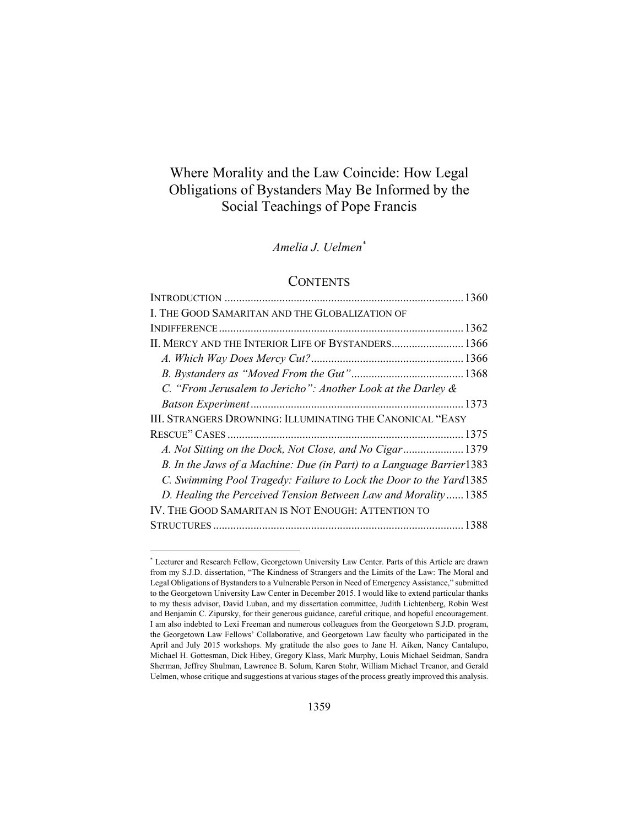# Where Morality and the Law Coincide: How Legal Obligations of Bystanders May Be Informed by the Social Teachings of Pope Francis

# *Amelia J. Uelmen\**

# **CONTENTS**

| I. THE GOOD SAMARITAN AND THE GLOBALIZATION OF                       |  |
|----------------------------------------------------------------------|--|
|                                                                      |  |
| II. MERCY AND THE INTERIOR LIFE OF BYSTANDERS 1366                   |  |
|                                                                      |  |
|                                                                      |  |
| C. "From Jerusalem to Jericho": Another Look at the Darley &         |  |
|                                                                      |  |
| III. STRANGERS DROWNING: ILLUMINATING THE CANONICAL "EASY            |  |
|                                                                      |  |
| A. Not Sitting on the Dock, Not Close, and No Cigar 1379             |  |
| B. In the Jaws of a Machine: Due (in Part) to a Language Barrier1383 |  |
| C. Swimming Pool Tragedy: Failure to Lock the Door to the Yard1385   |  |
| D. Healing the Perceived Tension Between Law and Morality 1385       |  |
| IV. THE GOOD SAMARITAN IS NOT ENOUGH: ATTENTION TO                   |  |
|                                                                      |  |

-

<sup>\*</sup> Lecturer and Research Fellow, Georgetown University Law Center. Parts of this Article are drawn from my S.J.D. dissertation, "The Kindness of Strangers and the Limits of the Law: The Moral and Legal Obligations of Bystanders to a Vulnerable Person in Need of Emergency Assistance," submitted to the Georgetown University Law Center in December 2015. I would like to extend particular thanks to my thesis advisor, David Luban, and my dissertation committee, Judith Lichtenberg, Robin West and Benjamin C. Zipursky, for their generous guidance, careful critique, and hopeful encouragement. I am also indebted to Lexi Freeman and numerous colleagues from the Georgetown S.J.D. program, the Georgetown Law Fellows' Collaborative, and Georgetown Law faculty who participated in the April and July 2015 workshops. My gratitude the also goes to Jane H. Aiken, Nancy Cantalupo, Michael H. Gottesman, Dick Hibey, Gregory Klass, Mark Murphy, Louis Michael Seidman, Sandra Sherman, Jeffrey Shulman, Lawrence B. Solum, Karen Stohr, William Michael Treanor, and Gerald Uelmen, whose critique and suggestions at various stages of the process greatly improved this analysis.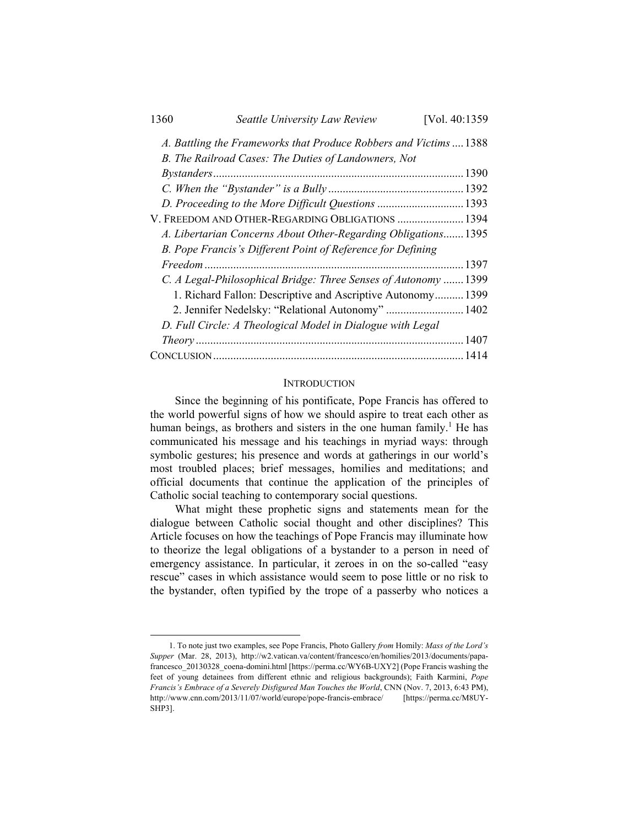| 1360                                                              | Seattle University Law Review                                  | [Vol. 40:1359] |
|-------------------------------------------------------------------|----------------------------------------------------------------|----------------|
| A. Battling the Frameworks that Produce Robbers and Victims  1388 |                                                                |                |
|                                                                   | B. The Railroad Cases: The Duties of Landowners, Not           |                |
|                                                                   |                                                                |                |
|                                                                   |                                                                |                |
|                                                                   | D. Proceeding to the More Difficult Questions 1393             |                |
|                                                                   | V. FREEDOM AND OTHER-REGARDING OBLIGATIONS  1394               |                |
|                                                                   | A. Libertarian Concerns About Other-Regarding Obligations 1395 |                |
|                                                                   | B. Pope Francis's Different Point of Reference for Defining    |                |
|                                                                   |                                                                | . 1397         |
|                                                                   | C. A Legal-Philosophical Bridge: Three Senses of Autonomy      | 1399           |
|                                                                   | 1. Richard Fallon: Descriptive and Ascriptive Autonomy 1399    |                |
|                                                                   | 2. Jennifer Nedelsky: "Relational Autonomy"  1402              |                |
|                                                                   | D. Full Circle: A Theological Model in Dialogue with Legal     |                |
|                                                                   |                                                                |                |
|                                                                   |                                                                |                |

## **INTRODUCTION**

Since the beginning of his pontificate, Pope Francis has offered to the world powerful signs of how we should aspire to treat each other as human beings, as brothers and sisters in the one human family.<sup>1</sup> He has communicated his message and his teachings in myriad ways: through symbolic gestures; his presence and words at gatherings in our world's most troubled places; brief messages, homilies and meditations; and official documents that continue the application of the principles of Catholic social teaching to contemporary social questions.

What might these prophetic signs and statements mean for the dialogue between Catholic social thought and other disciplines? This Article focuses on how the teachings of Pope Francis may illuminate how to theorize the legal obligations of a bystander to a person in need of emergency assistance. In particular, it zeroes in on the so-called "easy rescue" cases in which assistance would seem to pose little or no risk to the bystander, often typified by the trope of a passerby who notices a

 <sup>1.</sup> To note just two examples, see Pope Francis, Photo Gallery *from* Homily: *Mass of the Lord's Supper* (Mar. 28, 2013), http://w2.vatican.va/content/francesco/en/homilies/2013/documents/papafrancesco 20130328 coena-domini.html [https://perma.cc/WY6B-UXY2] (Pope Francis washing the feet of young detainees from different ethnic and religious backgrounds); Faith Karmini, *Pope Francis's Embrace of a Severely Disfigured Man Touches the World*, CNN (Nov. 7, 2013, 6:43 PM), http://www.cnn.com/2013/11/07/world/europe/pope-francis-embrace/ [https://perma.cc/M8UY-SHP3].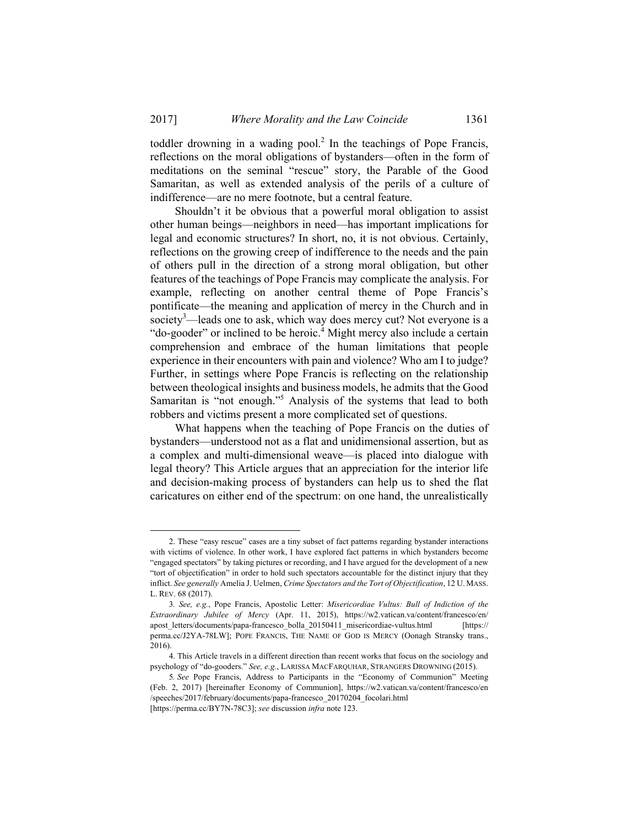toddler drowning in a wading pool.<sup>2</sup> In the teachings of Pope Francis, reflections on the moral obligations of bystanders—often in the form of meditations on the seminal "rescue" story, the Parable of the Good Samaritan, as well as extended analysis of the perils of a culture of indifference—are no mere footnote, but a central feature.

Shouldn't it be obvious that a powerful moral obligation to assist other human beings—neighbors in need—has important implications for legal and economic structures? In short, no, it is not obvious. Certainly, reflections on the growing creep of indifference to the needs and the pain of others pull in the direction of a strong moral obligation, but other features of the teachings of Pope Francis may complicate the analysis. For example, reflecting on another central theme of Pope Francis's pontificate—the meaning and application of mercy in the Church and in society<sup>3</sup>—leads one to ask, which way does mercy cut? Not everyone is a "do-gooder" or inclined to be heroic.<sup>4</sup> Might mercy also include a certain comprehension and embrace of the human limitations that people experience in their encounters with pain and violence? Who am I to judge? Further, in settings where Pope Francis is reflecting on the relationship between theological insights and business models, he admits that the Good Samaritan is "not enough."5 Analysis of the systems that lead to both robbers and victims present a more complicated set of questions.

What happens when the teaching of Pope Francis on the duties of bystanders—understood not as a flat and unidimensional assertion, but as a complex and multi-dimensional weave—is placed into dialogue with legal theory? This Article argues that an appreciation for the interior life and decision-making process of bystanders can help us to shed the flat caricatures on either end of the spectrum: on one hand, the unrealistically

 <sup>2.</sup> These "easy rescue" cases are a tiny subset of fact patterns regarding bystander interactions with victims of violence. In other work, I have explored fact patterns in which bystanders become "engaged spectators" by taking pictures or recording, and I have argued for the development of a new "tort of objectification" in order to hold such spectators accountable for the distinct injury that they inflict. *See generally* Amelia J. Uelmen, *Crime Spectators and the Tort of Objectification*, 12 U. MASS. L. REV. 68 (2017).

<sup>3</sup>*. See, e.g.*, Pope Francis, Apostolic Letter: *Misericordiae Vultus: Bull of Indiction of the Extraordinary Jubilee of Mercy* (Apr. 11, 2015), https://w2.vatican.va/content/francesco/en/ apost\_letters/documents/papa-francesco\_bolla\_20150411\_misericordiae-vultus.html [https:// perma.cc/J2YA-78LW]; POPE FRANCIS, THE NAME OF GOD IS MERCY (Oonagh Stransky trans., 2016).

 <sup>4.</sup> This Article travels in a different direction than recent works that focus on the sociology and psychology of "do-gooders." *See, e.g.*, LARISSA MACFARQUHAR, STRANGERS DROWNING (2015).

<sup>5</sup>*. See* Pope Francis, Address to Participants in the "Economy of Communion" Meeting (Feb. 2, 2017) [hereinafter Economy of Communion], https://w2.vatican.va/content/francesco/en /speeches/2017/february/documents/papa-francesco\_20170204\_focolari.html [https://perma.cc/BY7N-78C3]; *see* discussion *infra* note 123.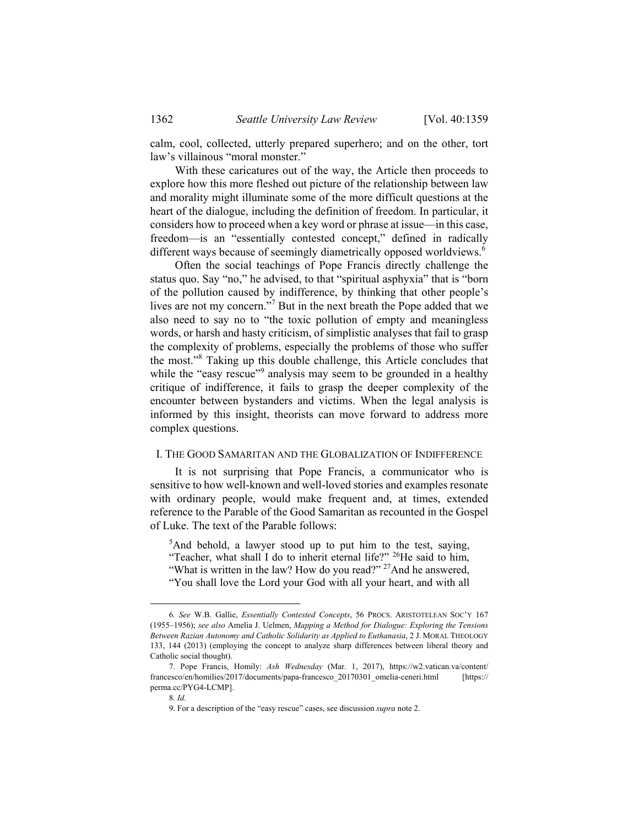calm, cool, collected, utterly prepared superhero; and on the other, tort law's villainous "moral monster."

With these caricatures out of the way, the Article then proceeds to explore how this more fleshed out picture of the relationship between law and morality might illuminate some of the more difficult questions at the heart of the dialogue, including the definition of freedom. In particular, it considers how to proceed when a key word or phrase at issue—in this case, freedom—is an "essentially contested concept," defined in radically different ways because of seemingly diametrically opposed worldviews.<sup>6</sup>

Often the social teachings of Pope Francis directly challenge the status quo. Say "no," he advised, to that "spiritual asphyxia" that is "born of the pollution caused by indifference, by thinking that other people's lives are not my concern."<sup>7</sup> But in the next breath the Pope added that we also need to say no to "the toxic pollution of empty and meaningless words, or harsh and hasty criticism, of simplistic analyses that fail to grasp the complexity of problems, especially the problems of those who suffer the most."<sup>8</sup> Taking up this double challenge, this Article concludes that while the "easy rescue"<sup>9</sup> analysis may seem to be grounded in a healthy critique of indifference, it fails to grasp the deeper complexity of the encounter between bystanders and victims. When the legal analysis is informed by this insight, theorists can move forward to address more complex questions.

#### I. THE GOOD SAMARITAN AND THE GLOBALIZATION OF INDIFFERENCE

It is not surprising that Pope Francis, a communicator who is sensitive to how well-known and well-loved stories and examples resonate with ordinary people, would make frequent and, at times, extended reference to the Parable of the Good Samaritan as recounted in the Gospel of Luke. The text of the Parable follows:

<sup>5</sup>And behold, a lawyer stood up to put him to the test, saying, "Teacher, what shall I do to inherit eternal life?" 26He said to him, "What is written in the law? How do you read?" <sup>27</sup>And he answered, "You shall love the Lord your God with all your heart, and with all

 <sup>6</sup>*. See* W.B. Gallie, *Essentially Contested Concepts*, 56 PROCS. ARISTOTELEAN SOC'Y 167 (1955–1956); *see also* Amelia J. Uelmen, *Mapping a Method for Dialogue: Exploring the Tensions Between Razian Autonomy and Catholic Solidarity as Applied to Euthanasia*, 2 J. MORAL THEOLOGY 133, 144 (2013) (employing the concept to analyze sharp differences between liberal theory and Catholic social thought).

 <sup>7.</sup> Pope Francis, Homily: *Ash Wednesday* (Mar. 1, 2017), https://w2.vatican.va/content/ francesco/en/homilies/2017/documents/papa-francesco\_20170301\_omelia-ceneri.html [https:// perma.cc/PYG4-LCMP].

<sup>8</sup>*. Id.*

 <sup>9.</sup> For a description of the "easy rescue" cases, see discussion *supra* note 2.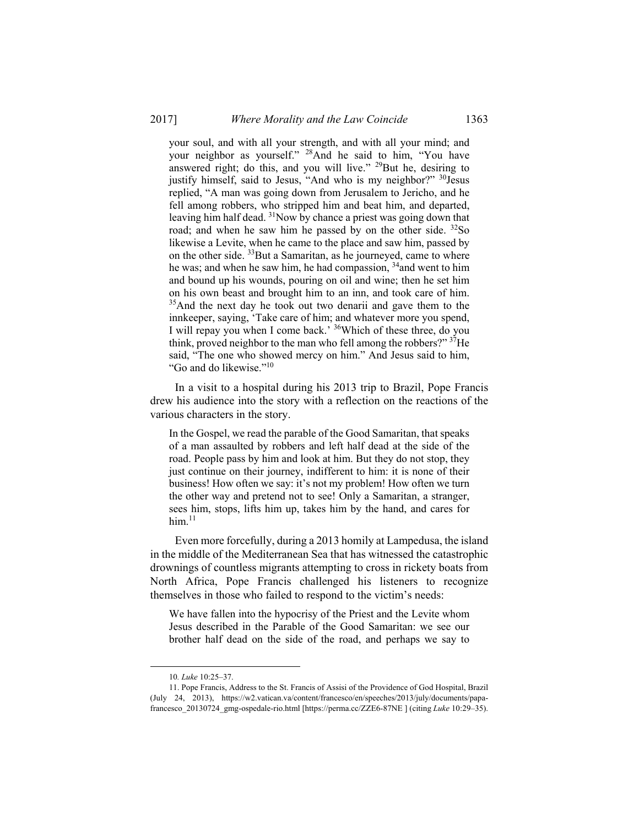your soul, and with all your strength, and with all your mind; and your neighbor as yourself." 28And he said to him, "You have answered right; do this, and you will live." <sup>29</sup>But he, desiring to justify himself, said to Jesus, "And who is my neighbor?" <sup>30</sup>Jesus replied, "A man was going down from Jerusalem to Jericho, and he fell among robbers, who stripped him and beat him, and departed, leaving him half dead. <sup>31</sup>Now by chance a priest was going down that road; and when he saw him he passed by on the other side.  $32$ So likewise a Levite, when he came to the place and saw him, passed by on the other side. <sup>33</sup>But a Samaritan, as he journeyed, came to where he was; and when he saw him, he had compassion,  $34$  and went to him and bound up his wounds, pouring on oil and wine; then he set him on his own beast and brought him to an inn, and took care of him. <sup>35</sup>And the next day he took out two denarii and gave them to the innkeeper, saying, 'Take care of him; and whatever more you spend, I will repay you when I come back.' 36Which of these three, do you think, proved neighbor to the man who fell among the robbers?" <sup>37</sup>He said, "The one who showed mercy on him." And Jesus said to him, "Go and do likewise."<sup>10</sup>

In a visit to a hospital during his 2013 trip to Brazil, Pope Francis drew his audience into the story with a reflection on the reactions of the various characters in the story.

In the Gospel, we read the parable of the Good Samaritan, that speaks of a man assaulted by robbers and left half dead at the side of the road. People pass by him and look at him. But they do not stop, they just continue on their journey, indifferent to him: it is none of their business! How often we say: it's not my problem! How often we turn the other way and pretend not to see! Only a Samaritan, a stranger, sees him, stops, lifts him up, takes him by the hand, and cares for  $him.<sup>11</sup>$ 

Even more forcefully, during a 2013 homily at Lampedusa, the island in the middle of the Mediterranean Sea that has witnessed the catastrophic drownings of countless migrants attempting to cross in rickety boats from North Africa, Pope Francis challenged his listeners to recognize themselves in those who failed to respond to the victim's needs:

We have fallen into the hypocrisy of the Priest and the Levite whom Jesus described in the Parable of the Good Samaritan: we see our brother half dead on the side of the road, and perhaps we say to

 <sup>10</sup>*. Luke* 10:25–37.

 <sup>11.</sup> Pope Francis, Address to the St. Francis of Assisi of the Providence of God Hospital, Brazil (July 24, 2013), https://w2.vatican.va/content/francesco/en/speeches/2013/july/documents/papafrancesco\_20130724\_gmg-ospedale-rio.html [https://perma.cc/ZZE6-87NE ] (citing *Luke* 10:29–35).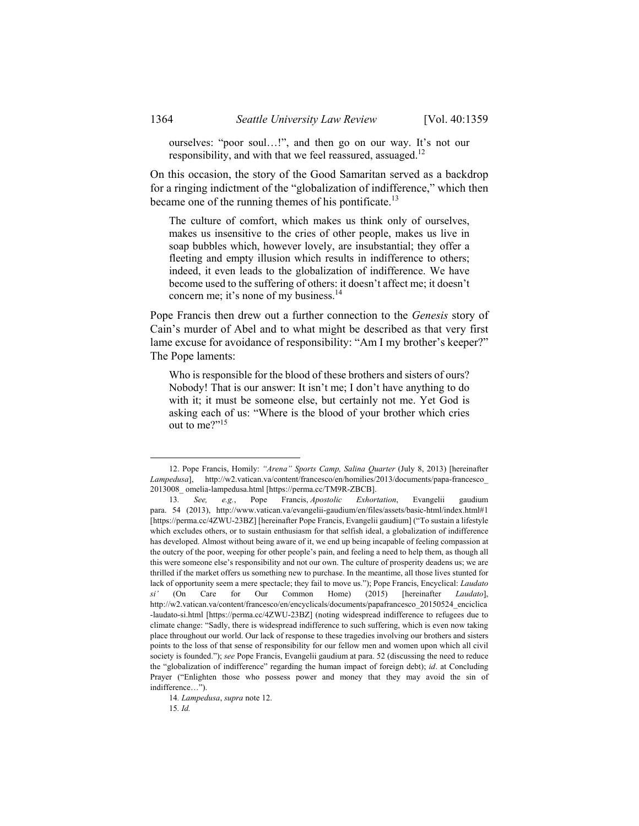ourselves: "poor soul…!", and then go on our way. It's not our responsibility, and with that we feel reassured, assuaged.<sup>12</sup>

On this occasion, the story of the Good Samaritan served as a backdrop for a ringing indictment of the "globalization of indifference," which then became one of the running themes of his pontificate.<sup>13</sup>

The culture of comfort, which makes us think only of ourselves, makes us insensitive to the cries of other people, makes us live in soap bubbles which, however lovely, are insubstantial; they offer a fleeting and empty illusion which results in indifference to others; indeed, it even leads to the globalization of indifference. We have become used to the suffering of others: it doesn't affect me; it doesn't concern me; it's none of my business.<sup>14</sup>

Pope Francis then drew out a further connection to the *Genesis* story of Cain's murder of Abel and to what might be described as that very first lame excuse for avoidance of responsibility: "Am I my brother's keeper?" The Pope laments:

Who is responsible for the blood of these brothers and sisters of ours? Nobody! That is our answer: It isn't me; I don't have anything to do with it; it must be someone else, but certainly not me. Yet God is asking each of us: "Where is the blood of your brother which cries out to me?"15

15*. Id.*

 <sup>12.</sup> Pope Francis, Homily: *"Arena" Sports Camp, Salina Quarter* (July 8, 2013) [hereinafter *Lampedusa*], http://w2.vatican.va/content/francesco/en/homilies/2013/documents/papa-francesco\_ 2013008\_ omelia-lampedusa.html [https://perma.cc/TM9R-ZBCB].

<sup>13</sup>*. See, e.g.*, Pope Francis, *Apostolic Exhortation*, Evangelii gaudium para. 54 (2013), http://www.vatican.va/evangelii-gaudium/en/files/assets/basic-html/index.html#1 [https://perma.cc/4ZWU-23BZ] [hereinafter Pope Francis, Evangelii gaudium] ("To sustain a lifestyle which excludes others, or to sustain enthusiasm for that selfish ideal, a globalization of indifference has developed. Almost without being aware of it, we end up being incapable of feeling compassion at the outcry of the poor, weeping for other people's pain, and feeling a need to help them, as though all this were someone else's responsibility and not our own. The culture of prosperity deadens us; we are thrilled if the market offers us something new to purchase. In the meantime, all those lives stunted for lack of opportunity seem a mere spectacle; they fail to move us."); Pope Francis, Encyclical: *Laudato si'* (On Care for Our Common Home) (2015) [hereinafter *Laudato*], http://w2.vatican.va/content/francesco/en/encyclicals/documents/papafrancesco\_20150524\_enciclica -laudato-si.html [https://perma.cc/4ZWU-23BZ] (noting widespread indifference to refugees due to climate change: "Sadly, there is widespread indifference to such suffering, which is even now taking place throughout our world. Our lack of response to these tragedies involving our brothers and sisters points to the loss of that sense of responsibility for our fellow men and women upon which all civil society is founded."); *see* Pope Francis, Evangelii gaudium at para. 52 (discussing the need to reduce the "globalization of indifference" regarding the human impact of foreign debt); *id*. at Concluding Prayer ("Enlighten those who possess power and money that they may avoid the sin of indifference…").

<sup>14</sup>*. Lampedusa*, *supra* note 12.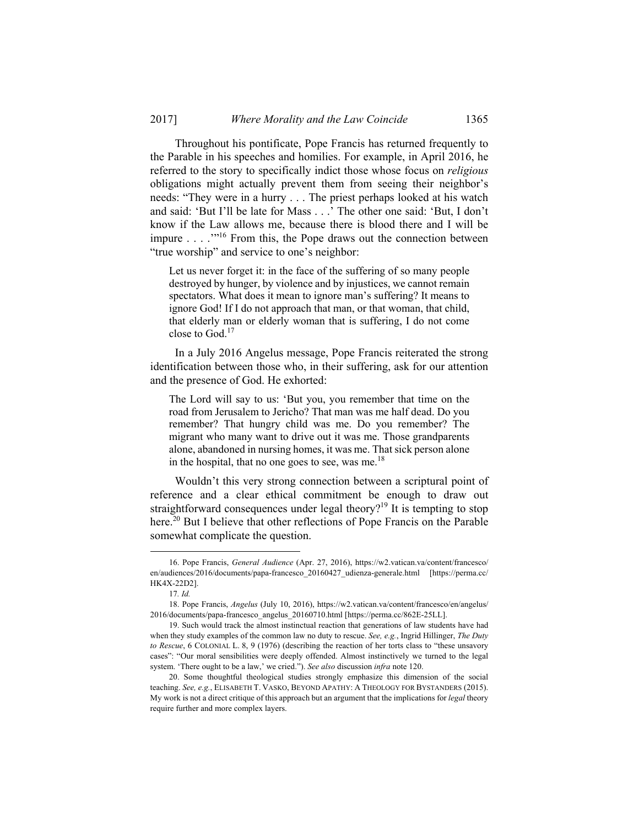Throughout his pontificate, Pope Francis has returned frequently to the Parable in his speeches and homilies. For example, in April 2016, he referred to the story to specifically indict those whose focus on *religious* obligations might actually prevent them from seeing their neighbor's needs: "They were in a hurry . . . The priest perhaps looked at his watch and said: 'But I'll be late for Mass . . .' The other one said: 'But, I don't know if the Law allows me, because there is blood there and I will be impure . . . .'"16 From this, the Pope draws out the connection between "true worship" and service to one's neighbor:

Let us never forget it: in the face of the suffering of so many people destroyed by hunger, by violence and by injustices, we cannot remain spectators. What does it mean to ignore man's suffering? It means to ignore God! If I do not approach that man, or that woman, that child, that elderly man or elderly woman that is suffering, I do not come close to God.17

In a July 2016 Angelus message, Pope Francis reiterated the strong identification between those who, in their suffering, ask for our attention and the presence of God. He exhorted:

The Lord will say to us: 'But you, you remember that time on the road from Jerusalem to Jericho? That man was me half dead. Do you remember? That hungry child was me. Do you remember? The migrant who many want to drive out it was me. Those grandparents alone, abandoned in nursing homes, it was me. That sick person alone in the hospital, that no one goes to see, was me.<sup>18</sup>

Wouldn't this very strong connection between a scriptural point of reference and a clear ethical commitment be enough to draw out straightforward consequences under legal theory?<sup>19</sup> It is tempting to stop here.<sup>20</sup> But I believe that other reflections of Pope Francis on the Parable somewhat complicate the question.

 <sup>16.</sup> Pope Francis, *General Audience* (Apr. 27, 2016), https://w2.vatican.va/content/francesco/ en/audiences/2016/documents/papa-francesco\_20160427\_udienza-generale.html [https://perma.cc/ HK4X-22D2].

<sup>17</sup>*. Id.*

 <sup>18.</sup> Pope Francis, *Angelus* (July 10, 2016), https://w2.vatican.va/content/francesco/en/angelus/ 2016/documents/papa-francesco\_angelus\_20160710.html [https://perma.cc/862E-25LL].

 <sup>19.</sup> Such would track the almost instinctual reaction that generations of law students have had when they study examples of the common law no duty to rescue. *See, e.g.*, Ingrid Hillinger, *The Duty to Rescue*, 6 COLONIAL L. 8, 9 (1976) (describing the reaction of her torts class to "these unsavory cases": "Our moral sensibilities were deeply offended. Almost instinctively we turned to the legal system. 'There ought to be a law,' we cried."). *See also* discussion *infra* note 120.

 <sup>20.</sup> Some thoughtful theological studies strongly emphasize this dimension of the social teaching. *See, e.g.*, ELISABETH T. VASKO, BEYOND APATHY: A THEOLOGY FOR BYSTANDERS (2015). My work is not a direct critique of this approach but an argument that the implications for *legal* theory require further and more complex layers.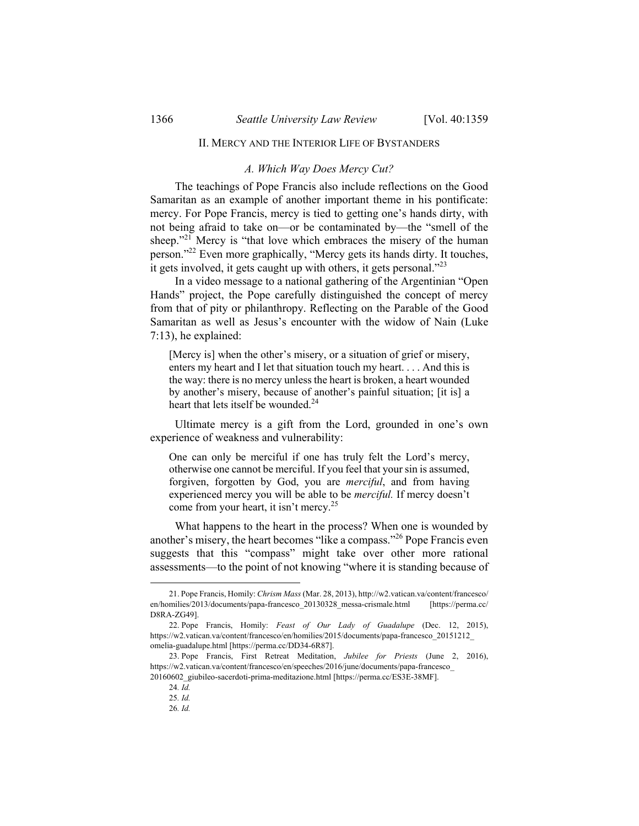## II. MERCY AND THE INTERIOR LIFE OF BYSTANDERS

#### *A. Which Way Does Mercy Cut?*

The teachings of Pope Francis also include reflections on the Good Samaritan as an example of another important theme in his pontificate: mercy. For Pope Francis, mercy is tied to getting one's hands dirty, with not being afraid to take on—or be contaminated by—the "smell of the sheep."<sup>21</sup> Mercy is "that love which embraces the misery of the human person."22 Even more graphically, "Mercy gets its hands dirty. It touches, it gets involved, it gets caught up with others, it gets personal."23

In a video message to a national gathering of the Argentinian "Open Hands" project, the Pope carefully distinguished the concept of mercy from that of pity or philanthropy. Reflecting on the Parable of the Good Samaritan as well as Jesus's encounter with the widow of Nain (Luke 7:13), he explained:

[Mercy is] when the other's misery, or a situation of grief or misery, enters my heart and I let that situation touch my heart. . . . And this is the way: there is no mercy unless the heart is broken, a heart wounded by another's misery, because of another's painful situation; [it is] a heart that lets itself be wounded.<sup>24</sup>

Ultimate mercy is a gift from the Lord, grounded in one's own experience of weakness and vulnerability:

One can only be merciful if one has truly felt the Lord's mercy, otherwise one cannot be merciful. If you feel that your sin is assumed, forgiven, forgotten by God, you are *merciful*, and from having experienced mercy you will be able to be *merciful.* If mercy doesn't come from your heart, it isn't mercy.25

What happens to the heart in the process? When one is wounded by another's misery, the heart becomes "like a compass."26 Pope Francis even suggests that this "compass" might take over other more rational assessments—to the point of not knowing "where it is standing because of

 <sup>21.</sup> Pope Francis, Homily: *Chrism Mass* (Mar. 28, 2013), http://w2.vatican.va/content/francesco/ en/homilies/2013/documents/papa-francesco\_20130328\_messa-crismale.html [https://perma.cc/ D8RA-ZG49].

 <sup>22.</sup> Pope Francis, Homily: *Feast of Our Lady of Guadalupe* (Dec. 12, 2015), https://w2.vatican.va/content/francesco/en/homilies/2015/documents/papa-francesco\_20151212\_ omelia-guadalupe.html [https://perma.cc/DD34-6R87].

 <sup>23.</sup> Pope Francis, First Retreat Meditation, *Jubilee for Priests* (June 2, 2016), https://w2.vatican.va/content/francesco/en/speeches/2016/june/documents/papa-francesco\_ 20160602\_giubileo-sacerdoti-prima-meditazione.html [https://perma.cc/ES3E-38MF].

<sup>24</sup>*. Id.*

<sup>25</sup>*. Id.*

<sup>26</sup>*. Id.*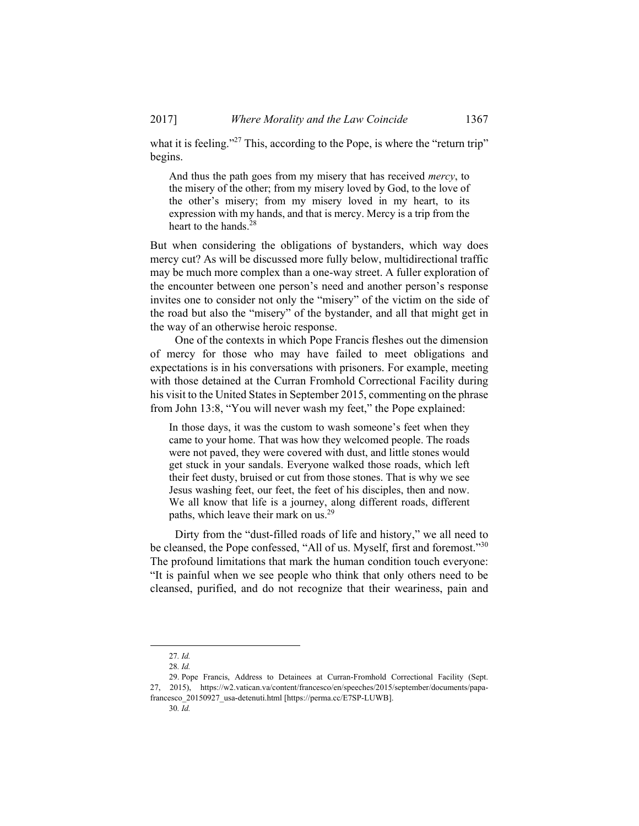what it is feeling."<sup>27</sup> This, according to the Pope, is where the "return trip" begins.

And thus the path goes from my misery that has received *mercy*, to the misery of the other; from my misery loved by God, to the love of the other's misery; from my misery loved in my heart, to its expression with my hands, and that is mercy. Mercy is a trip from the heart to the hands.<sup>28</sup>

But when considering the obligations of bystanders, which way does mercy cut? As will be discussed more fully below, multidirectional traffic may be much more complex than a one-way street. A fuller exploration of the encounter between one person's need and another person's response invites one to consider not only the "misery" of the victim on the side of the road but also the "misery" of the bystander, and all that might get in the way of an otherwise heroic response.

One of the contexts in which Pope Francis fleshes out the dimension of mercy for those who may have failed to meet obligations and expectations is in his conversations with prisoners. For example, meeting with those detained at the Curran Fromhold Correctional Facility during his visit to the United States in September 2015, commenting on the phrase from John 13:8, "You will never wash my feet," the Pope explained:

In those days, it was the custom to wash someone's feet when they came to your home. That was how they welcomed people. The roads were not paved, they were covered with dust, and little stones would get stuck in your sandals. Everyone walked those roads, which left their feet dusty, bruised or cut from those stones. That is why we see Jesus washing feet, our feet, the feet of his disciples, then and now. We all know that life is a journey, along different roads, different paths, which leave their mark on us.<sup>29</sup>

Dirty from the "dust-filled roads of life and history," we all need to be cleansed, the Pope confessed, "All of us. Myself, first and foremost."<sup>30</sup> The profound limitations that mark the human condition touch everyone: "It is painful when we see people who think that only others need to be cleansed, purified, and do not recognize that their weariness, pain and

30*. Id.*

 <sup>27</sup>*. Id.*

<sup>28</sup>*. Id.*

 <sup>29.</sup> Pope Francis, Address to Detainees at Curran-Fromhold Correctional Facility (Sept. 27, 2015), https://w2.vatican.va/content/francesco/en/speeches/2015/september/documents/papafrancesco\_20150927\_usa-detenuti.html [https://perma.cc/E7SP-LUWB].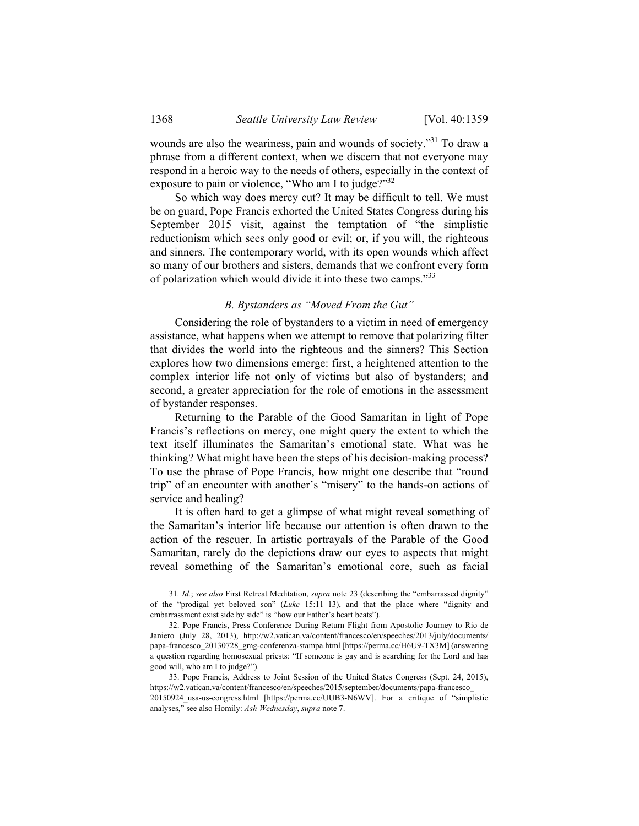wounds are also the weariness, pain and wounds of society."<sup>31</sup> To draw a phrase from a different context, when we discern that not everyone may respond in a heroic way to the needs of others, especially in the context of exposure to pain or violence, "Who am I to judge?"<sup>32</sup>

So which way does mercy cut? It may be difficult to tell. We must be on guard, Pope Francis exhorted the United States Congress during his September 2015 visit, against the temptation of "the simplistic reductionism which sees only good or evil; or, if you will, the righteous and sinners. The contemporary world, with its open wounds which affect so many of our brothers and sisters, demands that we confront every form of polarization which would divide it into these two camps."<sup>33</sup>

## *B. Bystanders as "Moved From the Gut"*

Considering the role of bystanders to a victim in need of emergency assistance, what happens when we attempt to remove that polarizing filter that divides the world into the righteous and the sinners? This Section explores how two dimensions emerge: first, a heightened attention to the complex interior life not only of victims but also of bystanders; and second, a greater appreciation for the role of emotions in the assessment of bystander responses.

Returning to the Parable of the Good Samaritan in light of Pope Francis's reflections on mercy, one might query the extent to which the text itself illuminates the Samaritan's emotional state. What was he thinking? What might have been the steps of his decision-making process? To use the phrase of Pope Francis, how might one describe that "round trip" of an encounter with another's "misery" to the hands-on actions of service and healing?

It is often hard to get a glimpse of what might reveal something of the Samaritan's interior life because our attention is often drawn to the action of the rescuer. In artistic portrayals of the Parable of the Good Samaritan, rarely do the depictions draw our eyes to aspects that might reveal something of the Samaritan's emotional core, such as facial

 <sup>31</sup>*. Id.*; *see also* First Retreat Meditation, *supra* note 23 (describing the "embarrassed dignity" of the "prodigal yet beloved son" (*Luke* 15:11–13), and that the place where "dignity and embarrassment exist side by side" is "how our Father's heart beats").

 <sup>32.</sup> Pope Francis, Press Conference During Return Flight from Apostolic Journey to Rio de Janiero (July 28, 2013), http://w2.vatican.va/content/francesco/en/speeches/2013/july/documents/ papa-francesco\_20130728\_gmg-conferenza-stampa.html [https://perma.cc/H6U9-TX3M] (answering a question regarding homosexual priests: "If someone is gay and is searching for the Lord and has good will, who am I to judge?").

 <sup>33.</sup> Pope Francis, Address to Joint Session of the United States Congress (Sept. 24, 2015), https://w2.vatican.va/content/francesco/en/speeches/2015/september/documents/papa-francesco\_ 20150924\_usa-us-congress.html [https://perma.cc/UUB3-N6WV]. For a critique of "simplistic analyses," see also Homily: *Ash Wednesday*, *supra* note 7.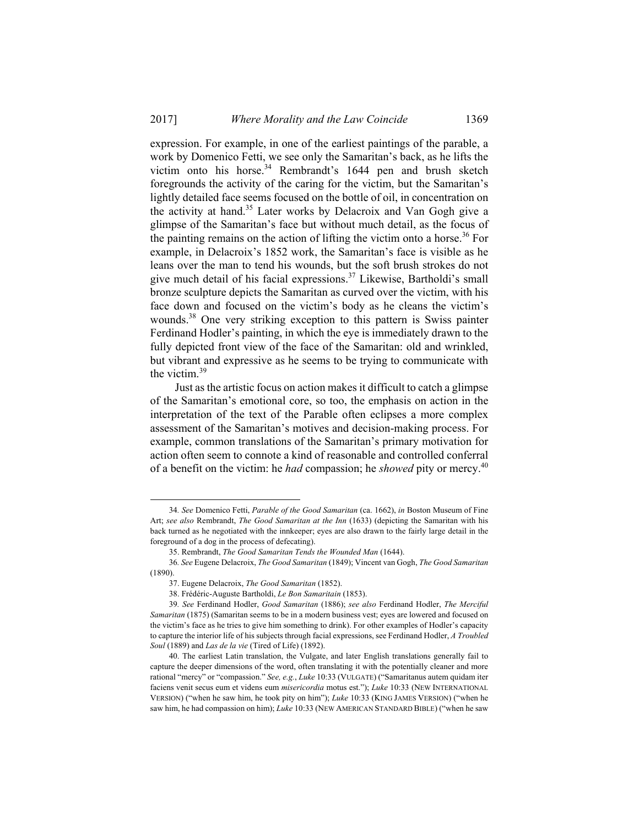expression. For example, in one of the earliest paintings of the parable, a work by Domenico Fetti, we see only the Samaritan's back, as he lifts the victim onto his horse.<sup>34</sup> Rembrandt's 1644 pen and brush sketch foregrounds the activity of the caring for the victim, but the Samaritan's lightly detailed face seems focused on the bottle of oil, in concentration on the activity at hand.35 Later works by Delacroix and Van Gogh give a glimpse of the Samaritan's face but without much detail, as the focus of the painting remains on the action of lifting the victim onto a horse.<sup>36</sup> For example, in Delacroix's 1852 work, the Samaritan's face is visible as he leans over the man to tend his wounds, but the soft brush strokes do not give much detail of his facial expressions.37 Likewise, Bartholdi's small bronze sculpture depicts the Samaritan as curved over the victim, with his face down and focused on the victim's body as he cleans the victim's wounds.38 One very striking exception to this pattern is Swiss painter Ferdinand Hodler's painting, in which the eye is immediately drawn to the fully depicted front view of the face of the Samaritan: old and wrinkled, but vibrant and expressive as he seems to be trying to communicate with the victim.<sup>39</sup>

Just as the artistic focus on action makes it difficult to catch a glimpse of the Samaritan's emotional core, so too, the emphasis on action in the interpretation of the text of the Parable often eclipses a more complex assessment of the Samaritan's motives and decision-making process. For example, common translations of the Samaritan's primary motivation for action often seem to connote a kind of reasonable and controlled conferral of a benefit on the victim: he *had* compassion; he *showed* pity or mercy.40

 <sup>34</sup>*. See* Domenico Fetti, *Parable of the Good Samaritan* (ca. 1662), *in* Boston Museum of Fine Art; *see also* Rembrandt, *The Good Samaritan at the Inn* (1633) (depicting the Samaritan with his back turned as he negotiated with the innkeeper; eyes are also drawn to the fairly large detail in the foreground of a dog in the process of defecating).

 <sup>35.</sup> Rembrandt, *The Good Samaritan Tends the Wounded Man* (1644).

<sup>36</sup>*. See* Eugene Delacroix, *The Good Samaritan* (1849); Vincent van Gogh, *The Good Samaritan* (1890).

 <sup>37.</sup> Eugene Delacroix, *The Good Samaritan* (1852).

 <sup>38.</sup> Frédéric-Auguste Bartholdi, *Le Bon Samaritain* (1853).

<sup>39</sup>*. See* Ferdinand Hodler, *Good Samaritan* (1886); *see also* Ferdinand Hodler, *The Merciful Samaritan* (1875) (Samaritan seems to be in a modern business vest; eyes are lowered and focused on the victim's face as he tries to give him something to drink). For other examples of Hodler's capacity to capture the interior life of his subjects through facial expressions, see Ferdinand Hodler, *A Troubled Soul* (1889) and *Las de la vie* (Tired of Life) (1892).

 <sup>40.</sup> The earliest Latin translation, the Vulgate, and later English translations generally fail to capture the deeper dimensions of the word, often translating it with the potentially cleaner and more rational "mercy" or "compassion." *See, e.g.*, *Luke* 10:33 (VULGATE) ("Samaritanus autem quidam iter faciens venit secus eum et videns eum *misericordia* motus est."); *Luke* 10:33 (NEW INTERNATIONAL VERSION) ("when he saw him, he took pity on him"); *Luke* 10:33 (KING JAMES VERSION) ("when he saw him, he had compassion on him); *Luke* 10:33 (NEW AMERICAN STANDARD BIBLE) ("when he saw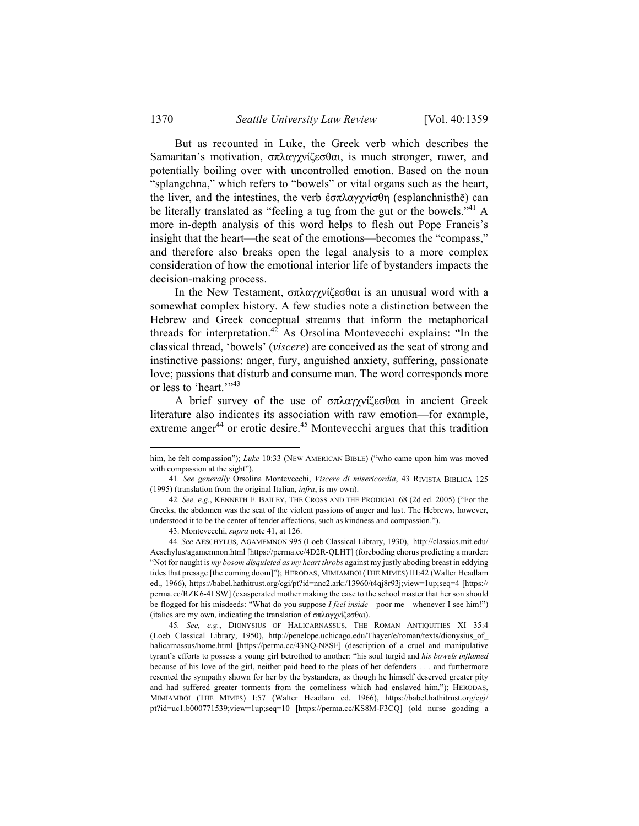But as recounted in Luke, the Greek verb which describes the Samaritan's motivation, σπλαγχνίζεσθαι, is much stronger, rawer, and potentially boiling over with uncontrolled emotion. Based on the noun "splangchna," which refers to "bowels" or vital organs such as the heart, the liver, and the intestines, the verb ἐσπλαγγνίσθη (esplanchnisthē) can be literally translated as "feeling a tug from the gut or the bowels."<sup>41</sup> A more in-depth analysis of this word helps to flesh out Pope Francis's insight that the heart—the seat of the emotions—becomes the "compass," and therefore also breaks open the legal analysis to a more complex consideration of how the emotional interior life of bystanders impacts the decision-making process.

In the New Testament, σπλαγχνίζεσθαι is an unusual word with a somewhat complex history. A few studies note a distinction between the Hebrew and Greek conceptual streams that inform the metaphorical threads for interpretation.<sup>42</sup> As Orsolina Montevecchi explains: "In the classical thread, 'bowels' (*viscere*) are conceived as the seat of strong and instinctive passions: anger, fury, anguished anxiety, suffering, passionate love; passions that disturb and consume man. The word corresponds more or less to 'heart.'"<sup>43</sup>

A brief survey of the use of σπλαγχνίζεσθαι in ancient Greek literature also indicates its association with raw emotion—for example, extreme anger<sup>44</sup> or erotic desire.<sup>45</sup> Montevecchi argues that this tradition

45*. See, e.g.*, DIONYSIUS OF HALICARNASSUS, THE ROMAN ANTIQUITIES XI 35:4 (Loeb Classical Library, 1950), http://penelope.uchicago.edu/Thayer/e/roman/texts/dionysius\_of\_ halicarnassus/home.html [https://perma.cc/43NQ-N8SF] (description of a cruel and manipulative tyrant's efforts to possess a young girl betrothed to another: "his soul turgid and *his bowels inflamed*  because of his love of the girl, neither paid heed to the pleas of her defenders . . . and furthermore resented the sympathy shown for her by the bystanders, as though he himself deserved greater pity and had suffered greater torments from the comeliness which had enslaved him."); HERODAS, MIMIAMBOI (THE MIMES) I:57 (Walter Headlam ed. 1966), https://babel.hathitrust.org/cgi/ pt?id=uc1.b000771539;view=1up;seq=10 [https://perma.cc/KS8M-F3CQ] (old nurse goading a

him, he felt compassion"); *Luke* 10:33 (NEW AMERICAN BIBLE) ("who came upon him was moved with compassion at the sight").

<sup>41</sup>*. See generally* Orsolina Montevecchi, *Viscere di misericordia*, 43 RIVISTA BIBLICA 125 (1995) (translation from the original Italian, *infra*, is my own).

<sup>42</sup>*. See, e.g.*, KENNETH E. BAILEY, THE CROSS AND THE PRODIGAL 68 (2d ed. 2005) ("For the Greeks, the abdomen was the seat of the violent passions of anger and lust. The Hebrews, however, understood it to be the center of tender affections, such as kindness and compassion.").

 <sup>43.</sup> Montevecchi, *supra* note 41, at 126.

<sup>44</sup>*. See* AESCHYLUS, AGAMEMNON 995 (Loeb Classical Library, 1930), http://classics.mit.edu/ Aeschylus/agamemnon.html [https://perma.cc/4D2R-QLHT] (foreboding chorus predicting a murder: "Not for naught is *my bosom disquieted as my heart throbs* against my justly aboding breast in eddying tides that presage [the coming doom]"); HERODAS, MIMIAMBOI (THE MIMES) III:42 (Walter Headlam ed., 1966), https://babel.hathitrust.org/cgi/pt?id=nnc2.ark:/13960/t4qj8r93j;view=1up;seq=4 [https:// perma.cc/RZK6-4LSW] (exasperated mother making the case to the school master that her son should be flogged for his misdeeds: "What do you suppose *I feel inside*—poor me—whenever I see him!") (italics are my own, indicating the translation of σπλαγχνίζεσθαι).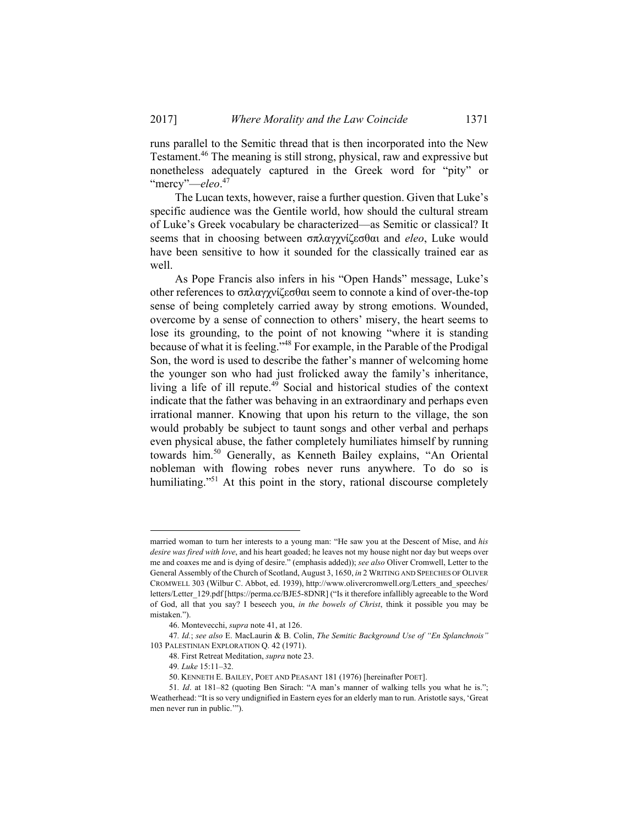runs parallel to the Semitic thread that is then incorporated into the New Testament.46 The meaning is still strong, physical, raw and expressive but nonetheless adequately captured in the Greek word for "pity" or "mercy"—*eleo*. 47

The Lucan texts, however, raise a further question. Given that Luke's specific audience was the Gentile world, how should the cultural stream of Luke's Greek vocabulary be characterized—as Semitic or classical? It seems that in choosing between σπλαγχνίζεσθαι and *eleo*, Luke would have been sensitive to how it sounded for the classically trained ear as well.

As Pope Francis also infers in his "Open Hands" message, Luke's other references to σπλαγχνίζεσθαι seem to connote a kind of over-the-top sense of being completely carried away by strong emotions. Wounded, overcome by a sense of connection to others' misery, the heart seems to lose its grounding, to the point of not knowing "where it is standing because of what it is feeling."<sup>48</sup> For example, in the Parable of the Prodigal Son, the word is used to describe the father's manner of welcoming home the younger son who had just frolicked away the family's inheritance, living a life of ill repute.<sup>49</sup> Social and historical studies of the context indicate that the father was behaving in an extraordinary and perhaps even irrational manner. Knowing that upon his return to the village, the son would probably be subject to taunt songs and other verbal and perhaps even physical abuse, the father completely humiliates himself by running towards him.50 Generally, as Kenneth Bailey explains, "An Oriental nobleman with flowing robes never runs anywhere. To do so is humiliating."<sup>51</sup> At this point in the story, rational discourse completely

married woman to turn her interests to a young man: "He saw you at the Descent of Mise, and *his desire was fired with love*, and his heart goaded; he leaves not my house night nor day but weeps over me and coaxes me and is dying of desire." (emphasis added)); *see also* Oliver Cromwell, Letter to the General Assembly of the Church of Scotland, August 3, 1650, *in* 2 WRITING AND SPEECHES OF OLIVER CROMWELL 303 (Wilbur C. Abbot, ed. 1939), http://www.olivercromwell.org/Letters\_and\_speeches/ letters/Letter\_129.pdf [https://perma.cc/BJE5-8DNR] ("Is it therefore infallibly agreeable to the Word of God, all that you say? I beseech you, *in the bowels of Christ*, think it possible you may be mistaken.").

 <sup>46.</sup> Montevecchi, *supra* note 41, at 126.

<sup>47</sup>*. Id.*; *see also* E. MacLaurin & B. Colin, *The Semitic Background Use of "En Splanchnois"* 103 PALESTINIAN EXPLORATION Q. 42 (1971).

 <sup>48.</sup> First Retreat Meditation, *supra* note 23.

<sup>49</sup>*. Luke* 15:11–32.

 <sup>50.</sup> KENNETH E. BAILEY, POET AND PEASANT 181 (1976) [hereinafter POET].

<sup>51</sup>*. Id*. at 181–82 (quoting Ben Sirach: "A man's manner of walking tells you what he is."; Weatherhead: "It is so very undignified in Eastern eyes for an elderly man to run. Aristotle says, 'Great men never run in public.'").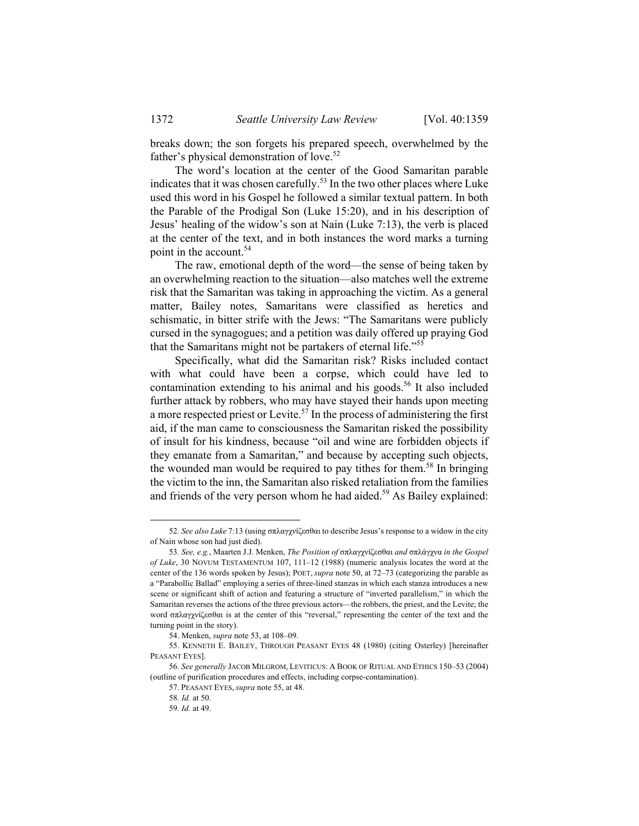breaks down; the son forgets his prepared speech, overwhelmed by the father's physical demonstration of love.<sup>52</sup>

The word's location at the center of the Good Samaritan parable indicates that it was chosen carefully.<sup>53</sup> In the two other places where Luke used this word in his Gospel he followed a similar textual pattern. In both the Parable of the Prodigal Son (Luke 15:20), and in his description of Jesus' healing of the widow's son at Nain (Luke 7:13), the verb is placed at the center of the text, and in both instances the word marks a turning point in the account.<sup>54</sup>

The raw, emotional depth of the word—the sense of being taken by an overwhelming reaction to the situation—also matches well the extreme risk that the Samaritan was taking in approaching the victim. As a general matter, Bailey notes, Samaritans were classified as heretics and schismatic, in bitter strife with the Jews: "The Samaritans were publicly cursed in the synagogues; and a petition was daily offered up praying God that the Samaritans might not be partakers of eternal life."55

Specifically, what did the Samaritan risk? Risks included contact with what could have been a corpse, which could have led to contamination extending to his animal and his goods.<sup>56</sup> It also included further attack by robbers, who may have stayed their hands upon meeting a more respected priest or Levite.<sup>57</sup> In the process of administering the first aid, if the man came to consciousness the Samaritan risked the possibility of insult for his kindness, because "oil and wine are forbidden objects if they emanate from a Samaritan," and because by accepting such objects, the wounded man would be required to pay tithes for them.<sup>58</sup> In bringing the victim to the inn, the Samaritan also risked retaliation from the families and friends of the very person whom he had aided.<sup>59</sup> As Bailey explained:

 <sup>52</sup>*. See also Luke* 7:13 (using σπλαγχνίζεσθαι to describe Jesus's response to a widow in the city of Nain whose son had just died).

<sup>53</sup>*. See, e.g.*, Maarten J.J. Menken, *The Position of* σπλαγχνίζεσθαι *and* σπλάγχνα *in the Gospel of Luke*, 30 NOVUM TESTAMENTUM 107, 111–12 (1988) (numeric analysis locates the word at the center of the 136 words spoken by Jesus); POET, *supra* note 50, at 72–73 (categorizing the parable as a "Parabollic Ballad" employing a series of three-lined stanzas in which each stanza introduces a new scene or significant shift of action and featuring a structure of "inverted parallelism," in which the Samaritan reverses the actions of the three previous actors—the robbers, the priest, and the Levite; the word σπλαγχνίζεσθαι is at the center of this "reversal," representing the center of the text and the turning point in the story).

 <sup>54.</sup> Menken, *supra* note 53, at 108–09.

 <sup>55.</sup> KENNETH E. BAILEY, THROUGH PEASANT EYES 48 (1980) (citing Osterley) [hereinafter PEASANT EYES].

<sup>56</sup>*. See generally* JACOB MILGROM, LEVITICUS: A BOOK OF RITUAL AND ETHICS 150–53 (2004) (outline of purification procedures and effects, including corpse-contamination).

 <sup>57.</sup> PEASANT EYES, *supra* note 55, at 48.

<sup>58</sup>*. Id.* at 50.

<sup>59</sup>*. Id.* at 49.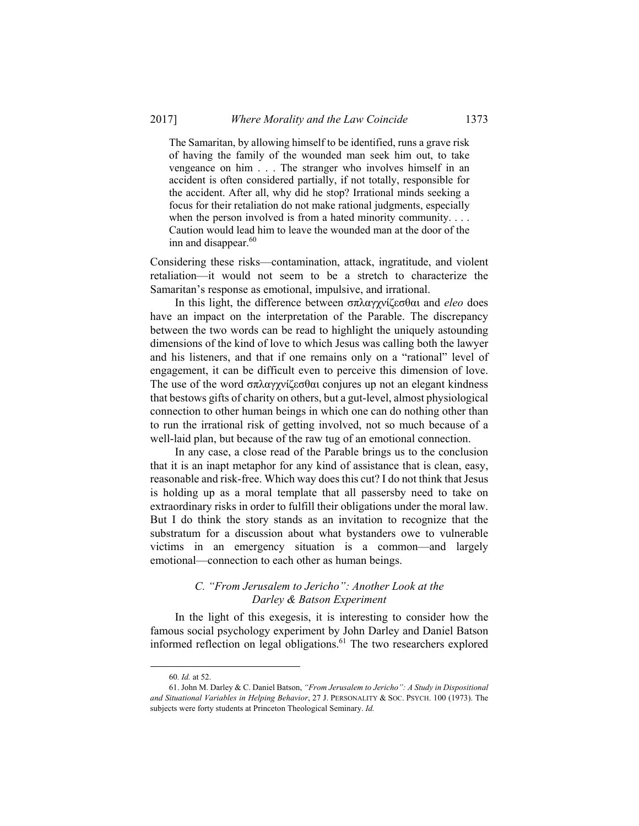The Samaritan, by allowing himself to be identified, runs a grave risk of having the family of the wounded man seek him out, to take vengeance on him . . . The stranger who involves himself in an accident is often considered partially, if not totally, responsible for the accident. After all, why did he stop? Irrational minds seeking a focus for their retaliation do not make rational judgments, especially when the person involved is from a hated minority community. . . . Caution would lead him to leave the wounded man at the door of the inn and disappear. $60$ 

Considering these risks—contamination, attack, ingratitude, and violent retaliation—it would not seem to be a stretch to characterize the Samaritan's response as emotional, impulsive, and irrational.

In this light, the difference between σπλαγχνίζεσθαι and *eleo* does have an impact on the interpretation of the Parable. The discrepancy between the two words can be read to highlight the uniquely astounding dimensions of the kind of love to which Jesus was calling both the lawyer and his listeners, and that if one remains only on a "rational" level of engagement, it can be difficult even to perceive this dimension of love. The use of the word σπλαγχνίζεσθαι conjures up not an elegant kindness that bestows gifts of charity on others, but a gut-level, almost physiological connection to other human beings in which one can do nothing other than to run the irrational risk of getting involved, not so much because of a well-laid plan, but because of the raw tug of an emotional connection.

In any case, a close read of the Parable brings us to the conclusion that it is an inapt metaphor for any kind of assistance that is clean, easy, reasonable and risk-free. Which way does this cut? I do not think that Jesus is holding up as a moral template that all passersby need to take on extraordinary risks in order to fulfill their obligations under the moral law. But I do think the story stands as an invitation to recognize that the substratum for a discussion about what bystanders owe to vulnerable victims in an emergency situation is a common—and largely emotional—connection to each other as human beings.

## *C. "From Jerusalem to Jericho": Another Look at the Darley & Batson Experiment*

In the light of this exegesis, it is interesting to consider how the famous social psychology experiment by John Darley and Daniel Batson informed reflection on legal obligations.<sup>61</sup> The two researchers explored

 <sup>60</sup>*. Id.* at 52.

 <sup>61.</sup> John M. Darley & C. Daniel Batson, *"From Jerusalem to Jericho": A Study in Dispositional and Situational Variables in Helping Behavior*, 27 J. PERSONALITY & SOC. PSYCH. 100 (1973). The subjects were forty students at Princeton Theological Seminary. *Id.*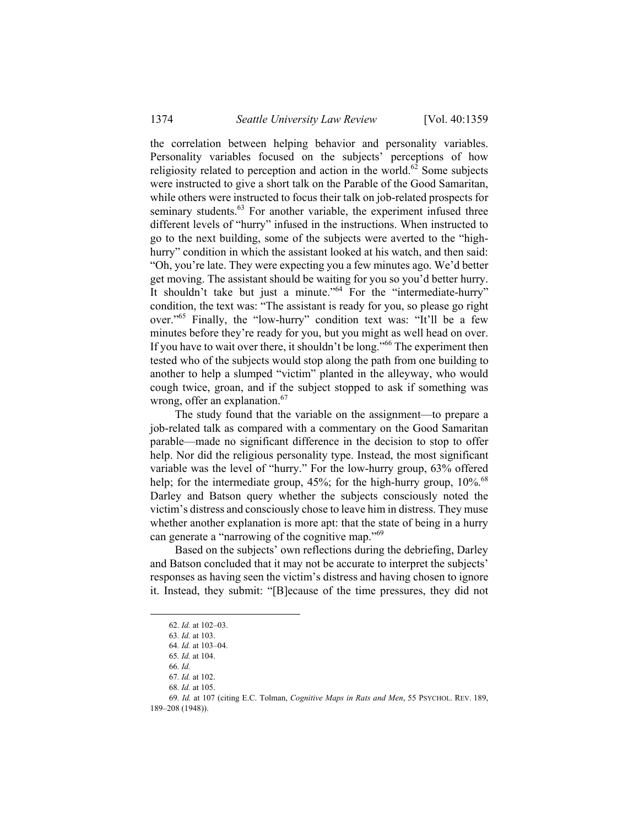the correlation between helping behavior and personality variables. Personality variables focused on the subjects' perceptions of how religiosity related to perception and action in the world.<sup>62</sup> Some subjects were instructed to give a short talk on the Parable of the Good Samaritan, while others were instructed to focus their talk on job-related prospects for seminary students.<sup>63</sup> For another variable, the experiment infused three different levels of "hurry" infused in the instructions. When instructed to go to the next building, some of the subjects were averted to the "highhurry" condition in which the assistant looked at his watch, and then said: "Oh, you're late. They were expecting you a few minutes ago. We'd better get moving. The assistant should be waiting for you so you'd better hurry. It shouldn't take but just a minute."<sup>64</sup> For the "intermediate-hurry" condition, the text was: "The assistant is ready for you, so please go right over."65 Finally, the "low-hurry" condition text was: "It'll be a few minutes before they're ready for you, but you might as well head on over. If you have to wait over there, it shouldn't be long."<sup>66</sup> The experiment then tested who of the subjects would stop along the path from one building to another to help a slumped "victim" planted in the alleyway, who would cough twice, groan, and if the subject stopped to ask if something was wrong, offer an explanation.<sup>67</sup>

The study found that the variable on the assignment—to prepare a job-related talk as compared with a commentary on the Good Samaritan parable—made no significant difference in the decision to stop to offer help. Nor did the religious personality type. Instead, the most significant variable was the level of "hurry." For the low-hurry group, 63% offered help; for the intermediate group,  $45\%$ ; for the high-hurry group,  $10\%$ <sup>68</sup> Darley and Batson query whether the subjects consciously noted the victim's distress and consciously chose to leave him in distress. They muse whether another explanation is more apt: that the state of being in a hurry can generate a "narrowing of the cognitive map."<sup>69</sup>

Based on the subjects' own reflections during the debriefing, Darley and Batson concluded that it may not be accurate to interpret the subjects' responses as having seen the victim's distress and having chosen to ignore it. Instead, they submit: "[B]ecause of the time pressures, they did not

 <sup>62</sup>*. Id.* at 102–03.

<sup>63</sup>*. Id.* at 103.

<sup>64</sup>*. Id.* at 103–04.

<sup>65</sup>*. Id.* at 104. 66*. Id.*

<sup>67</sup>*. Id.* at 102.

<sup>68</sup>*. Id.* at 105.

<sup>69</sup>*. Id.* at 107 (citing E.C. Tolman, *Cognitive Maps in Rats and Men*, 55 PSYCHOL. REV. 189, 189–208 (1948)).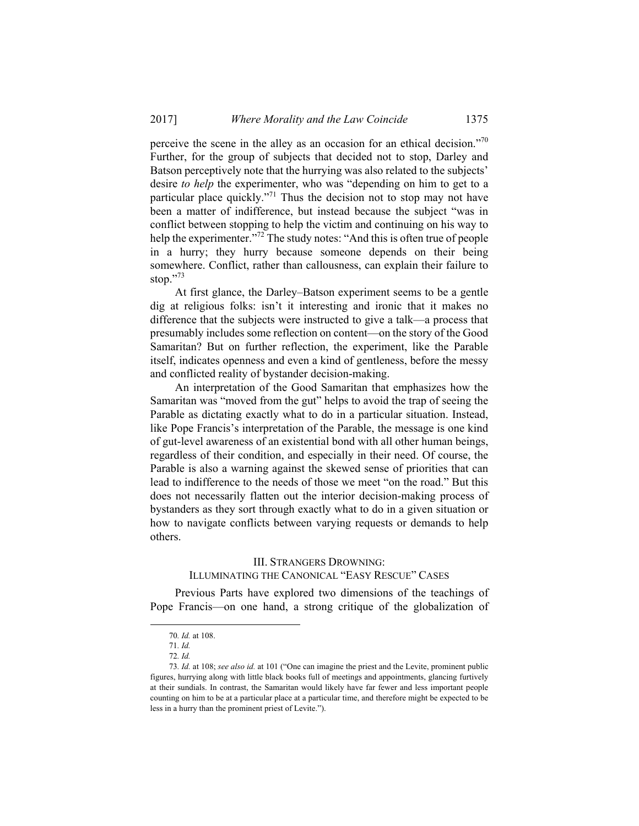perceive the scene in the alley as an occasion for an ethical decision."70 Further, for the group of subjects that decided not to stop, Darley and Batson perceptively note that the hurrying was also related to the subjects' desire *to help* the experimenter, who was "depending on him to get to a particular place quickly."71 Thus the decision not to stop may not have been a matter of indifference, but instead because the subject "was in conflict between stopping to help the victim and continuing on his way to help the experimenter."<sup>72</sup> The study notes: "And this is often true of people in a hurry; they hurry because someone depends on their being somewhere. Conflict, rather than callousness, can explain their failure to stop."73

At first glance, the Darley–Batson experiment seems to be a gentle dig at religious folks: isn't it interesting and ironic that it makes no difference that the subjects were instructed to give a talk—a process that presumably includes some reflection on content—on the story of the Good Samaritan? But on further reflection, the experiment, like the Parable itself, indicates openness and even a kind of gentleness, before the messy and conflicted reality of bystander decision-making.

An interpretation of the Good Samaritan that emphasizes how the Samaritan was "moved from the gut" helps to avoid the trap of seeing the Parable as dictating exactly what to do in a particular situation. Instead, like Pope Francis's interpretation of the Parable, the message is one kind of gut-level awareness of an existential bond with all other human beings, regardless of their condition, and especially in their need. Of course, the Parable is also a warning against the skewed sense of priorities that can lead to indifference to the needs of those we meet "on the road." But this does not necessarily flatten out the interior decision-making process of bystanders as they sort through exactly what to do in a given situation or how to navigate conflicts between varying requests or demands to help others.

# III. STRANGERS DROWNING: ILLUMINATING THE CANONICAL "EASY RESCUE" CASES

Previous Parts have explored two dimensions of the teachings of Pope Francis—on one hand, a strong critique of the globalization of

 <sup>70</sup>*. Id.* at 108.

<sup>71</sup>*. Id.*

<sup>72</sup>*. Id.*

<sup>73</sup>*. Id.* at 108; *see also id.* at 101 ("One can imagine the priest and the Levite, prominent public figures, hurrying along with little black books full of meetings and appointments, glancing furtively at their sundials. In contrast, the Samaritan would likely have far fewer and less important people counting on him to be at a particular place at a particular time, and therefore might be expected to be less in a hurry than the prominent priest of Levite.").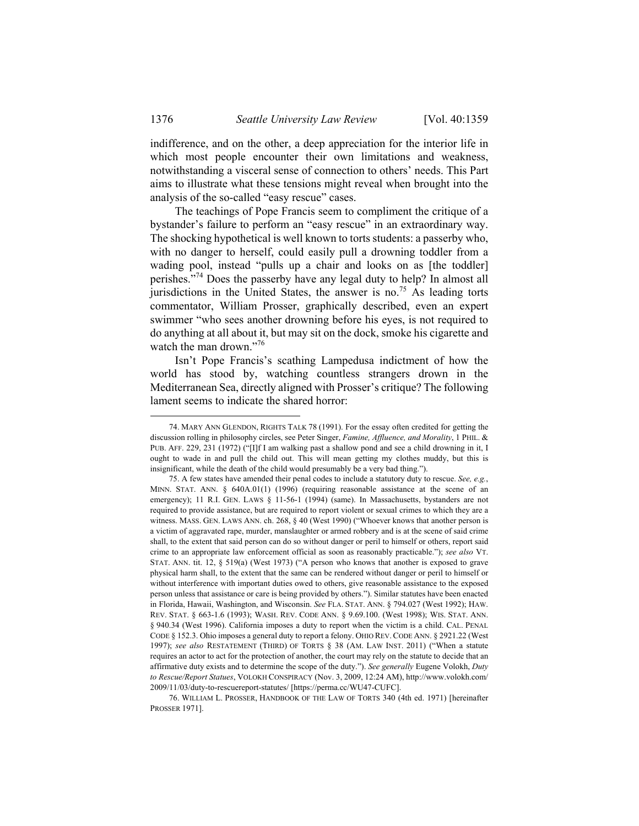indifference, and on the other, a deep appreciation for the interior life in which most people encounter their own limitations and weakness, notwithstanding a visceral sense of connection to others' needs. This Part aims to illustrate what these tensions might reveal when brought into the analysis of the so-called "easy rescue" cases.

The teachings of Pope Francis seem to compliment the critique of a bystander's failure to perform an "easy rescue" in an extraordinary way. The shocking hypothetical is well known to torts students: a passerby who, with no danger to herself, could easily pull a drowning toddler from a wading pool, instead "pulls up a chair and looks on as [the toddler] perishes."74 Does the passerby have any legal duty to help? In almost all jurisdictions in the United States, the answer is no.<sup>75</sup> As leading torts commentator, William Prosser, graphically described, even an expert swimmer "who sees another drowning before his eyes, is not required to do anything at all about it, but may sit on the dock, smoke his cigarette and watch the man drown."<sup>76</sup>

Isn't Pope Francis's scathing Lampedusa indictment of how the world has stood by, watching countless strangers drown in the Mediterranean Sea, directly aligned with Prosser's critique? The following lament seems to indicate the shared horror:

 <sup>74.</sup> MARY ANN GLENDON, RIGHTS TALK 78 (1991). For the essay often credited for getting the discussion rolling in philosophy circles, see Peter Singer, *Famine, Affluence, and Morality*, 1 PHIL. & PUB. AFF. 229, 231 (1972) ("[I]f I am walking past a shallow pond and see a child drowning in it, I ought to wade in and pull the child out. This will mean getting my clothes muddy, but this is insignificant, while the death of the child would presumably be a very bad thing.").

 <sup>75.</sup> A few states have amended their penal codes to include a statutory duty to rescue. *See, e.g.*, MINN. STAT. ANN. § 640A.01(1) (1996) (requiring reasonable assistance at the scene of an emergency); 11 R.I. GEN. LAWS § 11-56-1 (1994) (same). In Massachusetts, bystanders are not required to provide assistance, but are required to report violent or sexual crimes to which they are a witness. MASS. GEN. LAWS ANN. ch. 268,  $\frac{6}{90}$  (West 1990) ("Whoever knows that another person is a victim of aggravated rape, murder, manslaughter or armed robbery and is at the scene of said crime shall, to the extent that said person can do so without danger or peril to himself or others, report said crime to an appropriate law enforcement official as soon as reasonably practicable."); *see also* VT. STAT. ANN. tit. 12, § 519(a) (West 1973) ("A person who knows that another is exposed to grave physical harm shall, to the extent that the same can be rendered without danger or peril to himself or without interference with important duties owed to others, give reasonable assistance to the exposed person unless that assistance or care is being provided by others."). Similar statutes have been enacted in Florida, Hawaii, Washington, and Wisconsin. *See* FLA. STAT. ANN. § 794.027 (West 1992); HAW. REV. STAT. § 663-1.6 (1993); WASH. REV. CODE ANN. § 9.69.100. (West 1998); WIS. STAT. ANN. § 940.34 (West 1996). California imposes a duty to report when the victim is a child. CAL. PENAL CODE § 152.3. Ohio imposes a general duty to report a felony. OHIO REV.CODE ANN. § 2921.22 (West 1997); *see also* RESTATEMENT (THIRD) OF TORTS § 38 (AM. LAW INST. 2011) ("When a statute requires an actor to act for the protection of another, the court may rely on the statute to decide that an affirmative duty exists and to determine the scope of the duty."). *See generally* Eugene Volokh, *Duty to Rescue/Report Statues*, VOLOKH CONSPIRACY (Nov. 3, 2009, 12:24 AM), http://www.volokh.com/ 2009/11/03/duty-to-rescuereport-statutes/ [https://perma.cc/WU47-CUFC].

 <sup>76.</sup> WILLIAM L. PROSSER, HANDBOOK OF THE LAW OF TORTS 340 (4th ed. 1971) [hereinafter PROSSER 1971].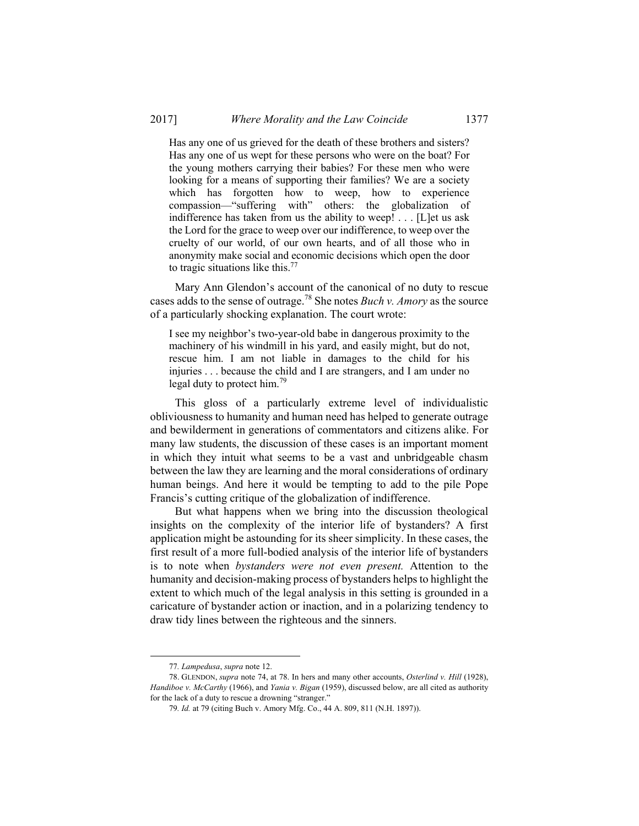Has any one of us grieved for the death of these brothers and sisters? Has any one of us wept for these persons who were on the boat? For the young mothers carrying their babies? For these men who were looking for a means of supporting their families? We are a society which has forgotten how to weep, how to experience compassion—"suffering with" others: the globalization of indifference has taken from us the ability to weep! . . . [L]et us ask the Lord for the grace to weep over our indifference, to weep over the cruelty of our world, of our own hearts, and of all those who in anonymity make social and economic decisions which open the door to tragic situations like this.77

Mary Ann Glendon's account of the canonical of no duty to rescue cases adds to the sense of outrage.78 She notes *Buch v. Amory* as the source of a particularly shocking explanation. The court wrote:

I see my neighbor's two-year-old babe in dangerous proximity to the machinery of his windmill in his yard, and easily might, but do not, rescue him. I am not liable in damages to the child for his injuries . . . because the child and I are strangers, and I am under no legal duty to protect him.<sup>79</sup>

This gloss of a particularly extreme level of individualistic obliviousness to humanity and human need has helped to generate outrage and bewilderment in generations of commentators and citizens alike. For many law students, the discussion of these cases is an important moment in which they intuit what seems to be a vast and unbridgeable chasm between the law they are learning and the moral considerations of ordinary human beings. And here it would be tempting to add to the pile Pope Francis's cutting critique of the globalization of indifference.

But what happens when we bring into the discussion theological insights on the complexity of the interior life of bystanders? A first application might be astounding for its sheer simplicity. In these cases, the first result of a more full-bodied analysis of the interior life of bystanders is to note when *bystanders were not even present.* Attention to the humanity and decision-making process of bystanders helps to highlight the extent to which much of the legal analysis in this setting is grounded in a caricature of bystander action or inaction, and in a polarizing tendency to draw tidy lines between the righteous and the sinners.

 <sup>77</sup>*. Lampedusa*, *supra* note 12.

 <sup>78.</sup> GLENDON, *supra* note 74, at 78. In hers and many other accounts, *Osterlind v. Hill* (1928), *Handiboe v. McCarthy* (1966), and *Yania v. Bigan* (1959), discussed below, are all cited as authority for the lack of a duty to rescue a drowning "stranger."

<sup>79</sup>*. Id.* at 79 (citing Buch v. Amory Mfg. Co., 44 A. 809, 811 (N.H. 1897)).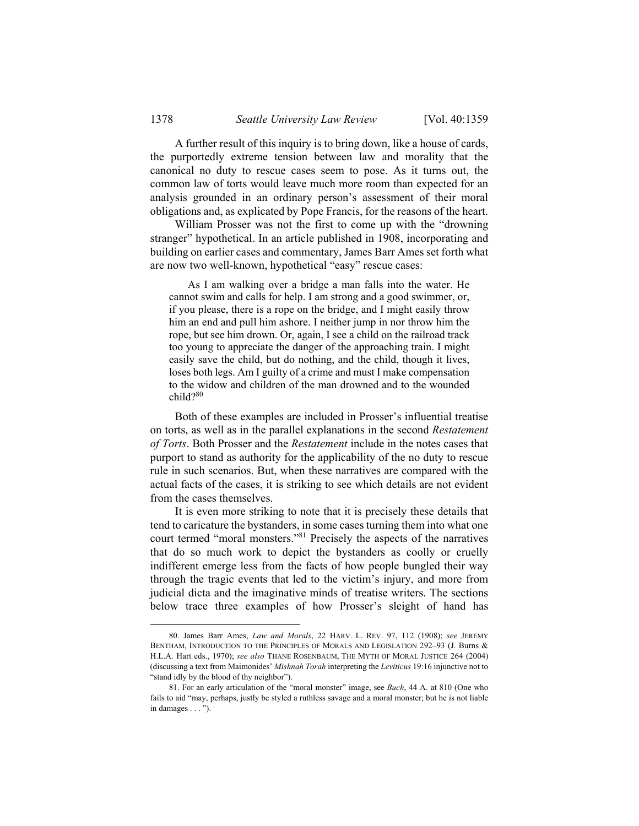A further result of this inquiry is to bring down, like a house of cards, the purportedly extreme tension between law and morality that the canonical no duty to rescue cases seem to pose. As it turns out, the common law of torts would leave much more room than expected for an analysis grounded in an ordinary person's assessment of their moral obligations and, as explicated by Pope Francis, for the reasons of the heart.

William Prosser was not the first to come up with the "drowning stranger" hypothetical. In an article published in 1908, incorporating and building on earlier cases and commentary, James Barr Ames set forth what are now two well-known, hypothetical "easy" rescue cases:

 As I am walking over a bridge a man falls into the water. He cannot swim and calls for help. I am strong and a good swimmer, or, if you please, there is a rope on the bridge, and I might easily throw him an end and pull him ashore. I neither jump in nor throw him the rope, but see him drown. Or, again, I see a child on the railroad track too young to appreciate the danger of the approaching train. I might easily save the child, but do nothing, and the child, though it lives, loses both legs. Am I guilty of a crime and must I make compensation to the widow and children of the man drowned and to the wounded  $child?$ <sup>80</sup>

Both of these examples are included in Prosser's influential treatise on torts, as well as in the parallel explanations in the second *Restatement of Torts*. Both Prosser and the *Restatement* include in the notes cases that purport to stand as authority for the applicability of the no duty to rescue rule in such scenarios. But, when these narratives are compared with the actual facts of the cases, it is striking to see which details are not evident from the cases themselves.

It is even more striking to note that it is precisely these details that tend to caricature the bystanders, in some cases turning them into what one court termed "moral monsters."<sup>81</sup> Precisely the aspects of the narratives that do so much work to depict the bystanders as coolly or cruelly indifferent emerge less from the facts of how people bungled their way through the tragic events that led to the victim's injury, and more from judicial dicta and the imaginative minds of treatise writers. The sections below trace three examples of how Prosser's sleight of hand has

 <sup>80.</sup> James Barr Ames, *Law and Morals*, 22 HARV. L. REV. 97, 112 (1908); *see* JEREMY BENTHAM, INTRODUCTION TO THE PRINCIPLES OF MORALS AND LEGISLATION 292–93 (J. Burns & H.L.A. Hart eds., 1970); *see also* THANE ROSENBAUM, THE MYTH OF MORAL JUSTICE 264 (2004) (discussing a text from Maimonides' *Mishnah Torah* interpreting the *Leviticus* 19:16 injunctive not to "stand idly by the blood of thy neighbor").

 <sup>81.</sup> For an early articulation of the "moral monster" image, see *Buch*, 44 A. at 810 (One who fails to aid "may, perhaps, justly be styled a ruthless savage and a moral monster; but he is not liable in damages . . . ").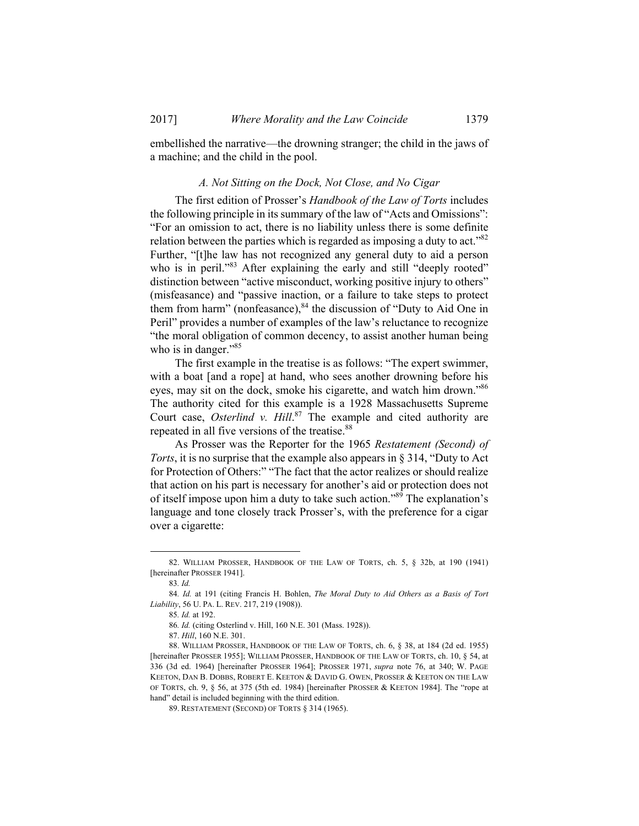embellished the narrative—the drowning stranger; the child in the jaws of a machine; and the child in the pool.

## *A. Not Sitting on the Dock, Not Close, and No Cigar*

The first edition of Prosser's *Handbook of the Law of Torts* includes the following principle in its summary of the law of "Acts and Omissions": "For an omission to act, there is no liability unless there is some definite relation between the parties which is regarded as imposing a duty to act."<sup>82</sup> Further, "[t]he law has not recognized any general duty to aid a person who is in peril."<sup>83</sup> After explaining the early and still "deeply rooted" distinction between "active misconduct, working positive injury to others" (misfeasance) and "passive inaction, or a failure to take steps to protect them from harm" (nonfeasance), $84$  the discussion of "Duty to Aid One in Peril" provides a number of examples of the law's reluctance to recognize "the moral obligation of common decency, to assist another human being who is in danger."<sup>85</sup>

The first example in the treatise is as follows: "The expert swimmer, with a boat [and a rope] at hand, who sees another drowning before his eyes, may sit on the dock, smoke his cigarette, and watch him drown."86 The authority cited for this example is a 1928 Massachusetts Supreme Court case, *Osterlind v. Hill*. 87 The example and cited authority are repeated in all five versions of the treatise.<sup>88</sup>

As Prosser was the Reporter for the 1965 *Restatement (Second) of Torts*, it is no surprise that the example also appears in § 314, "Duty to Act for Protection of Others:" "The fact that the actor realizes or should realize that action on his part is necessary for another's aid or protection does not of itself impose upon him a duty to take such action."<sup>89</sup> The explanation's language and tone closely track Prosser's, with the preference for a cigar over a cigarette:

 <sup>82.</sup> WILLIAM PROSSER, HANDBOOK OF THE LAW OF TORTS, ch. 5, § 32b, at 190 (1941) [hereinafter PROSSER 1941].

<sup>83</sup>*. Id.*

<sup>84</sup>*. Id.* at 191 (citing Francis H. Bohlen, *The Moral Duty to Aid Others as a Basis of Tort Liability*, 56 U. PA. L. REV. 217, 219 (1908)).

<sup>85</sup>*. Id.* at 192.

<sup>86</sup>*. Id.* (citing Osterlind v. Hill, 160 N.E. 301 (Mass. 1928)).

 <sup>87.</sup> *Hill*, 160 N.E. 301.

 <sup>88.</sup> WILLIAM PROSSER, HANDBOOK OF THE LAW OF TORTS, ch. 6, § 38, at 184 (2d ed. 1955) [hereinafter PROSSER 1955]; WILLIAM PROSSER, HANDBOOK OF THE LAW OF TORTS, ch. 10, § 54, at 336 (3d ed. 1964) [hereinafter PROSSER 1964]; PROSSER 1971, *supra* note 76, at 340; W. PAGE KEETON, DAN B. DOBBS, ROBERT E. KEETON & DAVID G. OWEN, PROSSER & KEETON ON THE LAW OF TORTS, ch. 9, § 56, at 375 (5th ed. 1984) [hereinafter PROSSER & KEETON 1984]. The "rope at hand" detail is included beginning with the third edition.

 <sup>89.</sup> RESTATEMENT (SECOND) OF TORTS § 314 (1965).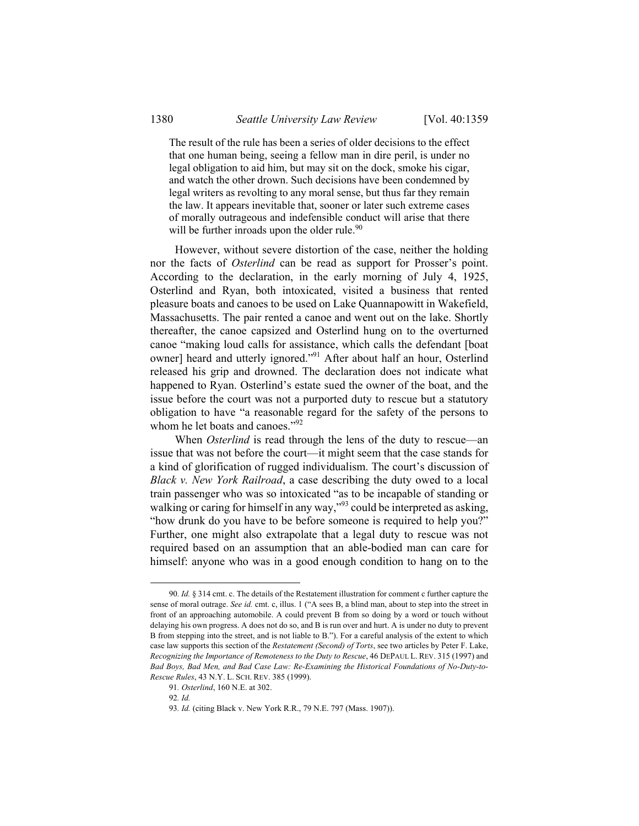The result of the rule has been a series of older decisions to the effect that one human being, seeing a fellow man in dire peril, is under no legal obligation to aid him, but may sit on the dock, smoke his cigar, and watch the other drown. Such decisions have been condemned by legal writers as revolting to any moral sense, but thus far they remain the law. It appears inevitable that, sooner or later such extreme cases of morally outrageous and indefensible conduct will arise that there will be further inroads upon the older rule.<sup>90</sup>

However, without severe distortion of the case, neither the holding nor the facts of *Osterlind* can be read as support for Prosser's point. According to the declaration, in the early morning of July 4, 1925, Osterlind and Ryan, both intoxicated, visited a business that rented pleasure boats and canoes to be used on Lake Quannapowitt in Wakefield, Massachusetts. The pair rented a canoe and went out on the lake. Shortly thereafter, the canoe capsized and Osterlind hung on to the overturned canoe "making loud calls for assistance, which calls the defendant [boat owner] heard and utterly ignored."91 After about half an hour, Osterlind released his grip and drowned. The declaration does not indicate what happened to Ryan. Osterlind's estate sued the owner of the boat, and the issue before the court was not a purported duty to rescue but a statutory obligation to have "a reasonable regard for the safety of the persons to whom he let boats and canoes."92

When *Osterlind* is read through the lens of the duty to rescue—an issue that was not before the court—it might seem that the case stands for a kind of glorification of rugged individualism. The court's discussion of *Black v. New York Railroad*, a case describing the duty owed to a local train passenger who was so intoxicated "as to be incapable of standing or walking or caring for himself in any way,"<sup>93</sup> could be interpreted as asking, "how drunk do you have to be before someone is required to help you?" Further, one might also extrapolate that a legal duty to rescue was not required based on an assumption that an able-bodied man can care for himself: anyone who was in a good enough condition to hang on to the

 <sup>90</sup>*. Id.* § 314 cmt. c. The details of the Restatement illustration for comment c further capture the sense of moral outrage. *See id.* cmt. c, illus. 1 ("A sees B, a blind man, about to step into the street in front of an approaching automobile. A could prevent B from so doing by a word or touch without delaying his own progress. A does not do so, and B is run over and hurt. A is under no duty to prevent B from stepping into the street, and is not liable to B."). For a careful analysis of the extent to which case law supports this section of the *Restatement (Second) of Torts*, see two articles by Peter F. Lake, *Recognizing the Importance of Remoteness to the Duty to Rescue*, 46 DEPAUL L. REV. 315 (1997) and *Bad Boys, Bad Men, and Bad Case Law: Re-Examining the Historical Foundations of No-Duty-to-Rescue Rules*, 43 N.Y. L. SCH. REV. 385 (1999).

<sup>91</sup>*. Osterlind*, 160 N.E. at 302.

<sup>92</sup>*. Id.*

<sup>93</sup>*. Id.* (citing Black v. New York R.R., 79 N.E. 797 (Mass. 1907)).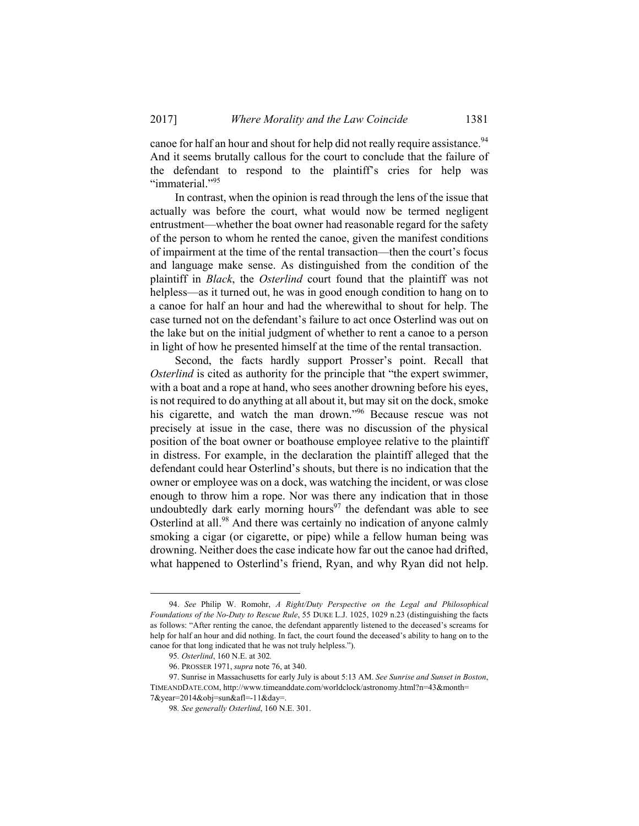canoe for half an hour and shout for help did not really require assistance.<sup>94</sup> And it seems brutally callous for the court to conclude that the failure of the defendant to respond to the plaintiff's cries for help was "immaterial."<sup>95</sup>

In contrast, when the opinion is read through the lens of the issue that actually was before the court, what would now be termed negligent entrustment—whether the boat owner had reasonable regard for the safety of the person to whom he rented the canoe, given the manifest conditions of impairment at the time of the rental transaction—then the court's focus and language make sense. As distinguished from the condition of the plaintiff in *Black*, the *Osterlind* court found that the plaintiff was not helpless—as it turned out, he was in good enough condition to hang on to a canoe for half an hour and had the wherewithal to shout for help. The case turned not on the defendant's failure to act once Osterlind was out on the lake but on the initial judgment of whether to rent a canoe to a person in light of how he presented himself at the time of the rental transaction.

Second, the facts hardly support Prosser's point. Recall that *Osterlind* is cited as authority for the principle that "the expert swimmer, with a boat and a rope at hand, who sees another drowning before his eyes, is not required to do anything at all about it, but may sit on the dock, smoke his cigarette, and watch the man drown.<sup>"96</sup> Because rescue was not precisely at issue in the case, there was no discussion of the physical position of the boat owner or boathouse employee relative to the plaintiff in distress. For example, in the declaration the plaintiff alleged that the defendant could hear Osterlind's shouts, but there is no indication that the owner or employee was on a dock, was watching the incident, or was close enough to throw him a rope. Nor was there any indication that in those undoubtedly dark early morning hours<sup>97</sup> the defendant was able to see Osterlind at all.98 And there was certainly no indication of anyone calmly smoking a cigar (or cigarette, or pipe) while a fellow human being was drowning. Neither does the case indicate how far out the canoe had drifted, what happened to Osterlind's friend, Ryan, and why Ryan did not help.

 <sup>94.</sup> *See* Philip W. Romohr, *A Right/Duty Perspective on the Legal and Philosophical Foundations of the No-Duty to Rescue Rule*, 55 DUKE L.J. 1025, 1029 n.23 (distinguishing the facts as follows: "After renting the canoe, the defendant apparently listened to the deceased's screams for help for half an hour and did nothing. In fact, the court found the deceased's ability to hang on to the canoe for that long indicated that he was not truly helpless.").

<sup>95</sup>*. Osterlind*, 160 N.E. at 302*.*

 <sup>96.</sup> PROSSER 1971, *supra* note 76, at 340.

 <sup>97.</sup> Sunrise in Massachusetts for early July is about 5:13 AM. *See Sunrise and Sunset in Boston*, TIMEANDDATE.COM, http://www.timeanddate.com/worldclock/astronomy.html?n=43&month= 7&year=2014&obj=sun&afl=-11&day=.

<sup>98</sup>*. See generally Osterlind*, 160 N.E. 301.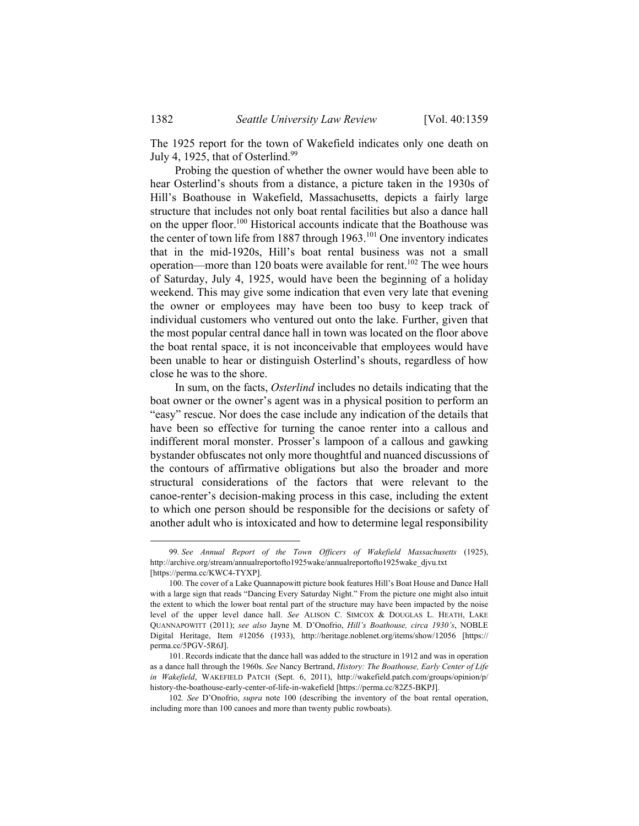The 1925 report for the town of Wakefield indicates only one death on July 4, 1925, that of Osterlind. $99$ 

Probing the question of whether the owner would have been able to hear Osterlind's shouts from a distance, a picture taken in the 1930s of Hill's Boathouse in Wakefield, Massachusetts, depicts a fairly large structure that includes not only boat rental facilities but also a dance hall on the upper floor.100 Historical accounts indicate that the Boathouse was the center of town life from 1887 through  $1963$ .<sup>101</sup> One inventory indicates that in the mid-1920s, Hill's boat rental business was not a small operation—more than 120 boats were available for rent.<sup>102</sup> The wee hours of Saturday, July 4, 1925, would have been the beginning of a holiday weekend. This may give some indication that even very late that evening the owner or employees may have been too busy to keep track of individual customers who ventured out onto the lake. Further, given that the most popular central dance hall in town was located on the floor above the boat rental space, it is not inconceivable that employees would have been unable to hear or distinguish Osterlind's shouts, regardless of how close he was to the shore.

In sum, on the facts, *Osterlind* includes no details indicating that the boat owner or the owner's agent was in a physical position to perform an "easy" rescue. Nor does the case include any indication of the details that have been so effective for turning the canoe renter into a callous and indifferent moral monster. Prosser's lampoon of a callous and gawking bystander obfuscates not only more thoughtful and nuanced discussions of the contours of affirmative obligations but also the broader and more structural considerations of the factors that were relevant to the canoe-renter's decision-making process in this case, including the extent to which one person should be responsible for the decisions or safety of another adult who is intoxicated and how to determine legal responsibility

 <sup>99</sup>*. See Annual Report of the Town Officers of Wakefield Massachusetts* (1925), http://archive.org/stream/annualreportofto1925wake/annualreportofto1925wake\_djvu.txt [https://perma.cc/KWC4-TYXP].

 <sup>100.</sup> The cover of a Lake Quannapowitt picture book features Hill's Boat House and Dance Hall with a large sign that reads "Dancing Every Saturday Night." From the picture one might also intuit the extent to which the lower boat rental part of the structure may have been impacted by the noise level of the upper level dance hall. *See* ALISON C. SIMCOX & DOUGLAS L. HEATH, LAKE QUANNAPOWITT (2011); *see also* Jayne M. D'Onofrio, *Hill's Boathouse, circa 1930's*, NOBLE Digital Heritage, Item #12056 (1933), http://heritage.noblenet.org/items/show/12056 [https:// perma.cc/5PGV-5R6J].

 <sup>101.</sup> Records indicate that the dance hall was added to the structure in 1912 and was in operation as a dance hall through the 1960s. *See* Nancy Bertrand, *History: The Boathouse, Early Center of Life in Wakefield*, WAKEFIELD PATCH (Sept. 6, 2011), http://wakefield.patch.com/groups/opinion/p/ history-the-boathouse-early-center-of-life-in-wakefield [https://perma.cc/82Z5-BKPJ].

<sup>102</sup>*. See* D'Onofrio, *supra* note 100 (describing the inventory of the boat rental operation, including more than 100 canoes and more than twenty public rowboats).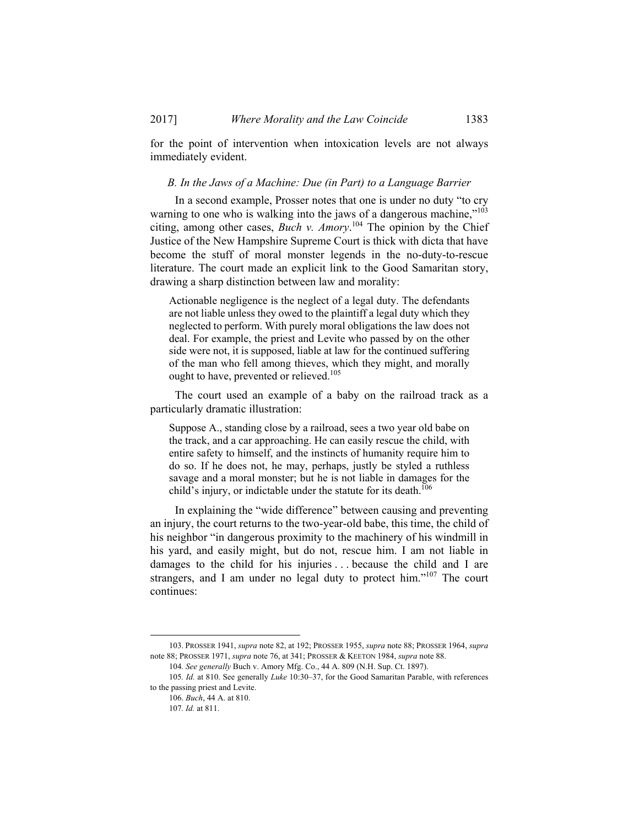for the point of intervention when intoxication levels are not always immediately evident.

#### *B. In the Jaws of a Machine: Due (in Part) to a Language Barrier*

In a second example, Prosser notes that one is under no duty "to cry warning to one who is walking into the jaws of a dangerous machine," $103$ citing, among other cases, *Buch v. Amory*. 104 The opinion by the Chief Justice of the New Hampshire Supreme Court is thick with dicta that have become the stuff of moral monster legends in the no-duty-to-rescue literature. The court made an explicit link to the Good Samaritan story, drawing a sharp distinction between law and morality:

Actionable negligence is the neglect of a legal duty. The defendants are not liable unless they owed to the plaintiff a legal duty which they neglected to perform. With purely moral obligations the law does not deal. For example, the priest and Levite who passed by on the other side were not, it is supposed, liable at law for the continued suffering of the man who fell among thieves, which they might, and morally ought to have, prevented or relieved.105

The court used an example of a baby on the railroad track as a particularly dramatic illustration:

Suppose A., standing close by a railroad, sees a two year old babe on the track, and a car approaching. He can easily rescue the child, with entire safety to himself, and the instincts of humanity require him to do so. If he does not, he may, perhaps, justly be styled a ruthless savage and a moral monster; but he is not liable in damages for the child's injury, or indictable under the statute for its death.<sup>106</sup>

In explaining the "wide difference" between causing and preventing an injury, the court returns to the two-year-old babe, this time, the child of his neighbor "in dangerous proximity to the machinery of his windmill in his yard, and easily might, but do not, rescue him. I am not liable in damages to the child for his injuries . . . because the child and I are strangers, and I am under no legal duty to protect him."<sup>107</sup> The court continues:

 <sup>103.</sup> PROSSER 1941, *supra* note 82, at 192; PROSSER 1955, *supra* note 88; PROSSER 1964, *supra* note 88; PROSSER 1971, *supra* note 76, at 341; PROSSER & KEETON 1984, *supra* note 88.

<sup>104</sup>*. See generally* Buch v. Amory Mfg. Co., 44 A. 809 (N.H. Sup. Ct. 1897).

<sup>105</sup>*. Id.* at 810. See generally *Luke* 10:30–37, for the Good Samaritan Parable, with references to the passing priest and Levite.

 <sup>106.</sup> *Buch*, 44 A. at 810.

<sup>107</sup>*. Id.* at 811.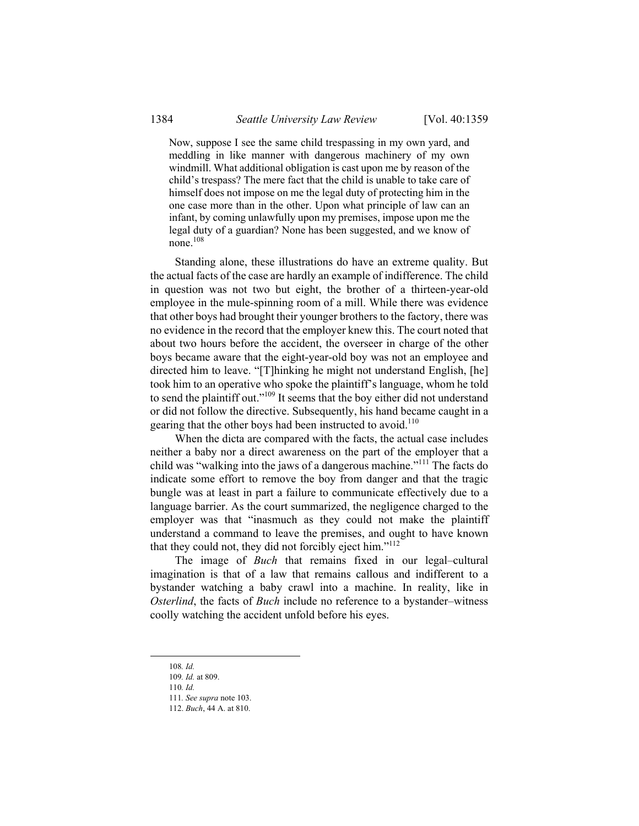Now, suppose I see the same child trespassing in my own yard, and meddling in like manner with dangerous machinery of my own windmill. What additional obligation is cast upon me by reason of the child's trespass? The mere fact that the child is unable to take care of himself does not impose on me the legal duty of protecting him in the one case more than in the other. Upon what principle of law can an infant, by coming unlawfully upon my premises, impose upon me the legal duty of a guardian? None has been suggested, and we know of none.108

Standing alone, these illustrations do have an extreme quality. But the actual facts of the case are hardly an example of indifference. The child in question was not two but eight, the brother of a thirteen-year-old employee in the mule-spinning room of a mill. While there was evidence that other boys had brought their younger brothers to the factory, there was no evidence in the record that the employer knew this. The court noted that about two hours before the accident, the overseer in charge of the other boys became aware that the eight-year-old boy was not an employee and directed him to leave. "[T]hinking he might not understand English, [he] took him to an operative who spoke the plaintiff's language, whom he told to send the plaintiff out."109 It seems that the boy either did not understand or did not follow the directive. Subsequently, his hand became caught in a gearing that the other boys had been instructed to avoid.<sup>110</sup>

When the dicta are compared with the facts, the actual case includes neither a baby nor a direct awareness on the part of the employer that a child was "walking into the jaws of a dangerous machine."111 The facts do indicate some effort to remove the boy from danger and that the tragic bungle was at least in part a failure to communicate effectively due to a language barrier. As the court summarized, the negligence charged to the employer was that "inasmuch as they could not make the plaintiff understand a command to leave the premises, and ought to have known that they could not, they did not forcibly eject him."<sup>112</sup>

The image of *Buch* that remains fixed in our legal–cultural imagination is that of a law that remains callous and indifferent to a bystander watching a baby crawl into a machine. In reality, like in *Osterlind*, the facts of *Buch* include no reference to a bystander–witness coolly watching the accident unfold before his eyes.

 <sup>108</sup>*. Id.*

<sup>109</sup>*. Id.* at 809.

<sup>110</sup>*. Id.*

<sup>111</sup>*. See supra* note 103.

 <sup>112.</sup> *Buch*, 44 A. at 810.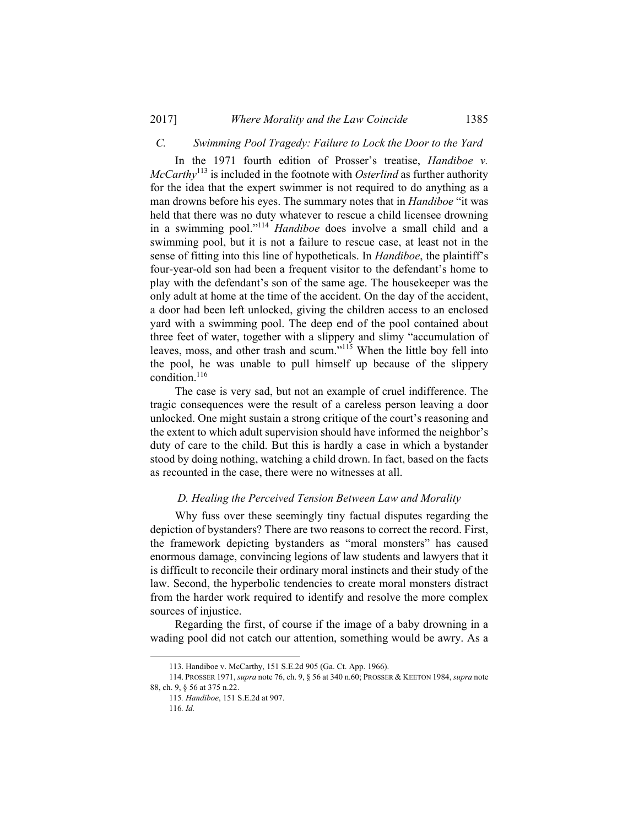## *C. Swimming Pool Tragedy: Failure to Lock the Door to the Yard*

In the 1971 fourth edition of Prosser's treatise, *Handiboe v. McCarthy*113 is included in the footnote with *Osterlind* as further authority for the idea that the expert swimmer is not required to do anything as a man drowns before his eyes. The summary notes that in *Handiboe* "it was held that there was no duty whatever to rescue a child licensee drowning in a swimming pool."114 *Handiboe* does involve a small child and a swimming pool, but it is not a failure to rescue case, at least not in the sense of fitting into this line of hypotheticals. In *Handiboe*, the plaintiff's four-year-old son had been a frequent visitor to the defendant's home to play with the defendant's son of the same age. The housekeeper was the only adult at home at the time of the accident. On the day of the accident, a door had been left unlocked, giving the children access to an enclosed yard with a swimming pool. The deep end of the pool contained about three feet of water, together with a slippery and slimy "accumulation of leaves, moss, and other trash and scum."<sup>115</sup> When the little boy fell into the pool, he was unable to pull himself up because of the slippery condition.<sup>116</sup>

The case is very sad, but not an example of cruel indifference. The tragic consequences were the result of a careless person leaving a door unlocked. One might sustain a strong critique of the court's reasoning and the extent to which adult supervision should have informed the neighbor's duty of care to the child. But this is hardly a case in which a bystander stood by doing nothing, watching a child drown. In fact, based on the facts as recounted in the case, there were no witnesses at all.

#### *D. Healing the Perceived Tension Between Law and Morality*

Why fuss over these seemingly tiny factual disputes regarding the depiction of bystanders? There are two reasons to correct the record. First, the framework depicting bystanders as "moral monsters" has caused enormous damage, convincing legions of law students and lawyers that it is difficult to reconcile their ordinary moral instincts and their study of the law. Second, the hyperbolic tendencies to create moral monsters distract from the harder work required to identify and resolve the more complex sources of injustice.

Regarding the first, of course if the image of a baby drowning in a wading pool did not catch our attention, something would be awry. As a

116*. Id.*

 <sup>113.</sup> Handiboe v. McCarthy, 151 S.E.2d 905 (Ga. Ct. App. 1966).

 <sup>114.</sup> PROSSER 1971, *supra* note 76, ch. 9, § 56 at 340 n.60; PROSSER & KEETON 1984, *supra* note 88, ch. 9, § 56 at 375 n.22.

<sup>115</sup>*. Handiboe*, 151 S.E.2d at 907.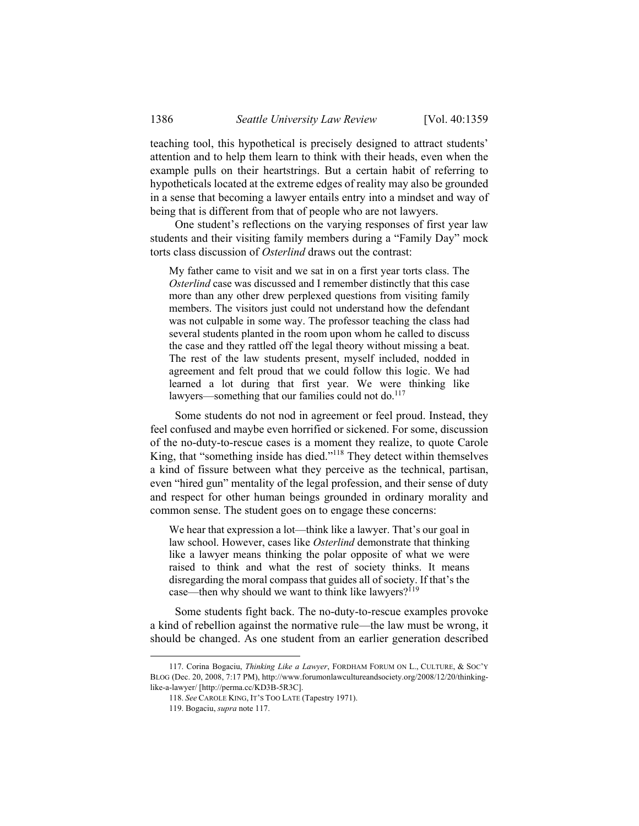teaching tool, this hypothetical is precisely designed to attract students' attention and to help them learn to think with their heads, even when the example pulls on their heartstrings. But a certain habit of referring to hypotheticals located at the extreme edges of reality may also be grounded in a sense that becoming a lawyer entails entry into a mindset and way of being that is different from that of people who are not lawyers.

One student's reflections on the varying responses of first year law students and their visiting family members during a "Family Day" mock torts class discussion of *Osterlind* draws out the contrast:

My father came to visit and we sat in on a first year torts class. The *Osterlind* case was discussed and I remember distinctly that this case more than any other drew perplexed questions from visiting family members. The visitors just could not understand how the defendant was not culpable in some way. The professor teaching the class had several students planted in the room upon whom he called to discuss the case and they rattled off the legal theory without missing a beat. The rest of the law students present, myself included, nodded in agreement and felt proud that we could follow this logic. We had learned a lot during that first year. We were thinking like lawyers—something that our families could not do.<sup>117</sup>

Some students do not nod in agreement or feel proud. Instead, they feel confused and maybe even horrified or sickened. For some, discussion of the no-duty-to-rescue cases is a moment they realize, to quote Carole King, that "something inside has died."118 They detect within themselves a kind of fissure between what they perceive as the technical, partisan, even "hired gun" mentality of the legal profession, and their sense of duty and respect for other human beings grounded in ordinary morality and common sense. The student goes on to engage these concerns:

We hear that expression a lot—think like a lawyer. That's our goal in law school. However, cases like *Osterlind* demonstrate that thinking like a lawyer means thinking the polar opposite of what we were raised to think and what the rest of society thinks. It means disregarding the moral compass that guides all of society. If that's the case—then why should we want to think like lawyers?<sup>119</sup>

Some students fight back. The no-duty-to-rescue examples provoke a kind of rebellion against the normative rule—the law must be wrong, it should be changed. As one student from an earlier generation described

 <sup>117.</sup> Corina Bogaciu, *Thinking Like a Lawyer*, FORDHAM FORUM ON L., CULTURE, & SOC'Y BLOG (Dec. 20, 2008, 7:17 PM), http://www.forumonlawcultureandsociety.org/2008/12/20/thinkinglike-a-lawyer/ [http://perma.cc/KD3B-5R3C].

 <sup>118.</sup> *See* CAROLE KING, IT'S TOO LATE (Tapestry 1971).

 <sup>119.</sup> Bogaciu, *supra* note 117.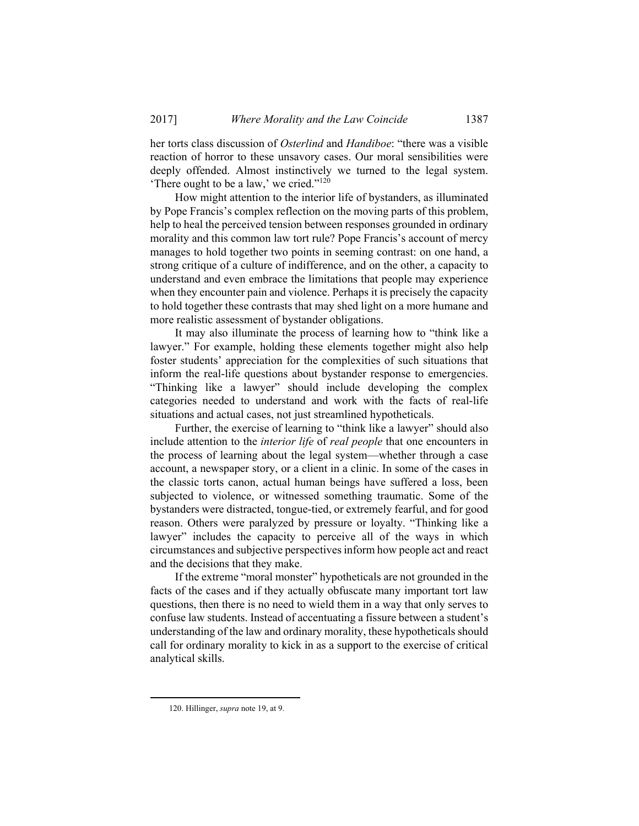her torts class discussion of *Osterlind* and *Handiboe*: "there was a visible reaction of horror to these unsavory cases. Our moral sensibilities were deeply offended. Almost instinctively we turned to the legal system. 'There ought to be a law,' we cried."120

How might attention to the interior life of bystanders, as illuminated by Pope Francis's complex reflection on the moving parts of this problem, help to heal the perceived tension between responses grounded in ordinary morality and this common law tort rule? Pope Francis's account of mercy manages to hold together two points in seeming contrast: on one hand, a strong critique of a culture of indifference, and on the other, a capacity to understand and even embrace the limitations that people may experience when they encounter pain and violence. Perhaps it is precisely the capacity to hold together these contrasts that may shed light on a more humane and more realistic assessment of bystander obligations.

It may also illuminate the process of learning how to "think like a lawyer." For example, holding these elements together might also help foster students' appreciation for the complexities of such situations that inform the real-life questions about bystander response to emergencies. "Thinking like a lawyer" should include developing the complex categories needed to understand and work with the facts of real-life situations and actual cases, not just streamlined hypotheticals.

Further, the exercise of learning to "think like a lawyer" should also include attention to the *interior life* of *real people* that one encounters in the process of learning about the legal system—whether through a case account, a newspaper story, or a client in a clinic. In some of the cases in the classic torts canon, actual human beings have suffered a loss, been subjected to violence, or witnessed something traumatic. Some of the bystanders were distracted, tongue-tied, or extremely fearful, and for good reason. Others were paralyzed by pressure or loyalty. "Thinking like a lawyer" includes the capacity to perceive all of the ways in which circumstances and subjective perspectives inform how people act and react and the decisions that they make.

If the extreme "moral monster" hypotheticals are not grounded in the facts of the cases and if they actually obfuscate many important tort law questions, then there is no need to wield them in a way that only serves to confuse law students. Instead of accentuating a fissure between a student's understanding of the law and ordinary morality, these hypotheticals should call for ordinary morality to kick in as a support to the exercise of critical analytical skills.

 <sup>120.</sup> Hillinger, *supra* note 19, at 9.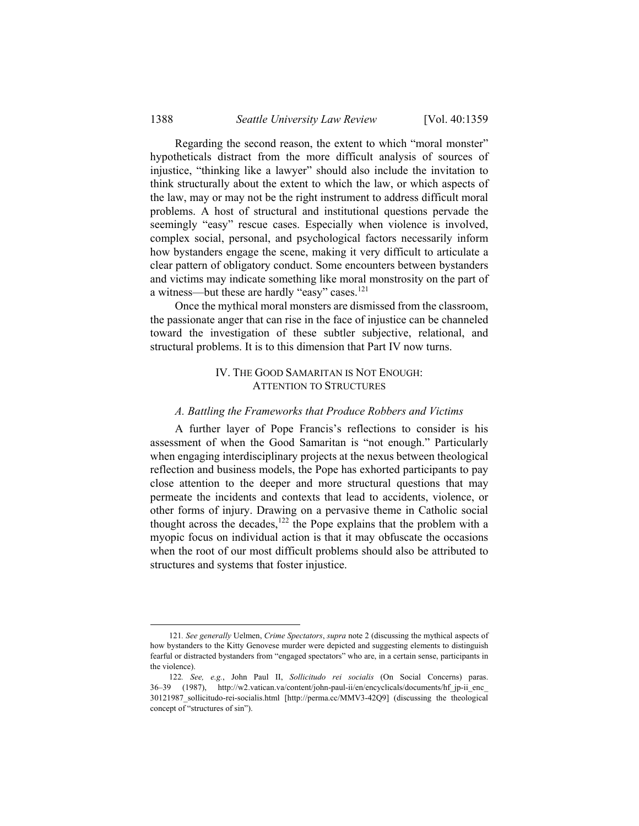Regarding the second reason, the extent to which "moral monster" hypotheticals distract from the more difficult analysis of sources of injustice, "thinking like a lawyer" should also include the invitation to think structurally about the extent to which the law, or which aspects of the law, may or may not be the right instrument to address difficult moral problems. A host of structural and institutional questions pervade the seemingly "easy" rescue cases. Especially when violence is involved, complex social, personal, and psychological factors necessarily inform how bystanders engage the scene, making it very difficult to articulate a clear pattern of obligatory conduct. Some encounters between bystanders and victims may indicate something like moral monstrosity on the part of a witness—but these are hardly "easy" cases.<sup>121</sup>

Once the mythical moral monsters are dismissed from the classroom, the passionate anger that can rise in the face of injustice can be channeled toward the investigation of these subtler subjective, relational, and structural problems. It is to this dimension that Part IV now turns.

## IV. THE GOOD SAMARITAN IS NOT ENOUGH: ATTENTION TO STRUCTURES

#### *A. Battling the Frameworks that Produce Robbers and Victims*

A further layer of Pope Francis's reflections to consider is his assessment of when the Good Samaritan is "not enough." Particularly when engaging interdisciplinary projects at the nexus between theological reflection and business models, the Pope has exhorted participants to pay close attention to the deeper and more structural questions that may permeate the incidents and contexts that lead to accidents, violence, or other forms of injury. Drawing on a pervasive theme in Catholic social thought across the decades, $122$  the Pope explains that the problem with a myopic focus on individual action is that it may obfuscate the occasions when the root of our most difficult problems should also be attributed to structures and systems that foster injustice.

 <sup>121</sup>*. See generally* Uelmen, *Crime Spectators*, *supra* note 2 (discussing the mythical aspects of how bystanders to the Kitty Genovese murder were depicted and suggesting elements to distinguish fearful or distracted bystanders from "engaged spectators" who are, in a certain sense, participants in the violence).

<sup>122</sup>*. See, e.g.*, John Paul II, *Sollicitudo rei socialis* (On Social Concerns) paras. 36–39 (1987), http://w2.vatican.va/content/john-paul-ii/en/encyclicals/documents/hf\_jp-ii\_enc\_ 30121987\_sollicitudo-rei-socialis.html [http://perma.cc/MMV3-42Q9] (discussing the theological concept of "structures of sin").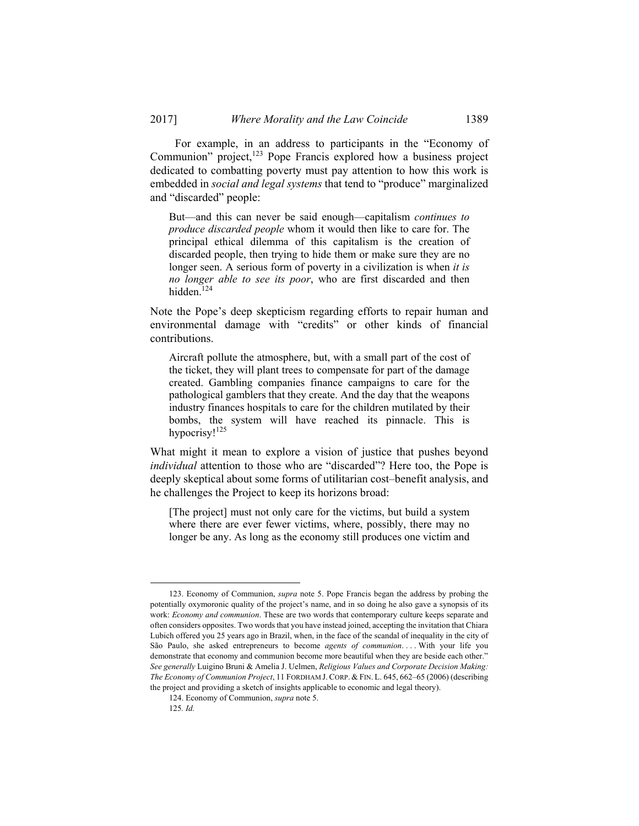For example, in an address to participants in the "Economy of Communion" project, $123$  Pope Francis explored how a business project dedicated to combatting poverty must pay attention to how this work is embedded in *social and legal systems* that tend to "produce" marginalized and "discarded" people:

But—and this can never be said enough—capitalism *continues to produce discarded people* whom it would then like to care for. The principal ethical dilemma of this capitalism is the creation of discarded people, then trying to hide them or make sure they are no longer seen. A serious form of poverty in a civilization is when *it is no longer able to see its poor*, who are first discarded and then hidden.<sup>124</sup>

Note the Pope's deep skepticism regarding efforts to repair human and environmental damage with "credits" or other kinds of financial contributions.

Aircraft pollute the atmosphere, but, with a small part of the cost of the ticket, they will plant trees to compensate for part of the damage created. Gambling companies finance campaigns to care for the pathological gamblers that they create. And the day that the weapons industry finances hospitals to care for the children mutilated by their bombs, the system will have reached its pinnacle. This is hypocrisy!<sup>125</sup>

What might it mean to explore a vision of justice that pushes beyond *individual* attention to those who are "discarded"? Here too, the Pope is deeply skeptical about some forms of utilitarian cost–benefit analysis, and he challenges the Project to keep its horizons broad:

[The project] must not only care for the victims, but build a system where there are ever fewer victims, where, possibly, there may no longer be any. As long as the economy still produces one victim and

 <sup>123.</sup> Economy of Communion, *supra* note 5. Pope Francis began the address by probing the potentially oxymoronic quality of the project's name, and in so doing he also gave a synopsis of its work: *Economy and communion*. These are two words that contemporary culture keeps separate and often considers opposites. Two words that you have instead joined, accepting the invitation that Chiara Lubich offered you 25 years ago in Brazil, when, in the face of the scandal of inequality in the city of São Paulo, she asked entrepreneurs to become *agents of communion*. . . . With your life you demonstrate that economy and communion become more beautiful when they are beside each other." *See generally* Luigino Bruni & Amelia J. Uelmen, *Religious Values and Corporate Decision Making: The Economy of Communion Project*, 11 FORDHAM J. CORP. & FIN. L. 645, 662–65 (2006) (describing the project and providing a sketch of insights applicable to economic and legal theory).

 <sup>124.</sup> Economy of Communion, *supra* note 5.

<sup>125</sup>*. Id.*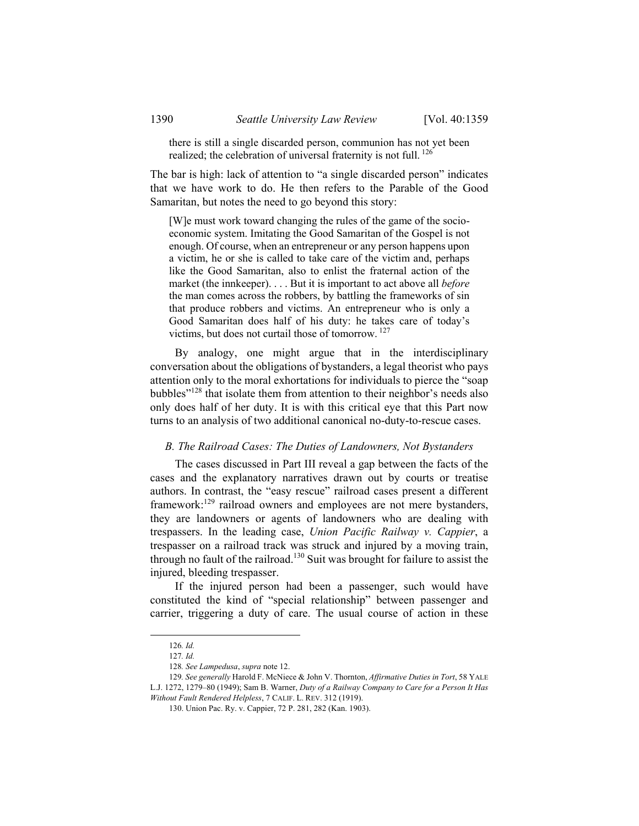there is still a single discarded person, communion has not yet been realized; the celebration of universal fraternity is not full. <sup>126</sup>

The bar is high: lack of attention to "a single discarded person" indicates that we have work to do. He then refers to the Parable of the Good Samaritan, but notes the need to go beyond this story:

[W]e must work toward changing the rules of the game of the socioeconomic system. Imitating the Good Samaritan of the Gospel is not enough. Of course, when an entrepreneur or any person happens upon a victim, he or she is called to take care of the victim and, perhaps like the Good Samaritan, also to enlist the fraternal action of the market (the innkeeper). . . . But it is important to act above all *before* the man comes across the robbers, by battling the frameworks of sin that produce robbers and victims. An entrepreneur who is only a Good Samaritan does half of his duty: he takes care of today's victims, but does not curtail those of tomorrow. 127

By analogy, one might argue that in the interdisciplinary conversation about the obligations of bystanders, a legal theorist who pays attention only to the moral exhortations for individuals to pierce the "soap bubbles"128 that isolate them from attention to their neighbor's needs also only does half of her duty. It is with this critical eye that this Part now turns to an analysis of two additional canonical no-duty-to-rescue cases.

## *B. The Railroad Cases: The Duties of Landowners, Not Bystanders*

The cases discussed in Part III reveal a gap between the facts of the cases and the explanatory narratives drawn out by courts or treatise authors. In contrast, the "easy rescue" railroad cases present a different framework:129 railroad owners and employees are not mere bystanders, they are landowners or agents of landowners who are dealing with trespassers. In the leading case, *Union Pacific Railway v. Cappier*, a trespasser on a railroad track was struck and injured by a moving train, through no fault of the railroad.130 Suit was brought for failure to assist the injured, bleeding trespasser.

If the injured person had been a passenger, such would have constituted the kind of "special relationship" between passenger and carrier, triggering a duty of care. The usual course of action in these

 <sup>126</sup>*. Id.*

<sup>127</sup>*. Id.*

<sup>128</sup>*. See Lampedusa*, *supra* note 12.

<sup>129</sup>*. See generally* Harold F. McNiece & John V. Thornton, *Affirmative Duties in Tort*, 58 YALE L.J. 1272, 1279–80 (1949); Sam B. Warner, *Duty of a Railway Company to Care for a Person It Has Without Fault Rendered Helpless*, 7 CALIF. L. REV. 312 (1919).

 <sup>130.</sup> Union Pac. Ry. v. Cappier, 72 P. 281, 282 (Kan. 1903).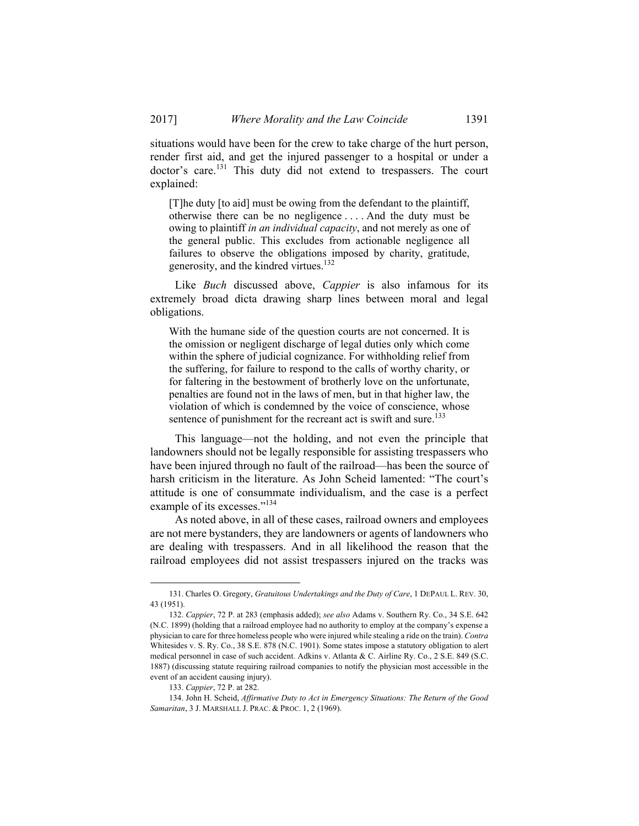situations would have been for the crew to take charge of the hurt person, render first aid, and get the injured passenger to a hospital or under a doctor's care.<sup>131</sup> This duty did not extend to trespassers. The court explained:

[T]he duty [to aid] must be owing from the defendant to the plaintiff, otherwise there can be no negligence . . . . And the duty must be owing to plaintiff *in an individual capacity*, and not merely as one of the general public. This excludes from actionable negligence all failures to observe the obligations imposed by charity, gratitude, generosity, and the kindred virtues.<sup>132</sup>

Like *Buch* discussed above, *Cappier* is also infamous for its extremely broad dicta drawing sharp lines between moral and legal obligations.

With the humane side of the question courts are not concerned. It is the omission or negligent discharge of legal duties only which come within the sphere of judicial cognizance. For withholding relief from the suffering, for failure to respond to the calls of worthy charity, or for faltering in the bestowment of brotherly love on the unfortunate, penalties are found not in the laws of men, but in that higher law, the violation of which is condemned by the voice of conscience, whose sentence of punishment for the recreant act is swift and sure.<sup>133</sup>

This language—not the holding, and not even the principle that landowners should not be legally responsible for assisting trespassers who have been injured through no fault of the railroad—has been the source of harsh criticism in the literature. As John Scheid lamented: "The court's attitude is one of consummate individualism, and the case is a perfect example of its excesses."<sup>134</sup>

As noted above, in all of these cases, railroad owners and employees are not mere bystanders, they are landowners or agents of landowners who are dealing with trespassers. And in all likelihood the reason that the railroad employees did not assist trespassers injured on the tracks was

 <sup>131.</sup> Charles O. Gregory, *Gratuitous Undertakings and the Duty of Care*, 1 DEPAUL L. REV. 30, 43 (1951).

 <sup>132.</sup> *Cappier*, 72 P. at 283 (emphasis added); *see also* Adams v. Southern Ry. Co., 34 S.E. 642 (N.C. 1899) (holding that a railroad employee had no authority to employ at the company's expense a physician to care for three homeless people who were injured while stealing a ride on the train). *Contra*  Whitesides v. S. Ry. Co., 38 S.E. 878 (N.C. 1901). Some states impose a statutory obligation to alert medical personnel in case of such accident. Adkins v. Atlanta & C. Airline Ry. Co., 2 S.E. 849 (S.C. 1887) (discussing statute requiring railroad companies to notify the physician most accessible in the event of an accident causing injury).

 <sup>133.</sup> *Cappier*, 72 P. at 282.

 <sup>134.</sup> John H. Scheid, *Affirmative Duty to Act in Emergency Situations: The Return of the Good Samaritan*, 3 J. MARSHALL J. PRAC. & PROC. 1, 2 (1969).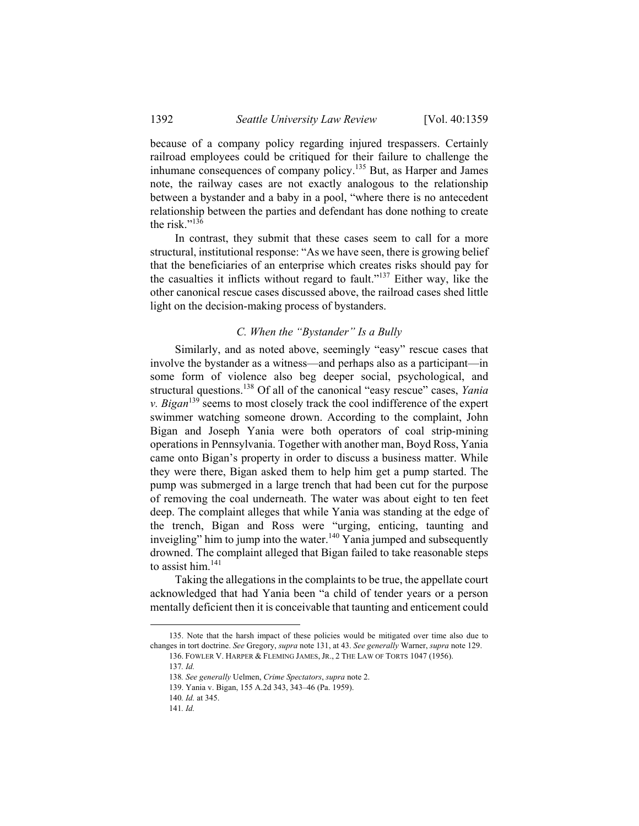because of a company policy regarding injured trespassers. Certainly railroad employees could be critiqued for their failure to challenge the inhumane consequences of company policy.135 But, as Harper and James note, the railway cases are not exactly analogous to the relationship between a bystander and a baby in a pool, "where there is no antecedent relationship between the parties and defendant has done nothing to create the risk."136

In contrast, they submit that these cases seem to call for a more structural, institutional response: "As we have seen, there is growing belief that the beneficiaries of an enterprise which creates risks should pay for the casualties it inflicts without regard to fault."137 Either way, like the other canonical rescue cases discussed above, the railroad cases shed little light on the decision-making process of bystanders.

## *C. When the "Bystander" Is a Bully*

Similarly, and as noted above, seemingly "easy" rescue cases that involve the bystander as a witness—and perhaps also as a participant—in some form of violence also beg deeper social, psychological, and structural questions.138 Of all of the canonical "easy rescue" cases, *Yania v. Bigan*139 seems to most closely track the cool indifference of the expert swimmer watching someone drown. According to the complaint, John Bigan and Joseph Yania were both operators of coal strip-mining operations in Pennsylvania. Together with another man, Boyd Ross, Yania came onto Bigan's property in order to discuss a business matter. While they were there, Bigan asked them to help him get a pump started. The pump was submerged in a large trench that had been cut for the purpose of removing the coal underneath. The water was about eight to ten feet deep. The complaint alleges that while Yania was standing at the edge of the trench, Bigan and Ross were "urging, enticing, taunting and inveigling" him to jump into the water.<sup>140</sup> Yania jumped and subsequently drowned. The complaint alleged that Bigan failed to take reasonable steps to assist him.<sup>141</sup>

Taking the allegations in the complaints to be true, the appellate court acknowledged that had Yania been "a child of tender years or a person mentally deficient then it is conceivable that taunting and enticement could

 <sup>135.</sup> Note that the harsh impact of these policies would be mitigated over time also due to changes in tort doctrine. *See* Gregory, *supra* note 131, at 43. *See generally* Warner, *supra* note 129.

 <sup>136.</sup> FOWLER V. HARPER & FLEMING JAMES, JR., 2 THE LAW OF TORTS 1047 (1956).

<sup>137</sup>*. Id.*

<sup>138</sup>*. See generally* Uelmen, *Crime Spectators*, *supra* note 2.

 <sup>139.</sup> Yania v. Bigan, 155 A.2d 343, 343–46 (Pa. 1959).

<sup>140</sup>*. Id.* at 345.

<sup>141</sup>*. Id.*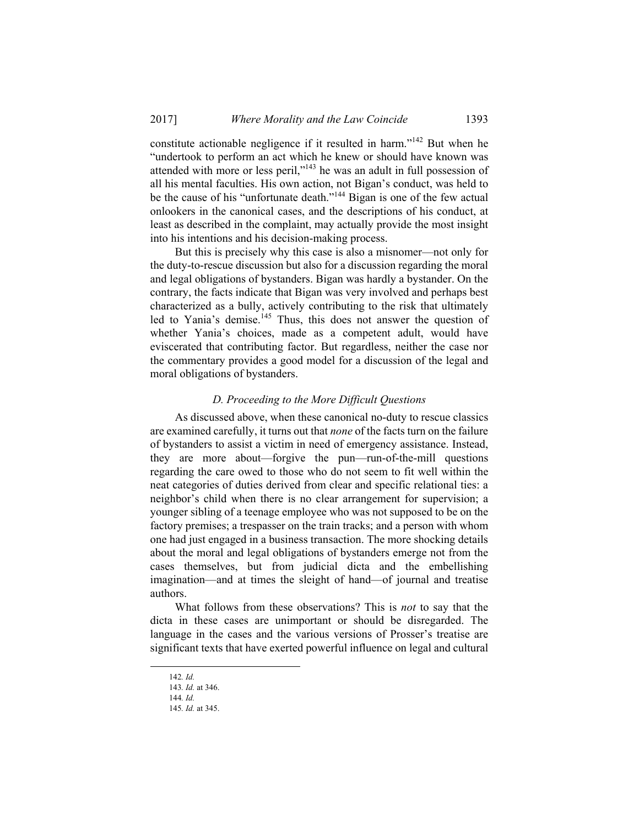constitute actionable negligence if it resulted in harm."142 But when he "undertook to perform an act which he knew or should have known was attended with more or less peril,"<sup>143</sup> he was an adult in full possession of all his mental faculties. His own action, not Bigan's conduct, was held to be the cause of his "unfortunate death."144 Bigan is one of the few actual onlookers in the canonical cases, and the descriptions of his conduct, at least as described in the complaint, may actually provide the most insight into his intentions and his decision-making process.

But this is precisely why this case is also a misnomer—not only for the duty-to-rescue discussion but also for a discussion regarding the moral and legal obligations of bystanders. Bigan was hardly a bystander. On the contrary, the facts indicate that Bigan was very involved and perhaps best characterized as a bully, actively contributing to the risk that ultimately led to Yania's demise.<sup>145</sup> Thus, this does not answer the question of whether Yania's choices, made as a competent adult, would have eviscerated that contributing factor. But regardless, neither the case nor the commentary provides a good model for a discussion of the legal and moral obligations of bystanders.

## *D. Proceeding to the More Difficult Questions*

As discussed above, when these canonical no-duty to rescue classics are examined carefully, it turns out that *none* of the facts turn on the failure of bystanders to assist a victim in need of emergency assistance. Instead, they are more about—forgive the pun—run-of-the-mill questions regarding the care owed to those who do not seem to fit well within the neat categories of duties derived from clear and specific relational ties: a neighbor's child when there is no clear arrangement for supervision; a younger sibling of a teenage employee who was not supposed to be on the factory premises; a trespasser on the train tracks; and a person with whom one had just engaged in a business transaction. The more shocking details about the moral and legal obligations of bystanders emerge not from the cases themselves, but from judicial dicta and the embellishing imagination—and at times the sleight of hand—of journal and treatise authors.

What follows from these observations? This is *not* to say that the dicta in these cases are unimportant or should be disregarded. The language in the cases and the various versions of Prosser's treatise are significant texts that have exerted powerful influence on legal and cultural

 <sup>142</sup>*. Id.*

<sup>143</sup>*. Id.* at 346.

<sup>144</sup>*. Id.*

<sup>145</sup>*. Id.* at 345.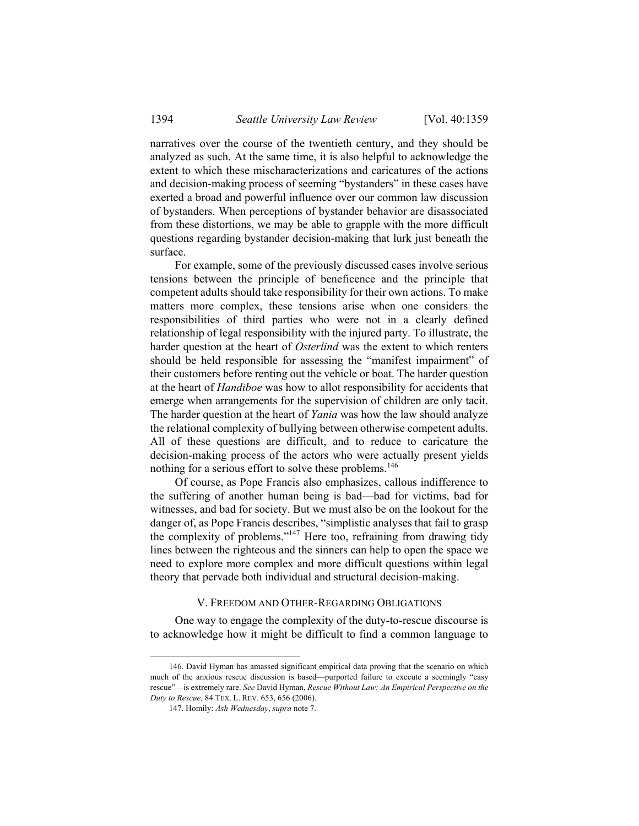narratives over the course of the twentieth century, and they should be analyzed as such. At the same time, it is also helpful to acknowledge the extent to which these mischaracterizations and caricatures of the actions and decision-making process of seeming "bystanders" in these cases have exerted a broad and powerful influence over our common law discussion of bystanders. When perceptions of bystander behavior are disassociated from these distortions, we may be able to grapple with the more difficult questions regarding bystander decision-making that lurk just beneath the surface.

For example, some of the previously discussed cases involve serious tensions between the principle of beneficence and the principle that competent adults should take responsibility for their own actions. To make matters more complex, these tensions arise when one considers the responsibilities of third parties who were not in a clearly defined relationship of legal responsibility with the injured party. To illustrate, the harder question at the heart of *Osterlind* was the extent to which renters should be held responsible for assessing the "manifest impairment" of their customers before renting out the vehicle or boat. The harder question at the heart of *Handiboe* was how to allot responsibility for accidents that emerge when arrangements for the supervision of children are only tacit. The harder question at the heart of *Yania* was how the law should analyze the relational complexity of bullying between otherwise competent adults. All of these questions are difficult, and to reduce to caricature the decision-making process of the actors who were actually present yields nothing for a serious effort to solve these problems.<sup>146</sup>

Of course, as Pope Francis also emphasizes, callous indifference to the suffering of another human being is bad—bad for victims, bad for witnesses, and bad for society. But we must also be on the lookout for the danger of, as Pope Francis describes, "simplistic analyses that fail to grasp the complexity of problems."147 Here too, refraining from drawing tidy lines between the righteous and the sinners can help to open the space we need to explore more complex and more difficult questions within legal theory that pervade both individual and structural decision-making.

#### V. FREEDOM AND OTHER-REGARDING OBLIGATIONS

One way to engage the complexity of the duty-to-rescue discourse is to acknowledge how it might be difficult to find a common language to

 <sup>146.</sup> David Hyman has amassed significant empirical data proving that the scenario on which much of the anxious rescue discussion is based—purported failure to execute a seemingly "easy rescue"—is extremely rare. *See* David Hyman, *Rescue Without Law: An Empirical Perspective on the Duty to Rescue*, 84 TEX. L. REV. 653, 656 (2006).

 <sup>147.</sup> Homily: *Ash Wednesday*, *supra* note 7.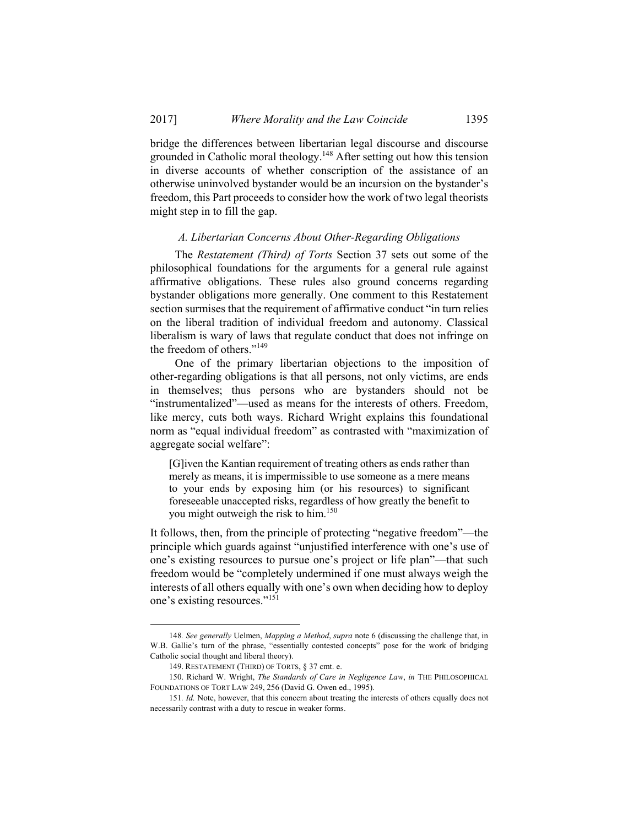bridge the differences between libertarian legal discourse and discourse grounded in Catholic moral theology.148 After setting out how this tension in diverse accounts of whether conscription of the assistance of an otherwise uninvolved bystander would be an incursion on the bystander's freedom, this Part proceeds to consider how the work of two legal theorists might step in to fill the gap.

#### *A. Libertarian Concerns About Other-Regarding Obligations*

The *Restatement (Third) of Torts* Section 37 sets out some of the philosophical foundations for the arguments for a general rule against affirmative obligations. These rules also ground concerns regarding bystander obligations more generally. One comment to this Restatement section surmises that the requirement of affirmative conduct "in turn relies on the liberal tradition of individual freedom and autonomy. Classical liberalism is wary of laws that regulate conduct that does not infringe on the freedom of others."<sup>149</sup>

One of the primary libertarian objections to the imposition of other-regarding obligations is that all persons, not only victims, are ends in themselves; thus persons who are bystanders should not be "instrumentalized"—used as means for the interests of others. Freedom, like mercy, cuts both ways. Richard Wright explains this foundational norm as "equal individual freedom" as contrasted with "maximization of aggregate social welfare":

[G]iven the Kantian requirement of treating others as ends rather than merely as means, it is impermissible to use someone as a mere means to your ends by exposing him (or his resources) to significant foreseeable unaccepted risks, regardless of how greatly the benefit to you might outweigh the risk to him.<sup>150</sup>

It follows, then, from the principle of protecting "negative freedom"—the principle which guards against "unjustified interference with one's use of one's existing resources to pursue one's project or life plan"—that such freedom would be "completely undermined if one must always weigh the interests of all others equally with one's own when deciding how to deploy one's existing resources."<sup>151</sup>

 <sup>148</sup>*. See generally* Uelmen, *Mapping a Method*, *supra* note 6 (discussing the challenge that, in W.B. Gallie's turn of the phrase, "essentially contested concepts" pose for the work of bridging Catholic social thought and liberal theory).

 <sup>149.</sup> RESTATEMENT (THIRD) OF TORTS, § 37 cmt. e.

 <sup>150.</sup> Richard W. Wright, *The Standards of Care in Negligence Law*, *in* THE PHILOSOPHICAL FOUNDATIONS OF TORT LAW 249, 256 (David G. Owen ed., 1995).

<sup>151</sup>*. Id.* Note, however, that this concern about treating the interests of others equally does not necessarily contrast with a duty to rescue in weaker forms.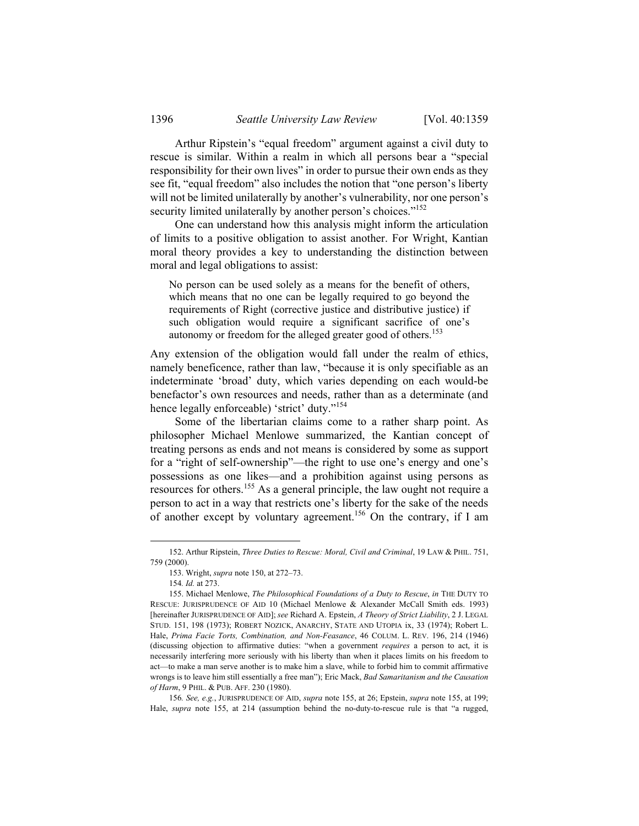Arthur Ripstein's "equal freedom" argument against a civil duty to rescue is similar. Within a realm in which all persons bear a "special responsibility for their own lives" in order to pursue their own ends as they see fit, "equal freedom" also includes the notion that "one person's liberty will not be limited unilaterally by another's vulnerability, nor one person's security limited unilaterally by another person's choices."<sup>152</sup>

One can understand how this analysis might inform the articulation of limits to a positive obligation to assist another. For Wright, Kantian moral theory provides a key to understanding the distinction between moral and legal obligations to assist:

No person can be used solely as a means for the benefit of others, which means that no one can be legally required to go beyond the requirements of Right (corrective justice and distributive justice) if such obligation would require a significant sacrifice of one's autonomy or freedom for the alleged greater good of others.<sup>153</sup>

Any extension of the obligation would fall under the realm of ethics, namely beneficence, rather than law, "because it is only specifiable as an indeterminate 'broad' duty, which varies depending on each would-be benefactor's own resources and needs, rather than as a determinate (and hence legally enforceable) 'strict' duty."<sup>154</sup>

Some of the libertarian claims come to a rather sharp point. As philosopher Michael Menlowe summarized, the Kantian concept of treating persons as ends and not means is considered by some as support for a "right of self-ownership"—the right to use one's energy and one's possessions as one likes—and a prohibition against using persons as resources for others.155 As a general principle, the law ought not require a person to act in a way that restricts one's liberty for the sake of the needs of another except by voluntary agreement.<sup>156</sup> On the contrary, if I am

 <sup>152.</sup> Arthur Ripstein, *Three Duties to Rescue: Moral, Civil and Criminal*, 19 LAW & PHIL. 751, 759 (2000).

 <sup>153.</sup> Wright, *supra* note 150, at 272–73.

<sup>154</sup>*. Id.* at 273.

 <sup>155.</sup> Michael Menlowe, *The Philosophical Foundations of a Duty to Rescue*, *in* THE DUTY TO RESCUE: JURISPRUDENCE OF AID 10 (Michael Menlowe & Alexander McCall Smith eds. 1993) [hereinafter JURISPRUDENCE OF AID]; *see* Richard A. Epstein, *A Theory of Strict Liability*, 2 J. LEGAL STUD. 151, 198 (1973); ROBERT NOZICK, ANARCHY, STATE AND UTOPIA ix, 33 (1974); Robert L. Hale, *Prima Facie Torts, Combination, and Non-Feasance*, 46 COLUM. L. REV. 196, 214 (1946) (discussing objection to affirmative duties: "when a government *requires* a person to act, it is necessarily interfering more seriously with his liberty than when it places limits on his freedom to act—to make a man serve another is to make him a slave, while to forbid him to commit affirmative wrongs is to leave him still essentially a free man"); Eric Mack, *Bad Samaritanism and the Causation of Harm*, 9 PHIL. & PUB. AFF. 230 (1980).

<sup>156</sup>*. See, e.g.*, JURISPRUDENCE OF AID, *supra* note 155, at 26; Epstein, *supra* note 155, at 199; Hale, *supra* note 155, at 214 (assumption behind the no-duty-to-rescue rule is that "a rugged,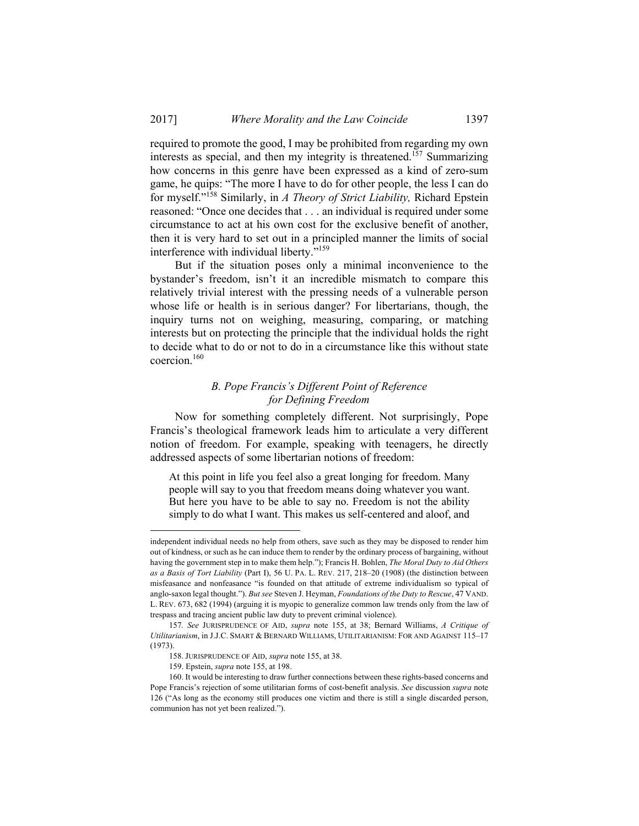required to promote the good, I may be prohibited from regarding my own interests as special, and then my integrity is threatened.<sup>157</sup> Summarizing how concerns in this genre have been expressed as a kind of zero-sum game, he quips: "The more I have to do for other people, the less I can do for myself."158 Similarly, in *A Theory of Strict Liability,* Richard Epstein reasoned: "Once one decides that . . . an individual is required under some circumstance to act at his own cost for the exclusive benefit of another, then it is very hard to set out in a principled manner the limits of social interference with individual liberty."159

But if the situation poses only a minimal inconvenience to the bystander's freedom, isn't it an incredible mismatch to compare this relatively trivial interest with the pressing needs of a vulnerable person whose life or health is in serious danger? For libertarians, though, the inquiry turns not on weighing, measuring, comparing, or matching interests but on protecting the principle that the individual holds the right to decide what to do or not to do in a circumstance like this without state coercion.160

# *B. Pope Francis's Different Point of Reference for Defining Freedom*

Now for something completely different. Not surprisingly, Pope Francis's theological framework leads him to articulate a very different notion of freedom. For example, speaking with teenagers, he directly addressed aspects of some libertarian notions of freedom:

At this point in life you feel also a great longing for freedom. Many people will say to you that freedom means doing whatever you want. But here you have to be able to say no. Freedom is not the ability simply to do what I want. This makes us self-centered and aloof, and

independent individual needs no help from others, save such as they may be disposed to render him out of kindness, or such as he can induce them to render by the ordinary process of bargaining, without having the government step in to make them help."); Francis H. Bohlen, *The Moral Duty to Aid Others as a Basis of Tort Liability* (Part I), 56 U. PA. L. REV. 217, 218–20 (1908) (the distinction between misfeasance and nonfeasance "is founded on that attitude of extreme individualism so typical of anglo-saxon legal thought."). *But see* Steven J. Heyman, *Foundations of the Duty to Rescue*, 47 VAND. L. REV. 673, 682 (1994) (arguing it is myopic to generalize common law trends only from the law of trespass and tracing ancient public law duty to prevent criminal violence).

<sup>157</sup>*. See* JURISPRUDENCE OF AID, *supra* note 155, at 38; Bernard Williams, *A Critique of Utilitarianism*, in J.J.C. SMART & BERNARD WILLIAMS, UTILITARIANISM: FOR AND AGAINST 115–17 (1973).

 <sup>158.</sup> JURISPRUDENCE OF AID, *supra* note 155, at 38.

 <sup>159.</sup> Epstein, *supra* note 155, at 198.

 <sup>160.</sup> It would be interesting to draw further connections between these rights-based concerns and Pope Francis's rejection of some utilitarian forms of cost-benefit analysis. *See* discussion *supra* note 126 ("As long as the economy still produces one victim and there is still a single discarded person, communion has not yet been realized.").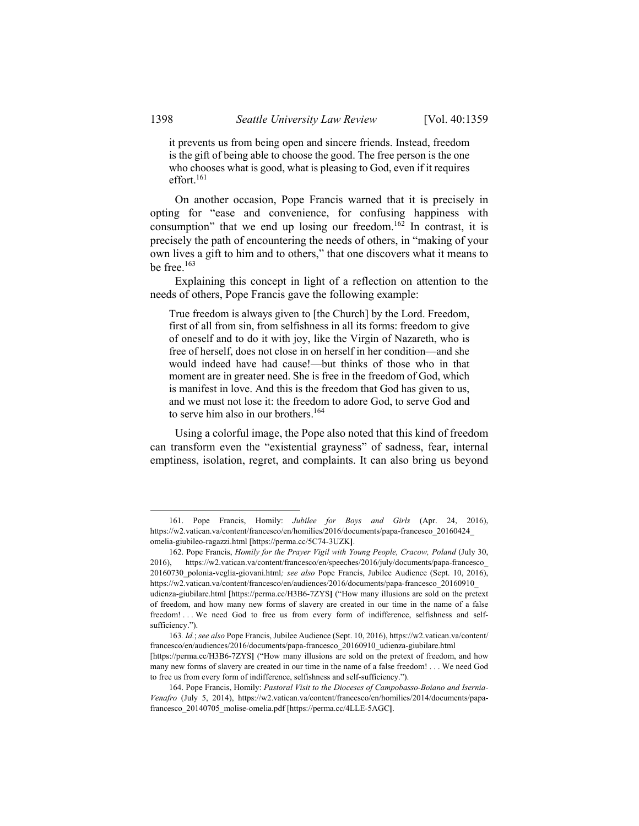it prevents us from being open and sincere friends. Instead, freedom is the gift of being able to choose the good. The free person is the one who chooses what is good, what is pleasing to God, even if it requires effort.<sup>161</sup>

On another occasion, Pope Francis warned that it is precisely in opting for "ease and convenience, for confusing happiness with consumption" that we end up losing our freedom.<sup>162</sup> In contrast, it is precisely the path of encountering the needs of others, in "making of your own lives a gift to him and to others," that one discovers what it means to be free. $163$ 

Explaining this concept in light of a reflection on attention to the needs of others, Pope Francis gave the following example:

True freedom is always given to [the Church] by the Lord. Freedom, first of all from sin, from selfishness in all its forms: freedom to give of oneself and to do it with joy, like the Virgin of Nazareth, who is free of herself, does not close in on herself in her condition—and she would indeed have had cause!—but thinks of those who in that moment are in greater need. She is free in the freedom of God, which is manifest in love. And this is the freedom that God has given to us, and we must not lose it: the freedom to adore God, to serve God and to serve him also in our brothers.<sup>164</sup>

Using a colorful image, the Pope also noted that this kind of freedom can transform even the "existential grayness" of sadness, fear, internal emptiness, isolation, regret, and complaints. It can also bring us beyond

 <sup>161.</sup> Pope Francis, Homily: *Jubilee for Boys and Girls* (Apr. 24, 2016), https://w2.vatican.va/content/francesco/en/homilies/2016/documents/papa-francesco\_20160424\_ omelia-giubileo-ragazzi.html [https://perma.cc/5C74-3UZK**]**.

 <sup>162.</sup> Pope Francis, *Homily for the Prayer Vigil with Young People, Cracow, Poland* (July 30, 2016), https://w2.vatican.va/content/francesco/en/speeches/2016/july/documents/papa-francesco\_ 20160730\_polonia-veglia-giovani.html*; see also* Pope Francis, Jubilee Audience (Sept. 10, 2016), https://w2.vatican.va/content/francesco/en/audiences/2016/documents/papa-francesco\_20160910\_ udienza-giubilare.html [https://perma.cc/H3B6-7ZYS**]** ("How many illusions are sold on the pretext of freedom, and how many new forms of slavery are created in our time in the name of a false freedom! . . . We need God to free us from every form of indifference, selfishness and selfsufficiency.").

<sup>163</sup>*. Id.*; *see also* Pope Francis, Jubilee Audience (Sept. 10, 2016), https://w2.vatican.va/content/ francesco/en/audiences/2016/documents/papa-francesco\_20160910\_udienza-giubilare.html [https://perma.cc/H3B6-7ZYS**]** ("How many illusions are sold on the pretext of freedom, and how many new forms of slavery are created in our time in the name of a false freedom! . . . We need God to free us from every form of indifference, selfishness and self-sufficiency.").

 <sup>164.</sup> Pope Francis, Homily: *Pastoral Visit to the Dioceses of Campobasso-Boiano and Isernia-Venafro* (July 5, 2014), https://w2.vatican.va/content/francesco/en/homilies/2014/documents/papafrancesco\_20140705\_molise-omelia.pdf [https://perma.cc/4LLE-5AGC**]**.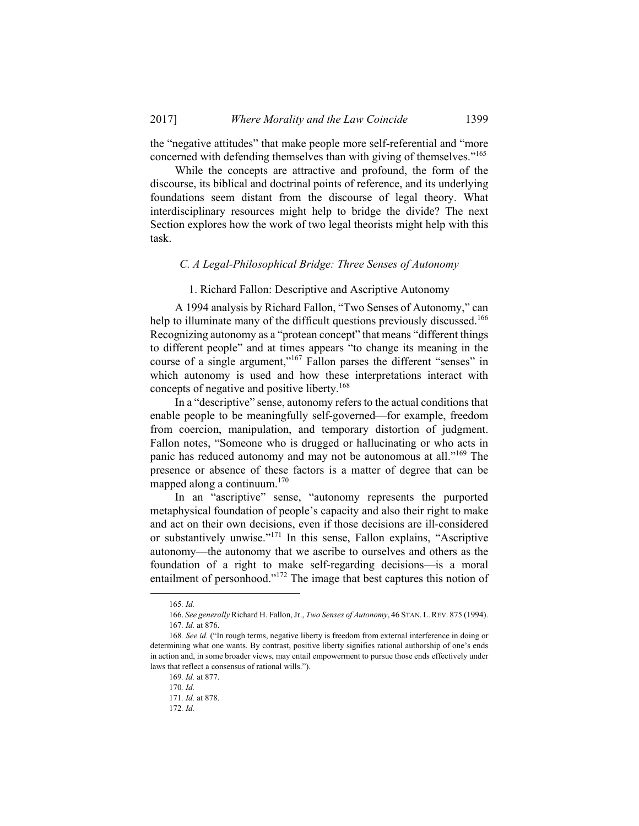the "negative attitudes" that make people more self-referential and "more concerned with defending themselves than with giving of themselves."<sup>165</sup>

While the concepts are attractive and profound, the form of the discourse, its biblical and doctrinal points of reference, and its underlying foundations seem distant from the discourse of legal theory. What interdisciplinary resources might help to bridge the divide? The next Section explores how the work of two legal theorists might help with this task.

## *C. A Legal-Philosophical Bridge: Three Senses of Autonomy*

## 1. Richard Fallon: Descriptive and Ascriptive Autonomy

A 1994 analysis by Richard Fallon, "Two Senses of Autonomy," can help to illuminate many of the difficult questions previously discussed.<sup>166</sup> Recognizing autonomy as a "protean concept" that means "different things to different people" and at times appears "to change its meaning in the course of a single argument,"167 Fallon parses the different "senses" in which autonomy is used and how these interpretations interact with concepts of negative and positive liberty.<sup>168</sup>

In a "descriptive" sense, autonomy refers to the actual conditions that enable people to be meaningfully self-governed—for example, freedom from coercion, manipulation, and temporary distortion of judgment. Fallon notes, "Someone who is drugged or hallucinating or who acts in panic has reduced autonomy and may not be autonomous at all."169 The presence or absence of these factors is a matter of degree that can be mapped along a continuum. $170$ 

In an "ascriptive" sense, "autonomy represents the purported metaphysical foundation of people's capacity and also their right to make and act on their own decisions, even if those decisions are ill-considered or substantively unwise."<sup>171</sup> In this sense, Fallon explains, "Ascriptive autonomy—the autonomy that we ascribe to ourselves and others as the foundation of a right to make self-regarding decisions—is a moral entailment of personhood."172 The image that best captures this notion of

 <sup>165</sup>*. Id.*

 <sup>166.</sup> *See generally* Richard H. Fallon, Jr., *Two Senses of Autonomy*, 46 STAN. L.REV. 875 (1994). 167*. Id.* at 876.

<sup>168</sup>*. See id.* ("In rough terms, negative liberty is freedom from external interference in doing or determining what one wants. By contrast, positive liberty signifies rational authorship of one's ends in action and, in some broader views, may entail empowerment to pursue those ends effectively under laws that reflect a consensus of rational wills.").

<sup>169</sup>*. Id.* at 877.

<sup>170</sup>*. Id.*

<sup>171</sup>*. Id.* at 878.

<sup>172</sup>*. Id.*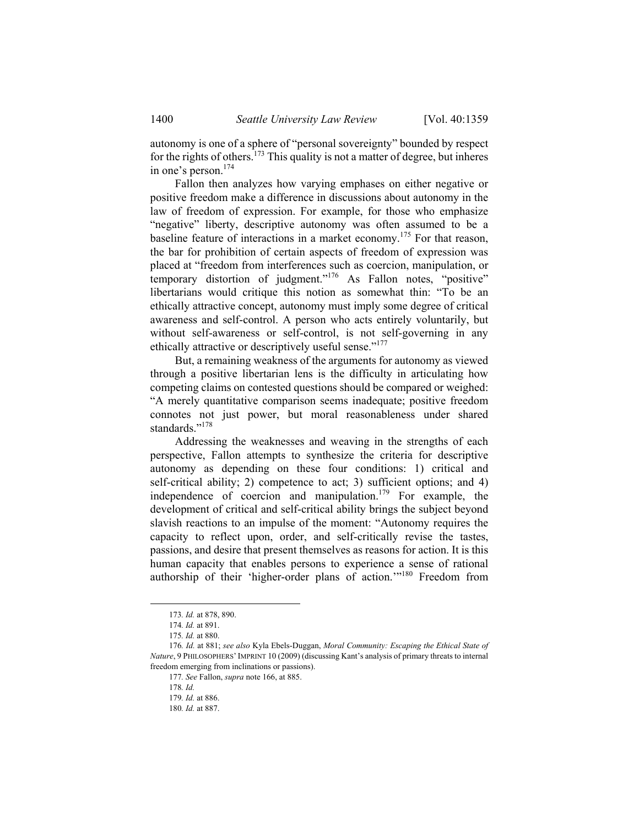autonomy is one of a sphere of "personal sovereignty" bounded by respect for the rights of others.<sup>173</sup> This quality is not a matter of degree, but inheres in one's person.174

Fallon then analyzes how varying emphases on either negative or positive freedom make a difference in discussions about autonomy in the law of freedom of expression. For example, for those who emphasize "negative" liberty, descriptive autonomy was often assumed to be a baseline feature of interactions in a market economy.175 For that reason, the bar for prohibition of certain aspects of freedom of expression was placed at "freedom from interferences such as coercion, manipulation, or temporary distortion of judgment."176 As Fallon notes, "positive" libertarians would critique this notion as somewhat thin: "To be an ethically attractive concept, autonomy must imply some degree of critical awareness and self-control. A person who acts entirely voluntarily, but without self-awareness or self-control, is not self-governing in any ethically attractive or descriptively useful sense."<sup>177</sup>

But, a remaining weakness of the arguments for autonomy as viewed through a positive libertarian lens is the difficulty in articulating how competing claims on contested questions should be compared or weighed: "A merely quantitative comparison seems inadequate; positive freedom connotes not just power, but moral reasonableness under shared standards<sup>"178</sup>

Addressing the weaknesses and weaving in the strengths of each perspective, Fallon attempts to synthesize the criteria for descriptive autonomy as depending on these four conditions: 1) critical and self-critical ability; 2) competence to act; 3) sufficient options; and 4) independence of coercion and manipulation.<sup>179</sup> For example, the development of critical and self-critical ability brings the subject beyond slavish reactions to an impulse of the moment: "Autonomy requires the capacity to reflect upon, order, and self-critically revise the tastes, passions, and desire that present themselves as reasons for action. It is this human capacity that enables persons to experience a sense of rational authorship of their 'higher-order plans of action.'"180 Freedom from

 <sup>173</sup>*. Id.* at 878, 890.

<sup>174</sup>*. Id.* at 891.

<sup>175</sup>*. Id.* at 880.

<sup>176</sup>*. Id.* at 881; *see also* Kyla Ebels-Duggan, *Moral Community: Escaping the Ethical State of Nature*, 9 PHILOSOPHERS'IMPRINT 10 (2009) (discussing Kant's analysis of primary threats to internal freedom emerging from inclinations or passions).

<sup>177</sup>*. See* Fallon, *supra* note 166, at 885.

<sup>178</sup>*. Id.*

<sup>179</sup>*. Id.* at 886.

<sup>180</sup>*. Id.* at 887.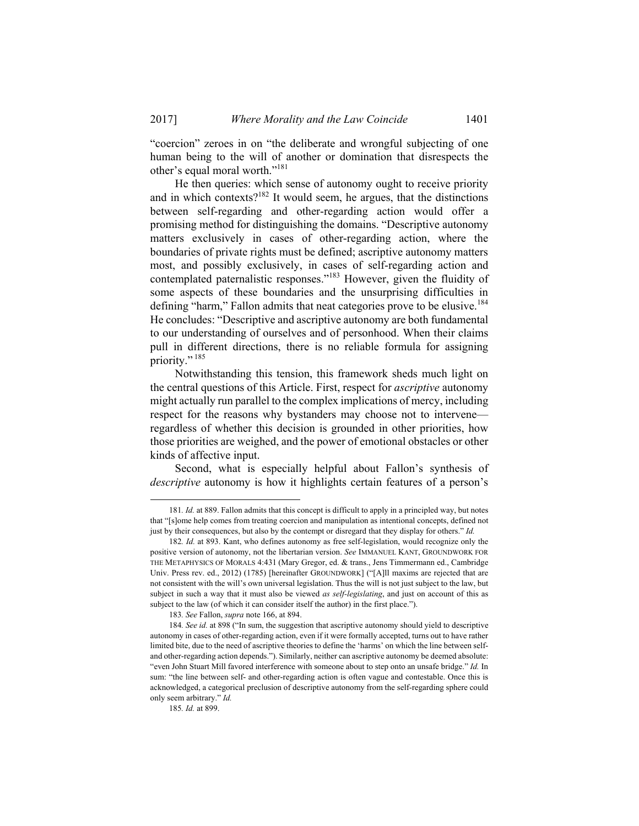"coercion" zeroes in on "the deliberate and wrongful subjecting of one human being to the will of another or domination that disrespects the other's equal moral worth."<sup>181</sup>

He then queries: which sense of autonomy ought to receive priority and in which contexts?<sup>182</sup> It would seem, he argues, that the distinctions between self-regarding and other-regarding action would offer a promising method for distinguishing the domains. "Descriptive autonomy matters exclusively in cases of other-regarding action, where the boundaries of private rights must be defined; ascriptive autonomy matters most, and possibly exclusively, in cases of self-regarding action and contemplated paternalistic responses."183 However, given the fluidity of some aspects of these boundaries and the unsurprising difficulties in defining "harm," Fallon admits that neat categories prove to be elusive.<sup>184</sup> He concludes: "Descriptive and ascriptive autonomy are both fundamental to our understanding of ourselves and of personhood. When their claims pull in different directions, there is no reliable formula for assigning priority."<sup>185</sup>

Notwithstanding this tension, this framework sheds much light on the central questions of this Article. First, respect for *ascriptive* autonomy might actually run parallel to the complex implications of mercy, including respect for the reasons why bystanders may choose not to intervene regardless of whether this decision is grounded in other priorities, how those priorities are weighed, and the power of emotional obstacles or other kinds of affective input.

Second, what is especially helpful about Fallon's synthesis of *descriptive* autonomy is how it highlights certain features of a person's

 <sup>181</sup>*. Id.* at 889. Fallon admits that this concept is difficult to apply in a principled way, but notes that "[s]ome help comes from treating coercion and manipulation as intentional concepts, defined not just by their consequences, but also by the contempt or disregard that they display for others." *Id.*

<sup>182</sup>*. Id.* at 893. Kant, who defines autonomy as free self-legislation, would recognize only the positive version of autonomy, not the libertarian version. *See* IMMANUEL KANT, GROUNDWORK FOR THE METAPHYSICS OF MORALS 4:431 (Mary Gregor, ed. & trans., Jens Timmermann ed., Cambridge Univ. Press rev. ed., 2012) (1785) [hereinafter GROUNDWORK] ("[A]ll maxims are rejected that are not consistent with the will's own universal legislation. Thus the will is not just subject to the law, but subject in such a way that it must also be viewed *as self-legislating*, and just on account of this as subject to the law (of which it can consider itself the author) in the first place.").

<sup>183</sup>*. See* Fallon, *supra* note 166, at 894.

<sup>184</sup>*. See id.* at 898 ("In sum, the suggestion that ascriptive autonomy should yield to descriptive autonomy in cases of other-regarding action, even if it were formally accepted, turns out to have rather limited bite, due to the need of ascriptive theories to define the 'harms' on which the line between selfand other-regarding action depends."). Similarly, neither can ascriptive autonomy be deemed absolute: "even John Stuart Mill favored interference with someone about to step onto an unsafe bridge." *Id.* In sum: "the line between self- and other-regarding action is often vague and contestable. Once this is acknowledged, a categorical preclusion of descriptive autonomy from the self-regarding sphere could only seem arbitrary." *Id.*

<sup>185</sup>*. Id.* at 899.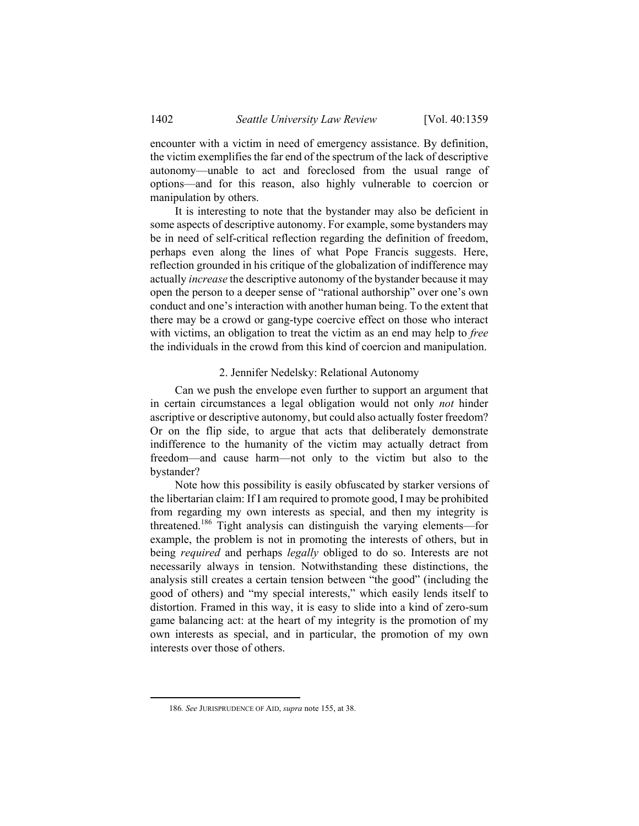encounter with a victim in need of emergency assistance. By definition, the victim exemplifies the far end of the spectrum of the lack of descriptive autonomy—unable to act and foreclosed from the usual range of options—and for this reason, also highly vulnerable to coercion or manipulation by others.

It is interesting to note that the bystander may also be deficient in some aspects of descriptive autonomy. For example, some bystanders may be in need of self-critical reflection regarding the definition of freedom, perhaps even along the lines of what Pope Francis suggests. Here, reflection grounded in his critique of the globalization of indifference may actually *increase* the descriptive autonomy of the bystander because it may open the person to a deeper sense of "rational authorship" over one's own conduct and one's interaction with another human being. To the extent that there may be a crowd or gang-type coercive effect on those who interact with victims, an obligation to treat the victim as an end may help to *free* the individuals in the crowd from this kind of coercion and manipulation.

## 2. Jennifer Nedelsky: Relational Autonomy

Can we push the envelope even further to support an argument that in certain circumstances a legal obligation would not only *not* hinder ascriptive or descriptive autonomy, but could also actually foster freedom? Or on the flip side, to argue that acts that deliberately demonstrate indifference to the humanity of the victim may actually detract from freedom—and cause harm—not only to the victim but also to the bystander?

Note how this possibility is easily obfuscated by starker versions of the libertarian claim: If I am required to promote good, I may be prohibited from regarding my own interests as special, and then my integrity is threatened.186 Tight analysis can distinguish the varying elements—for example, the problem is not in promoting the interests of others, but in being *required* and perhaps *legally* obliged to do so. Interests are not necessarily always in tension. Notwithstanding these distinctions, the analysis still creates a certain tension between "the good" (including the good of others) and "my special interests," which easily lends itself to distortion. Framed in this way, it is easy to slide into a kind of zero-sum game balancing act: at the heart of my integrity is the promotion of my own interests as special, and in particular, the promotion of my own interests over those of others.

 <sup>186</sup>*. See* JURISPRUDENCE OF AID, *supra* note 155, at 38.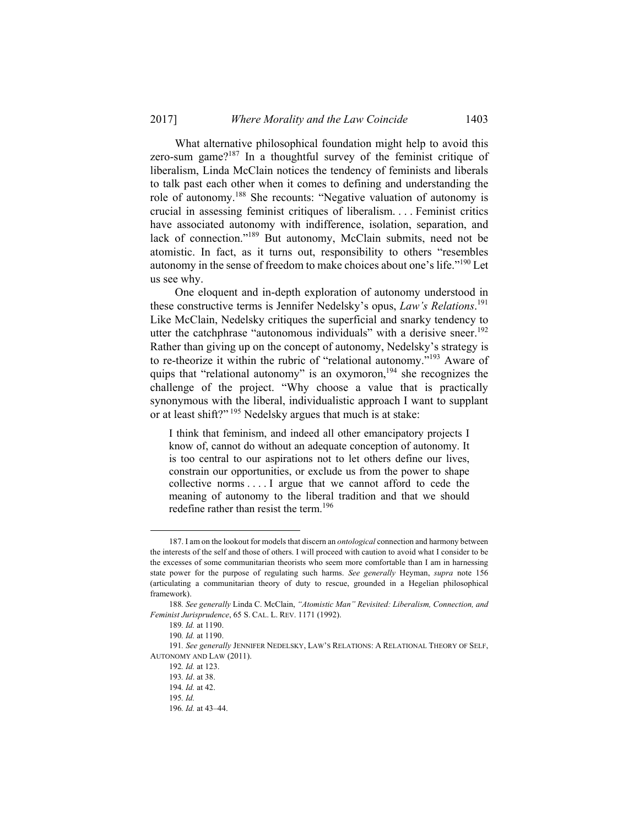What alternative philosophical foundation might help to avoid this zero-sum game? $187$  In a thoughtful survey of the feminist critique of liberalism, Linda McClain notices the tendency of feminists and liberals to talk past each other when it comes to defining and understanding the role of autonomy.188 She recounts: "Negative valuation of autonomy is crucial in assessing feminist critiques of liberalism. . . . Feminist critics have associated autonomy with indifference, isolation, separation, and lack of connection."<sup>189</sup> But autonomy, McClain submits, need not be atomistic. In fact, as it turns out, responsibility to others "resembles autonomy in the sense of freedom to make choices about one's life."190 Let us see why.

One eloquent and in-depth exploration of autonomy understood in these constructive terms is Jennifer Nedelsky's opus, *Law's Relations*. 191 Like McClain, Nedelsky critiques the superficial and snarky tendency to utter the catchphrase "autonomous individuals" with a derisive sneer.<sup>192</sup> Rather than giving up on the concept of autonomy, Nedelsky's strategy is to re-theorize it within the rubric of "relational autonomy."193 Aware of quips that "relational autonomy" is an oxymoron,<sup>194</sup> she recognizes the challenge of the project. "Why choose a value that is practically synonymous with the liberal, individualistic approach I want to supplant or at least shift?"<sup>195</sup> Nedelsky argues that much is at stake:

I think that feminism, and indeed all other emancipatory projects I know of, cannot do without an adequate conception of autonomy. It is too central to our aspirations not to let others define our lives, constrain our opportunities, or exclude us from the power to shape collective norms . . . . I argue that we cannot afford to cede the meaning of autonomy to the liberal tradition and that we should redefine rather than resist the term.<sup>196</sup>

 <sup>187.</sup> I am on the lookout for models that discern an *ontological* connection and harmony between the interests of the self and those of others. I will proceed with caution to avoid what I consider to be the excesses of some communitarian theorists who seem more comfortable than I am in harnessing state power for the purpose of regulating such harms. *See generally* Heyman, *supra* note 156 (articulating a communitarian theory of duty to rescue, grounded in a Hegelian philosophical framework).

<sup>188</sup>*. See generally* Linda C. McClain, *"Atomistic Man" Revisited: Liberalism, Connection, and Feminist Jurisprudence*, 65 S. CAL. L. REV. 1171 (1992).

<sup>189</sup>*. Id.* at 1190.

<sup>190</sup>*. Id.* at 1190.

<sup>191</sup>*. See generally* JENNIFER NEDELSKY, LAW'S RELATIONS: A RELATIONAL THEORY OF SELF, AUTONOMY AND LAW (2011).

<sup>192</sup>*. Id.* at 123.

<sup>193</sup>*. Id*. at 38.

<sup>194</sup>*. Id.* at 42.

<sup>195</sup>*. Id.*

<sup>196</sup>*. Id.* at 43–44.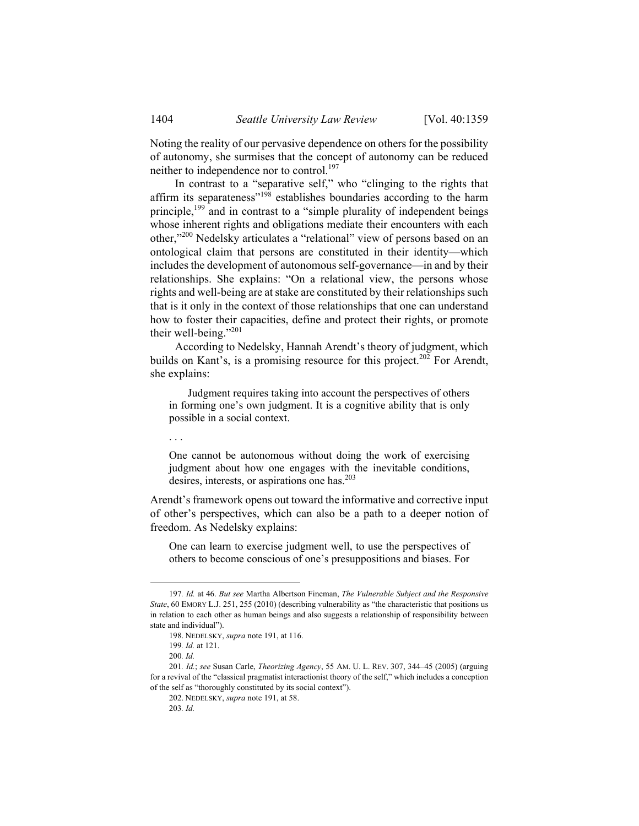Noting the reality of our pervasive dependence on others for the possibility of autonomy, she surmises that the concept of autonomy can be reduced neither to independence nor to control.<sup>197</sup>

In contrast to a "separative self," who "clinging to the rights that affirm its separateness"198 establishes boundaries according to the harm principle,<sup>199</sup> and in contrast to a "simple plurality of independent beings whose inherent rights and obligations mediate their encounters with each other,"200 Nedelsky articulates a "relational" view of persons based on an ontological claim that persons are constituted in their identity—which includes the development of autonomous self-governance—in and by their relationships. She explains: "On a relational view, the persons whose rights and well-being are at stake are constituted by their relationships such that is it only in the context of those relationships that one can understand how to foster their capacities, define and protect their rights, or promote their well-being."201

According to Nedelsky, Hannah Arendt's theory of judgment, which builds on Kant's, is a promising resource for this project.<sup>202</sup> For Arendt, she explains:

 Judgment requires taking into account the perspectives of others in forming one's own judgment. It is a cognitive ability that is only possible in a social context.

. . .

One cannot be autonomous without doing the work of exercising judgment about how one engages with the inevitable conditions, desires, interests, or aspirations one has.<sup>203</sup>

Arendt's framework opens out toward the informative and corrective input of other's perspectives, which can also be a path to a deeper notion of freedom. As Nedelsky explains:

One can learn to exercise judgment well, to use the perspectives of others to become conscious of one's presuppositions and biases. For

 <sup>197</sup>*. Id.* at 46. *But see* Martha Albertson Fineman, *The Vulnerable Subject and the Responsive State*, 60 EMORY L.J. 251, 255 (2010) (describing vulnerability as "the characteristic that positions us in relation to each other as human beings and also suggests a relationship of responsibility between state and individual").

 <sup>198.</sup> NEDELSKY, *supra* note 191, at 116.

<sup>199</sup>*. Id.* at 121.

<sup>200</sup>*. Id.*

<sup>201</sup>*. Id.*; *see* Susan Carle, *Theorizing Agency*, 55 AM. U. L. REV. 307, 344–45 (2005) (arguing for a revival of the "classical pragmatist interactionist theory of the self," which includes a conception of the self as "thoroughly constituted by its social context").

 <sup>202.</sup> NEDELSKY, *supra* note 191, at 58.

<sup>203</sup>*. Id.*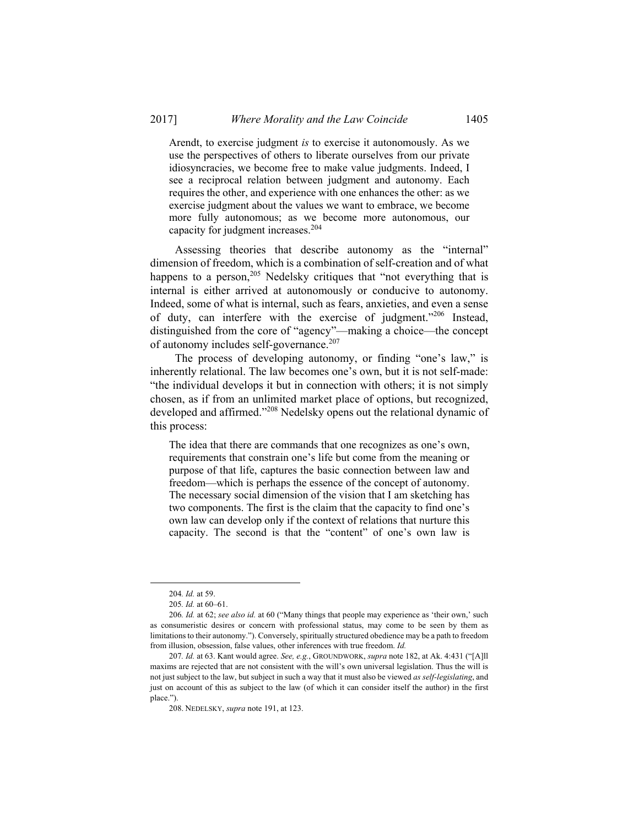Arendt, to exercise judgment *is* to exercise it autonomously. As we use the perspectives of others to liberate ourselves from our private idiosyncracies, we become free to make value judgments. Indeed, I see a reciprocal relation between judgment and autonomy. Each requires the other, and experience with one enhances the other: as we exercise judgment about the values we want to embrace, we become more fully autonomous; as we become more autonomous, our capacity for judgment increases.<sup>204</sup>

Assessing theories that describe autonomy as the "internal" dimension of freedom, which is a combination of self-creation and of what happens to a person, $205$  Nedelsky critiques that "not everything that is internal is either arrived at autonomously or conducive to autonomy. Indeed, some of what is internal, such as fears, anxieties, and even a sense of duty, can interfere with the exercise of judgment."206 Instead, distinguished from the core of "agency"—making a choice—the concept of autonomy includes self-governance.<sup>207</sup>

The process of developing autonomy, or finding "one's law," is inherently relational. The law becomes one's own, but it is not self-made: "the individual develops it but in connection with others; it is not simply chosen, as if from an unlimited market place of options, but recognized, developed and affirmed."208 Nedelsky opens out the relational dynamic of this process:

The idea that there are commands that one recognizes as one's own, requirements that constrain one's life but come from the meaning or purpose of that life, captures the basic connection between law and freedom—which is perhaps the essence of the concept of autonomy. The necessary social dimension of the vision that I am sketching has two components. The first is the claim that the capacity to find one's own law can develop only if the context of relations that nurture this capacity. The second is that the "content" of one's own law is

 <sup>204</sup>*. Id.* at 59.

<sup>205</sup>*. Id.* at 60–61.

<sup>206</sup>*. Id.* at 62; *see also id.* at 60 ("Many things that people may experience as 'their own,' such as consumeristic desires or concern with professional status, may come to be seen by them as limitations to their autonomy."). Conversely, spiritually structured obedience may be a path to freedom from illusion, obsession, false values, other inferences with true freedom. *Id.*

<sup>207</sup>*. Id.* at 63. Kant would agree. *See, e.g.*, GROUNDWORK, *supra* note 182, at Ak. 4:431 ("[A]ll maxims are rejected that are not consistent with the will's own universal legislation. Thus the will is not just subject to the law, but subject in such a way that it must also be viewed *as self-legislating*, and just on account of this as subject to the law (of which it can consider itself the author) in the first place.").

 <sup>208.</sup> NEDELSKY, *supra* note 191, at 123.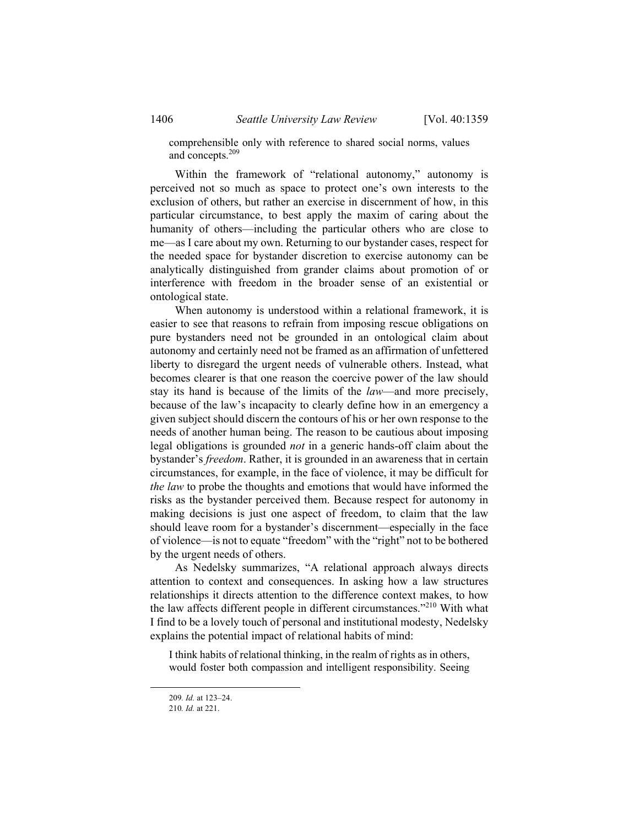comprehensible only with reference to shared social norms, values and concepts.209

Within the framework of "relational autonomy," autonomy is perceived not so much as space to protect one's own interests to the exclusion of others, but rather an exercise in discernment of how, in this particular circumstance, to best apply the maxim of caring about the humanity of others—including the particular others who are close to me—as I care about my own. Returning to our bystander cases, respect for the needed space for bystander discretion to exercise autonomy can be analytically distinguished from grander claims about promotion of or interference with freedom in the broader sense of an existential or ontological state.

When autonomy is understood within a relational framework, it is easier to see that reasons to refrain from imposing rescue obligations on pure bystanders need not be grounded in an ontological claim about autonomy and certainly need not be framed as an affirmation of unfettered liberty to disregard the urgent needs of vulnerable others. Instead, what becomes clearer is that one reason the coercive power of the law should stay its hand is because of the limits of the *law*—and more precisely, because of the law's incapacity to clearly define how in an emergency a given subject should discern the contours of his or her own response to the needs of another human being. The reason to be cautious about imposing legal obligations is grounded *not* in a generic hands-off claim about the bystander's *freedom*. Rather, it is grounded in an awareness that in certain circumstances, for example, in the face of violence, it may be difficult for *the law* to probe the thoughts and emotions that would have informed the risks as the bystander perceived them. Because respect for autonomy in making decisions is just one aspect of freedom, to claim that the law should leave room for a bystander's discernment—especially in the face of violence—is not to equate "freedom" with the "right" not to be bothered by the urgent needs of others.

As Nedelsky summarizes, "A relational approach always directs attention to context and consequences. In asking how a law structures relationships it directs attention to the difference context makes, to how the law affects different people in different circumstances."<sup>210</sup> With what I find to be a lovely touch of personal and institutional modesty, Nedelsky explains the potential impact of relational habits of mind:

I think habits of relational thinking, in the realm of rights as in others, would foster both compassion and intelligent responsibility. Seeing

 <sup>209</sup>*. Id.* at 123–24.

<sup>210</sup>*. Id.* at 221.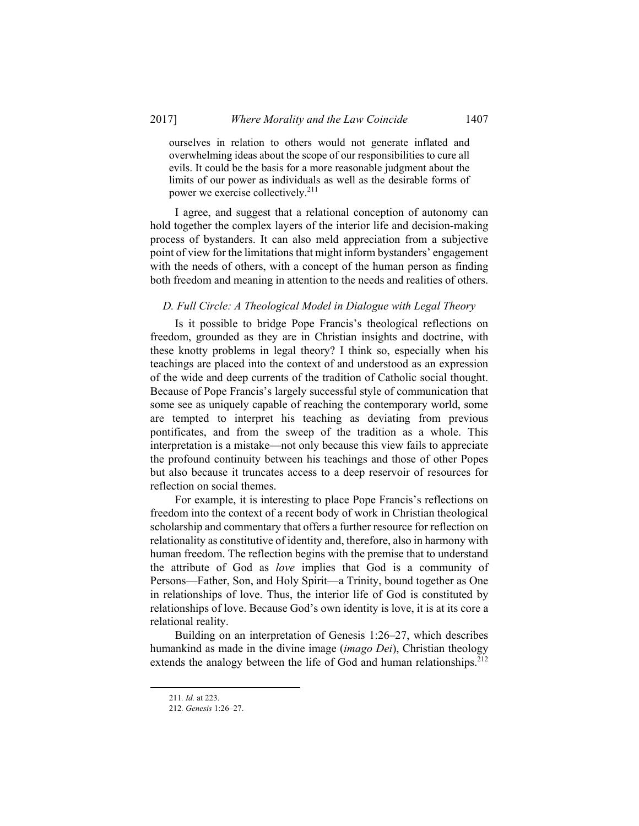ourselves in relation to others would not generate inflated and overwhelming ideas about the scope of our responsibilities to cure all evils. It could be the basis for a more reasonable judgment about the limits of our power as individuals as well as the desirable forms of power we exercise collectively.<sup>211</sup>

I agree, and suggest that a relational conception of autonomy can hold together the complex layers of the interior life and decision-making process of bystanders. It can also meld appreciation from a subjective point of view for the limitations that might inform bystanders' engagement with the needs of others, with a concept of the human person as finding both freedom and meaning in attention to the needs and realities of others.

## *D. Full Circle: A Theological Model in Dialogue with Legal Theory*

Is it possible to bridge Pope Francis's theological reflections on freedom, grounded as they are in Christian insights and doctrine, with these knotty problems in legal theory? I think so, especially when his teachings are placed into the context of and understood as an expression of the wide and deep currents of the tradition of Catholic social thought. Because of Pope Francis's largely successful style of communication that some see as uniquely capable of reaching the contemporary world, some are tempted to interpret his teaching as deviating from previous pontificates, and from the sweep of the tradition as a whole. This interpretation is a mistake—not only because this view fails to appreciate the profound continuity between his teachings and those of other Popes but also because it truncates access to a deep reservoir of resources for reflection on social themes.

For example, it is interesting to place Pope Francis's reflections on freedom into the context of a recent body of work in Christian theological scholarship and commentary that offers a further resource for reflection on relationality as constitutive of identity and, therefore, also in harmony with human freedom. The reflection begins with the premise that to understand the attribute of God as *love* implies that God is a community of Persons—Father, Son, and Holy Spirit—a Trinity, bound together as One in relationships of love. Thus, the interior life of God is constituted by relationships of love. Because God's own identity is love, it is at its core a relational reality.

Building on an interpretation of Genesis 1:26–27, which describes humankind as made in the divine image (*imago Dei*), Christian theology extends the analogy between the life of God and human relationships.<sup>212</sup>

 <sup>211</sup>*. Id.* at 223.

<sup>212</sup>*. Genesis* 1:26–27.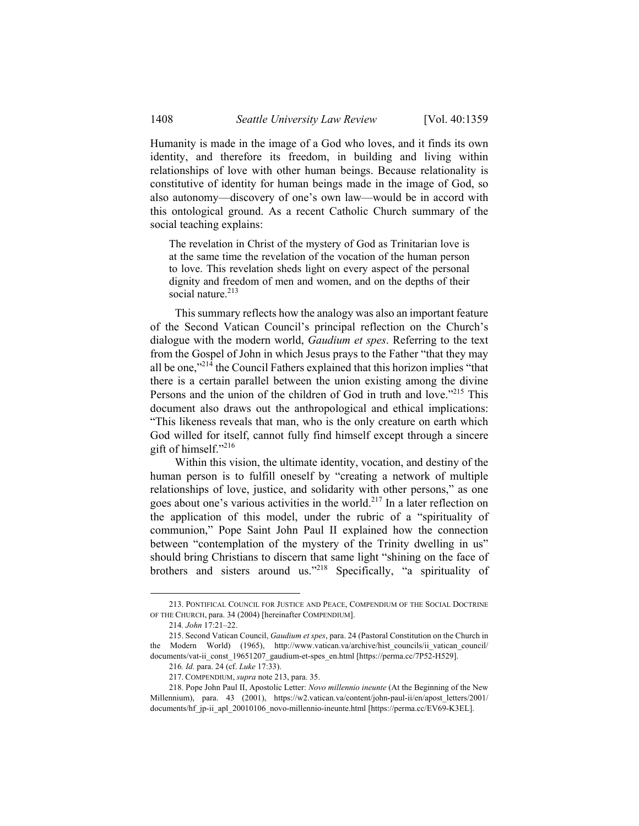Humanity is made in the image of a God who loves, and it finds its own identity, and therefore its freedom, in building and living within relationships of love with other human beings. Because relationality is constitutive of identity for human beings made in the image of God, so also autonomy—discovery of one's own law—would be in accord with this ontological ground. As a recent Catholic Church summary of the social teaching explains:

The revelation in Christ of the mystery of God as Trinitarian love is at the same time the revelation of the vocation of the human person to love. This revelation sheds light on every aspect of the personal dignity and freedom of men and women, and on the depths of their social nature.<sup>213</sup>

This summary reflects how the analogy was also an important feature of the Second Vatican Council's principal reflection on the Church's dialogue with the modern world, *Gaudium et spes*. Referring to the text from the Gospel of John in which Jesus prays to the Father "that they may all be one,"214 the Council Fathers explained that this horizon implies "that there is a certain parallel between the union existing among the divine Persons and the union of the children of God in truth and love."<sup>215</sup> This document also draws out the anthropological and ethical implications: "This likeness reveals that man, who is the only creature on earth which God willed for itself, cannot fully find himself except through a sincere gift of himself."216

Within this vision, the ultimate identity, vocation, and destiny of the human person is to fulfill oneself by "creating a network of multiple relationships of love, justice, and solidarity with other persons," as one goes about one's various activities in the world.<sup>217</sup> In a later reflection on the application of this model, under the rubric of a "spirituality of communion," Pope Saint John Paul II explained how the connection between "contemplation of the mystery of the Trinity dwelling in us" should bring Christians to discern that same light "shining on the face of brothers and sisters around us."<sup>218</sup> Specifically, "a spirituality of

 <sup>213.</sup> PONTIFICAL COUNCIL FOR JUSTICE AND PEACE, COMPENDIUM OF THE SOCIAL DOCTRINE OF THE CHURCH, para. 34 (2004) [hereinafter COMPENDIUM].

<sup>214</sup>*. John* 17:21–22.

 <sup>215.</sup> Second Vatican Council, *Gaudium et spes*, para. 24 (Pastoral Constitution on the Church in the Modern World) (1965), http://www.vatican.va/archive/hist\_councils/ii\_vatican\_council/ documents/vat-ii\_const\_19651207\_gaudium-et-spes\_en.html [https://perma.cc/7P52-H529].

<sup>216</sup>*. Id.* para. 24 (cf. *Luke* 17:33).

 <sup>217.</sup> COMPENDIUM, *supra* note 213, para. 35.

 <sup>218.</sup> Pope John Paul II, Apostolic Letter: *Novo millennio ineunte* (At the Beginning of the New Millennium), para. 43 (2001), https://w2.vatican.va/content/john-paul-ii/en/apost\_letters/2001/ documents/hf jp-ii apl 20010106 novo-millennio-ineunte.html [https://perma.cc/EV69-K3EL].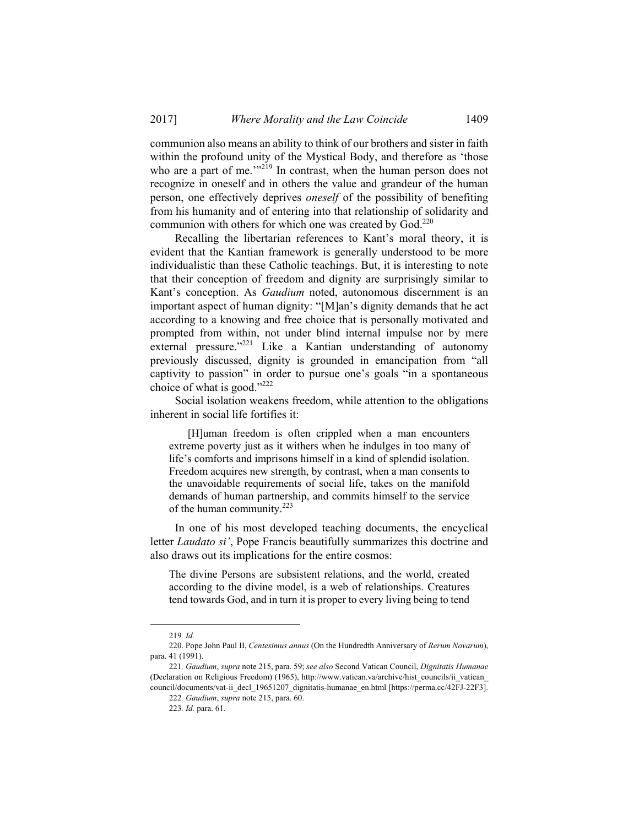communion also means an ability to think of our brothers and sister in faith within the profound unity of the Mystical Body, and therefore as 'those who are a part of me.<sup>'"219</sup> In contrast, when the human person does not recognize in oneself and in others the value and grandeur of the human person, one effectively deprives *oneself* of the possibility of benefiting from his humanity and of entering into that relationship of solidarity and communion with others for which one was created by God.<sup>220</sup>

Recalling the libertarian references to Kant's moral theory, it is evident that the Kantian framework is generally understood to be more individualistic than these Catholic teachings. But, it is interesting to note that their conception of freedom and dignity are surprisingly similar to Kant's conception. As *Gaudium* noted, autonomous discernment is an important aspect of human dignity: "[M]an's dignity demands that he act according to a knowing and free choice that is personally motivated and prompted from within, not under blind internal impulse nor by mere external pressure."<sup>221</sup> Like a Kantian understanding of autonomy previously discussed, dignity is grounded in emancipation from "all captivity to passion" in order to pursue one's goals "in a spontaneous choice of what is good." $^{222}$ 

Social isolation weakens freedom, while attention to the obligations inherent in social life fortifies it:

 [H]uman freedom is often crippled when a man encounters extreme poverty just as it withers when he indulges in too many of life's comforts and imprisons himself in a kind of splendid isolation. Freedom acquires new strength, by contrast, when a man consents to the unavoidable requirements of social life, takes on the manifold demands of human partnership, and commits himself to the service of the human community.223

In one of his most developed teaching documents, the encyclical letter *Laudato si'*, Pope Francis beautifully summarizes this doctrine and also draws out its implications for the entire cosmos:

The divine Persons are subsistent relations, and the world, created according to the divine model, is a web of relationships. Creatures tend towards God, and in turn it is proper to every living being to tend

 <sup>219</sup>*. Id.*

 <sup>220.</sup> Pope John Paul II, *Centesimus annus* (On the Hundredth Anniversary of *Rerum Novarum*), para. 41 (1991).

<sup>221</sup>*. Gaudium*, *supra* note 215, para. 59; *see also* Second Vatican Council, *Dignitatis Humanae* (Declaration on Religious Freedom) (1965), http://www.vatican.va/archive/hist\_councils/ii\_vatican\_ council/documents/vat-ii\_decl\_19651207\_dignitatis-humanae\_en.html [https://perma.cc/42FJ-22F3].

<sup>222</sup>*. Gaudium*, *supra* note 215, para. 60.

<sup>223</sup>*. Id.* para. 61.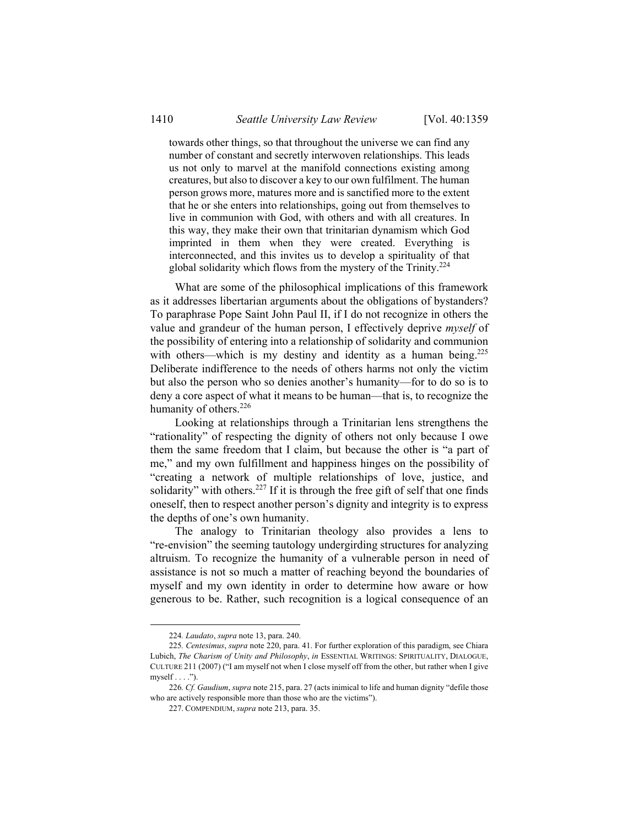towards other things, so that throughout the universe we can find any number of constant and secretly interwoven relationships. This leads us not only to marvel at the manifold connections existing among creatures, but also to discover a key to our own fulfilment. The human person grows more, matures more and is sanctified more to the extent that he or she enters into relationships, going out from themselves to live in communion with God, with others and with all creatures. In this way, they make their own that trinitarian dynamism which God imprinted in them when they were created. Everything is interconnected, and this invites us to develop a spirituality of that global solidarity which flows from the mystery of the Trinity. $2^{24}$ 

What are some of the philosophical implications of this framework as it addresses libertarian arguments about the obligations of bystanders? To paraphrase Pope Saint John Paul II, if I do not recognize in others the value and grandeur of the human person, I effectively deprive *myself* of the possibility of entering into a relationship of solidarity and communion with others—which is my destiny and identity as a human being.<sup>225</sup> Deliberate indifference to the needs of others harms not only the victim but also the person who so denies another's humanity—for to do so is to deny a core aspect of what it means to be human—that is, to recognize the humanity of others.<sup>226</sup>

Looking at relationships through a Trinitarian lens strengthens the "rationality" of respecting the dignity of others not only because I owe them the same freedom that I claim, but because the other is "a part of me," and my own fulfillment and happiness hinges on the possibility of "creating a network of multiple relationships of love, justice, and solidarity" with others.<sup>227</sup> If it is through the free gift of self that one finds oneself, then to respect another person's dignity and integrity is to express the depths of one's own humanity.

The analogy to Trinitarian theology also provides a lens to "re-envision" the seeming tautology undergirding structures for analyzing altruism. To recognize the humanity of a vulnerable person in need of assistance is not so much a matter of reaching beyond the boundaries of myself and my own identity in order to determine how aware or how generous to be. Rather, such recognition is a logical consequence of an

 <sup>224</sup>*. Laudato*, *supra* note 13, para. 240.

<sup>225</sup>*. Centesimus*, *supra* note 220, para. 41. For further exploration of this paradigm, see Chiara Lubich, *The Charism of Unity and Philosophy*, *in* ESSENTIAL WRITINGS: SPIRITUALITY, DIALOGUE, CULTURE 211 (2007) ("I am myself not when I close myself off from the other, but rather when I give  $myself \dots$ ").

<sup>226</sup>*. Cf. Gaudium*, *supra* note 215, para. 27 (acts inimical to life and human dignity "defile those who are actively responsible more than those who are the victims").

 <sup>227.</sup> COMPENDIUM, *supra* note 213, para. 35.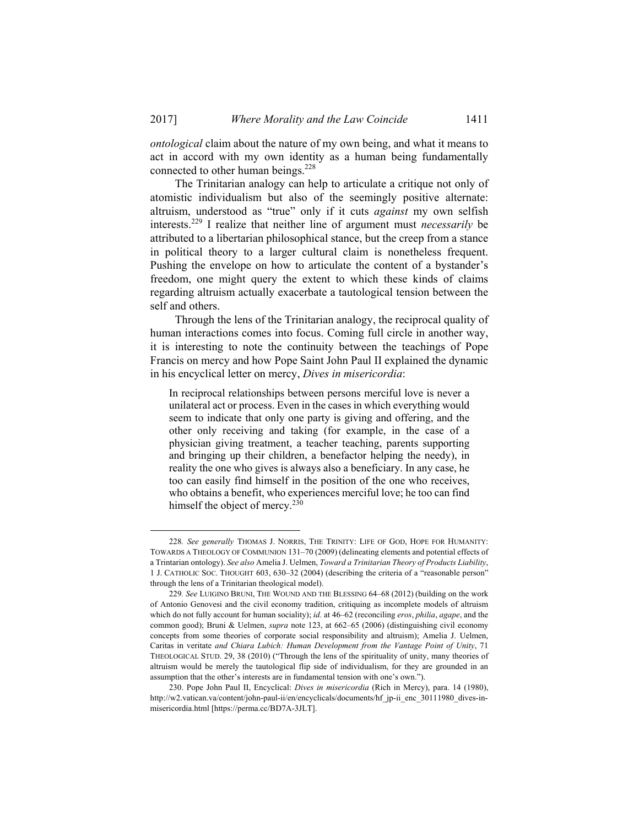*ontological* claim about the nature of my own being, and what it means to act in accord with my own identity as a human being fundamentally connected to other human beings.<sup>228</sup>

The Trinitarian analogy can help to articulate a critique not only of atomistic individualism but also of the seemingly positive alternate: altruism, understood as "true" only if it cuts *against* my own selfish interests.229 I realize that neither line of argument must *necessarily* be attributed to a libertarian philosophical stance, but the creep from a stance in political theory to a larger cultural claim is nonetheless frequent. Pushing the envelope on how to articulate the content of a bystander's freedom, one might query the extent to which these kinds of claims regarding altruism actually exacerbate a tautological tension between the self and others.

Through the lens of the Trinitarian analogy, the reciprocal quality of human interactions comes into focus. Coming full circle in another way, it is interesting to note the continuity between the teachings of Pope Francis on mercy and how Pope Saint John Paul II explained the dynamic in his encyclical letter on mercy, *Dives in misericordia*:

In reciprocal relationships between persons merciful love is never a unilateral act or process. Even in the cases in which everything would seem to indicate that only one party is giving and offering, and the other only receiving and taking (for example, in the case of a physician giving treatment, a teacher teaching, parents supporting and bringing up their children, a benefactor helping the needy), in reality the one who gives is always also a beneficiary. In any case, he too can easily find himself in the position of the one who receives, who obtains a benefit, who experiences merciful love; he too can find himself the object of mercy. $230$ 

 <sup>228</sup>*. See generally* THOMAS J. NORRIS, THE TRINITY: LIFE OF GOD, HOPE FOR HUMANITY: TOWARDS A THEOLOGY OF COMMUNION 131–70 (2009) (delineating elements and potential effects of a Trintarian ontology). *See also* Amelia J. Uelmen, *Toward a Trinitarian Theory of Products Liability*, 1 J. CATHOLIC SOC. THOUGHT 603, 630–32 (2004) (describing the criteria of a "reasonable person" through the lens of a Trinitarian theological model).

<sup>229</sup>*. See* LUIGINO BRUNI, THE WOUND AND THE BLESSING 64–68 (2012) (building on the work of Antonio Genovesi and the civil economy tradition, critiquing as incomplete models of altruism which do not fully account for human sociality); *id.* at 46–62 (reconciling *eros*, *philia*, *agape*, and the common good); Bruni & Uelmen, *supra* note 123, at 662–65 (2006) (distinguishing civil economy concepts from some theories of corporate social responsibility and altruism); Amelia J. Uelmen, Caritas in veritate *and Chiara Lubich: Human Development from the Vantage Point of Unity*, 71 THEOLOGICAL STUD. 29, 38 (2010) ("Through the lens of the spirituality of unity, many theories of altruism would be merely the tautological flip side of individualism, for they are grounded in an assumption that the other's interests are in fundamental tension with one's own.").

 <sup>230.</sup> Pope John Paul II, Encyclical: *Dives in misericordia* (Rich in Mercy), para. 14 (1980), http://w2.vatican.va/content/john-paul-ii/en/encyclicals/documents/hf\_jp-ii\_enc\_30111980\_dives-inmisericordia.html [https://perma.cc/BD7A-3JLT].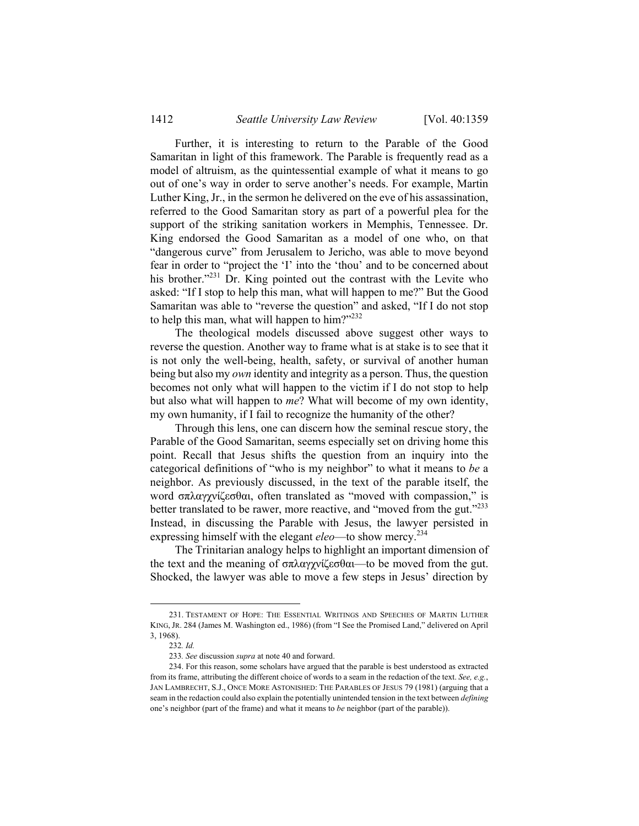Further, it is interesting to return to the Parable of the Good Samaritan in light of this framework. The Parable is frequently read as a model of altruism, as the quintessential example of what it means to go out of one's way in order to serve another's needs. For example, Martin Luther King, Jr., in the sermon he delivered on the eve of his assassination, referred to the Good Samaritan story as part of a powerful plea for the support of the striking sanitation workers in Memphis, Tennessee. Dr. King endorsed the Good Samaritan as a model of one who, on that "dangerous curve" from Jerusalem to Jericho, was able to move beyond fear in order to "project the 'I' into the 'thou' and to be concerned about his brother.<sup>"231</sup> Dr. King pointed out the contrast with the Levite who asked: "If I stop to help this man, what will happen to me?" But the Good Samaritan was able to "reverse the question" and asked, "If I do not stop to help this man, what will happen to him?"232

The theological models discussed above suggest other ways to reverse the question. Another way to frame what is at stake is to see that it is not only the well-being, health, safety, or survival of another human being but also my *own* identity and integrity as a person. Thus, the question becomes not only what will happen to the victim if I do not stop to help but also what will happen to *me*? What will become of my own identity, my own humanity, if I fail to recognize the humanity of the other?

Through this lens, one can discern how the seminal rescue story, the Parable of the Good Samaritan, seems especially set on driving home this point. Recall that Jesus shifts the question from an inquiry into the categorical definitions of "who is my neighbor" to what it means to *be* a neighbor. As previously discussed, in the text of the parable itself, the word σπλαγχνίζεσθαι, often translated as "moved with compassion," is better translated to be rawer, more reactive, and "moved from the gut."<sup>233</sup> Instead, in discussing the Parable with Jesus, the lawyer persisted in expressing himself with the elegant *eleo*—to show mercy.234

The Trinitarian analogy helps to highlight an important dimension of the text and the meaning of σπλαγχνίζεσθαι—to be moved from the gut. Shocked, the lawyer was able to move a few steps in Jesus' direction by

 <sup>231.</sup> TESTAMENT OF HOPE: THE ESSENTIAL WRITINGS AND SPEECHES OF MARTIN LUTHER KING,JR. 284 (James M. Washington ed., 1986) (from "I See the Promised Land," delivered on April 3, 1968).

<sup>232</sup>*. Id.*

<sup>233</sup>*. See* discussion *supra* at note 40 and forward.

 <sup>234.</sup> For this reason, some scholars have argued that the parable is best understood as extracted from its frame, attributing the different choice of words to a seam in the redaction of the text. *See, e.g.*, JAN LAMBRECHT, S.J., ONCE MORE ASTONISHED: THE PARABLES OF JESUS 79 (1981) (arguing that a seam in the redaction could also explain the potentially unintended tension in the text between *defining* one's neighbor (part of the frame) and what it means to *be* neighbor (part of the parable)).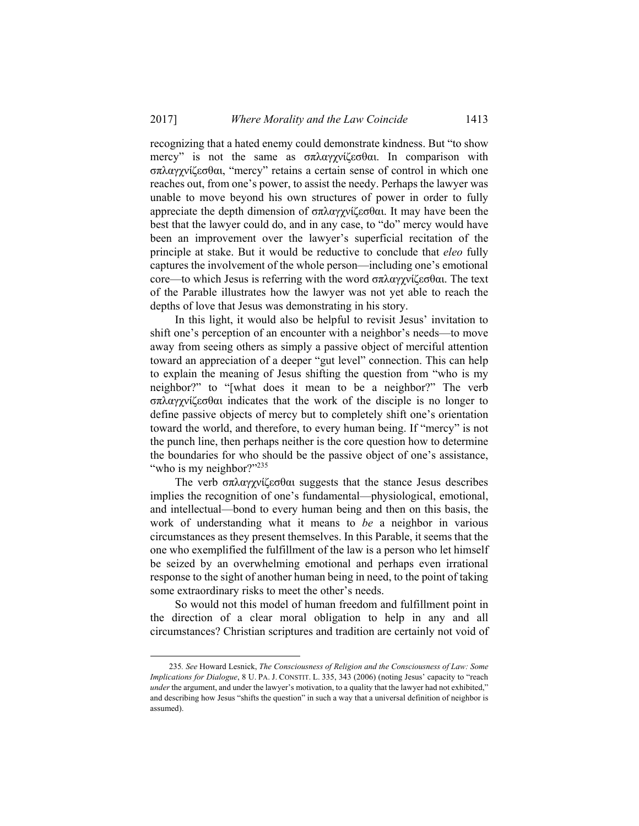recognizing that a hated enemy could demonstrate kindness. But "to show mercy" is not the same as σπλαγχνίζεσθαι. In comparison with σπλαγχνίζεσθαι, "mercy" retains a certain sense of control in which one reaches out, from one's power, to assist the needy. Perhaps the lawyer was unable to move beyond his own structures of power in order to fully appreciate the depth dimension of σπλαγχνίζεσθαι. It may have been the best that the lawyer could do, and in any case, to "do" mercy would have been an improvement over the lawyer's superficial recitation of the principle at stake. But it would be reductive to conclude that *eleo* fully captures the involvement of the whole person—including one's emotional core—to which Jesus is referring with the word σπλαγχνίζεσθαι. The text of the Parable illustrates how the lawyer was not yet able to reach the depths of love that Jesus was demonstrating in his story.

In this light, it would also be helpful to revisit Jesus' invitation to shift one's perception of an encounter with a neighbor's needs—to move away from seeing others as simply a passive object of merciful attention toward an appreciation of a deeper "gut level" connection. This can help to explain the meaning of Jesus shifting the question from "who is my neighbor?" to "[what does it mean to be a neighbor?" The verb σπλαγχνίζεσθαι indicates that the work of the disciple is no longer to define passive objects of mercy but to completely shift one's orientation toward the world, and therefore, to every human being. If "mercy" is not the punch line, then perhaps neither is the core question how to determine the boundaries for who should be the passive object of one's assistance, "who is my neighbor?"235

The verb σπλαγχνίζεσθαι suggests that the stance Jesus describes implies the recognition of one's fundamental—physiological, emotional, and intellectual—bond to every human being and then on this basis, the work of understanding what it means to *be* a neighbor in various circumstances as they present themselves. In this Parable, it seems that the one who exemplified the fulfillment of the law is a person who let himself be seized by an overwhelming emotional and perhaps even irrational response to the sight of another human being in need, to the point of taking some extraordinary risks to meet the other's needs.

So would not this model of human freedom and fulfillment point in the direction of a clear moral obligation to help in any and all circumstances? Christian scriptures and tradition are certainly not void of

 <sup>235</sup>*. See* Howard Lesnick, *The Consciousness of Religion and the Consciousness of Law: Some Implications for Dialogue*, 8 U. PA. J. CONSTIT. L. 335, 343 (2006) (noting Jesus' capacity to "reach *under* the argument, and under the lawyer's motivation, to a quality that the lawyer had not exhibited," and describing how Jesus "shifts the question" in such a way that a universal definition of neighbor is assumed).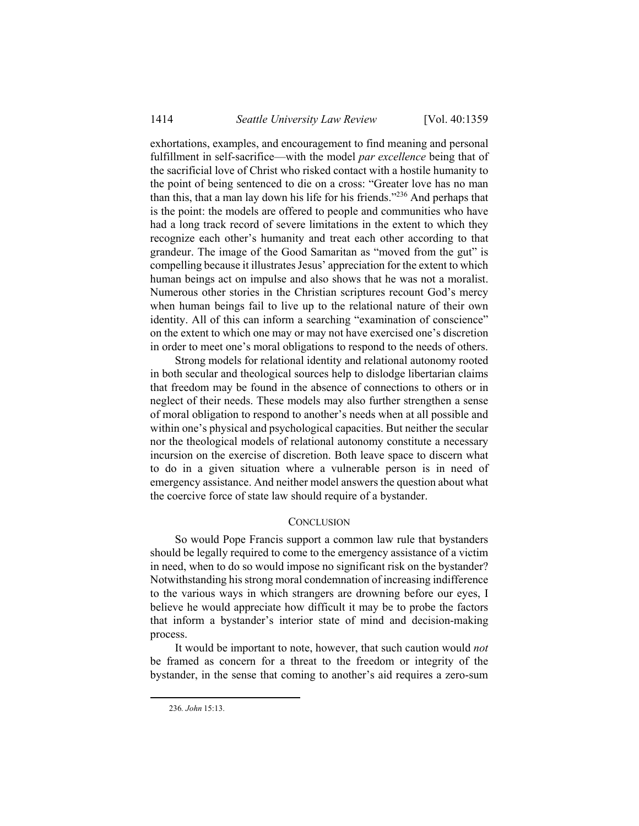exhortations, examples, and encouragement to find meaning and personal fulfillment in self-sacrifice—with the model *par excellence* being that of the sacrificial love of Christ who risked contact with a hostile humanity to the point of being sentenced to die on a cross: "Greater love has no man than this, that a man lay down his life for his friends."236 And perhaps that is the point: the models are offered to people and communities who have had a long track record of severe limitations in the extent to which they recognize each other's humanity and treat each other according to that grandeur. The image of the Good Samaritan as "moved from the gut" is compelling because it illustrates Jesus' appreciation for the extent to which human beings act on impulse and also shows that he was not a moralist. Numerous other stories in the Christian scriptures recount God's mercy when human beings fail to live up to the relational nature of their own identity. All of this can inform a searching "examination of conscience" on the extent to which one may or may not have exercised one's discretion in order to meet one's moral obligations to respond to the needs of others.

Strong models for relational identity and relational autonomy rooted in both secular and theological sources help to dislodge libertarian claims that freedom may be found in the absence of connections to others or in neglect of their needs. These models may also further strengthen a sense of moral obligation to respond to another's needs when at all possible and within one's physical and psychological capacities. But neither the secular nor the theological models of relational autonomy constitute a necessary incursion on the exercise of discretion. Both leave space to discern what to do in a given situation where a vulnerable person is in need of emergency assistance. And neither model answers the question about what the coercive force of state law should require of a bystander.

## **CONCLUSION**

So would Pope Francis support a common law rule that bystanders should be legally required to come to the emergency assistance of a victim in need, when to do so would impose no significant risk on the bystander? Notwithstanding his strong moral condemnation of increasing indifference to the various ways in which strangers are drowning before our eyes, I believe he would appreciate how difficult it may be to probe the factors that inform a bystander's interior state of mind and decision-making process.

It would be important to note, however, that such caution would *not*  be framed as concern for a threat to the freedom or integrity of the bystander, in the sense that coming to another's aid requires a zero-sum

 <sup>236</sup>*. John* 15:13.